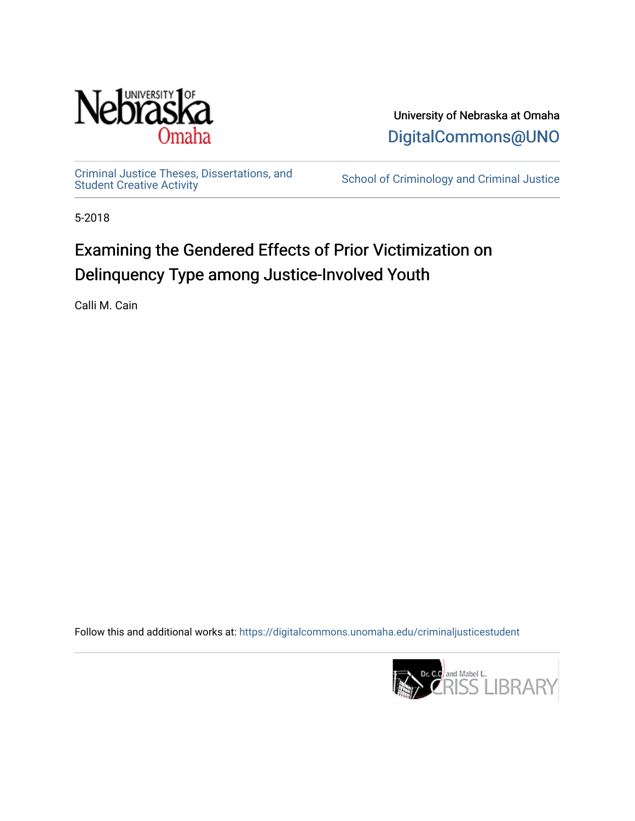

University of Nebraska at Omaha [DigitalCommons@UNO](https://digitalcommons.unomaha.edu/) 

[Criminal Justice Theses, Dissertations, and](https://digitalcommons.unomaha.edu/criminaljusticestudent)

School of Criminology and Criminal Justice

5-2018

# Examining the Gendered Effects of Prior Victimization on Delinquency Type among Justice-Involved Youth

Calli M. Cain

Follow this and additional works at: [https://digitalcommons.unomaha.edu/criminaljusticestudent](https://digitalcommons.unomaha.edu/criminaljusticestudent?utm_source=digitalcommons.unomaha.edu%2Fcriminaljusticestudent%2F2&utm_medium=PDF&utm_campaign=PDFCoverPages) 

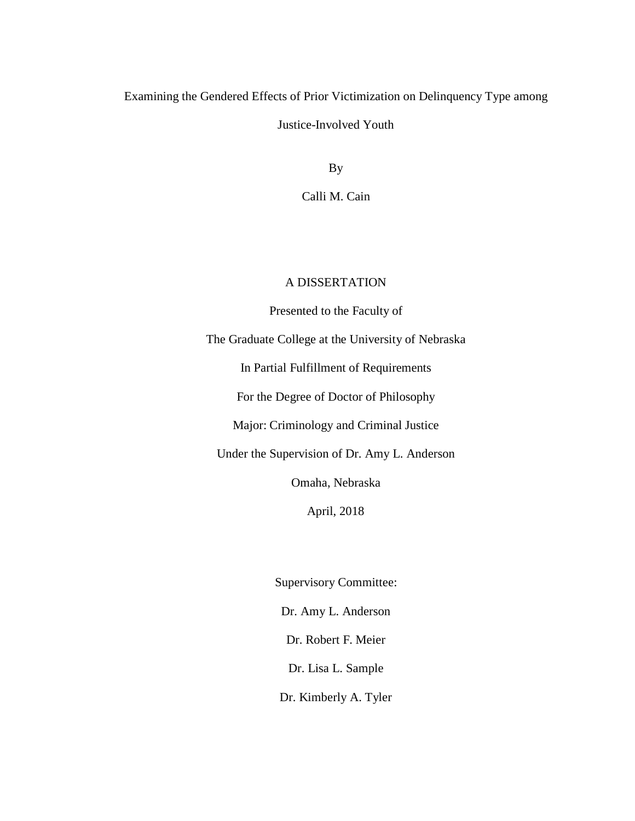# Examining the Gendered Effects of Prior Victimization on Delinquency Type among Justice-Involved Youth

By

Calli M. Cain

## A DISSERTATION

Presented to the Faculty of

The Graduate College at the University of Nebraska

In Partial Fulfillment of Requirements

For the Degree of Doctor of Philosophy

Major: Criminology and Criminal Justice

Under the Supervision of Dr. Amy L. Anderson

Omaha, Nebraska

April, 2018

Supervisory Committee: Dr. Amy L. Anderson Dr. Robert F. Meier Dr. Lisa L. Sample

Dr. Kimberly A. Tyler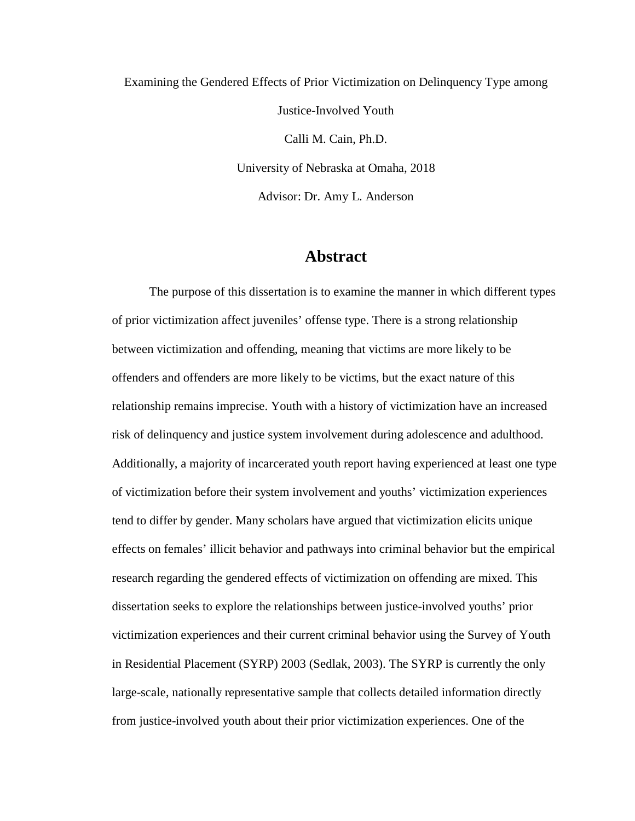Examining the Gendered Effects of Prior Victimization on Delinquency Type among Justice-Involved Youth Calli M. Cain, Ph.D. University of Nebraska at Omaha, 2018 Advisor: Dr. Amy L. Anderson

## **Abstract**

The purpose of this dissertation is to examine the manner in which different types of prior victimization affect juveniles' offense type. There is a strong relationship between victimization and offending, meaning that victims are more likely to be offenders and offenders are more likely to be victims, but the exact nature of this relationship remains imprecise. Youth with a history of victimization have an increased risk of delinquency and justice system involvement during adolescence and adulthood. Additionally, a majority of incarcerated youth report having experienced at least one type of victimization before their system involvement and youths' victimization experiences tend to differ by gender. Many scholars have argued that victimization elicits unique effects on females' illicit behavior and pathways into criminal behavior but the empirical research regarding the gendered effects of victimization on offending are mixed. This dissertation seeks to explore the relationships between justice-involved youths' prior victimization experiences and their current criminal behavior using the Survey of Youth in Residential Placement (SYRP) 2003 (Sedlak, 2003). The SYRP is currently the only large-scale, nationally representative sample that collects detailed information directly from justice-involved youth about their prior victimization experiences. One of the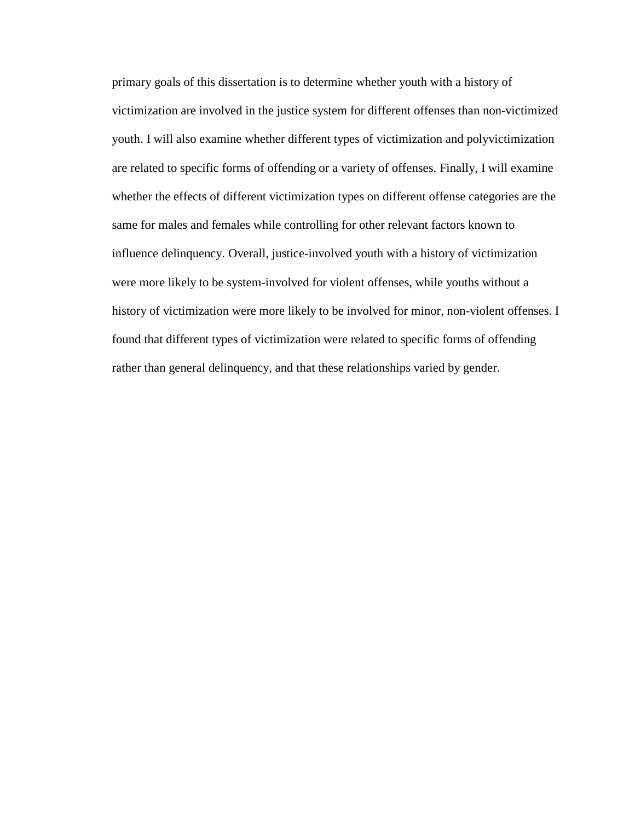primary goals of this dissertation is to determine whether youth with a history of victimization are involved in the justice system for different offenses than non-victimized youth. I will also examine whether different types of victimization and polyvictimization are related to specific forms of offending or a variety of offenses. Finally, I will examine whether the effects of different victimization types on different offense categories are the same for males and females while controlling for other relevant factors known to influence delinquency. Overall, justice-involved youth with a history of victimization were more likely to be system-involved for violent offenses, while youths without a history of victimization were more likely to be involved for minor, non-violent offenses. I found that different types of victimization were related to specific forms of offending rather than general delinquency, and that these relationships varied by gender.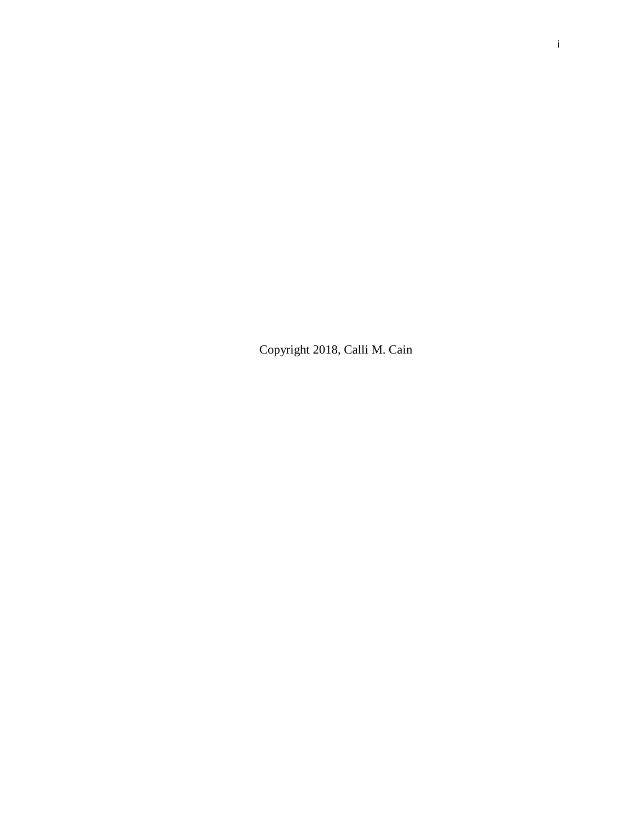Copyright 2018, Calli M. Cain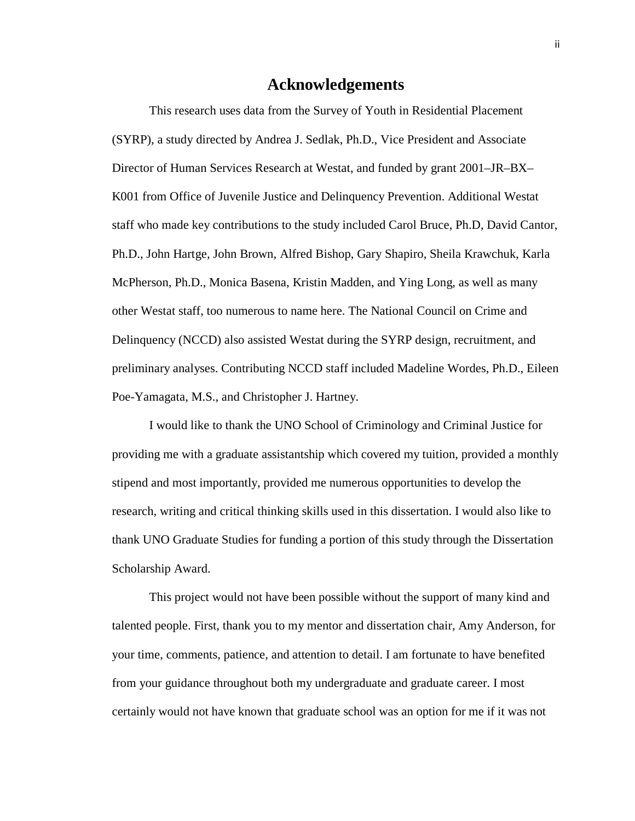# **Acknowledgements**

This research uses data from the Survey of Youth in Residential Placement (SYRP), a study directed by Andrea J. Sedlak, Ph.D., Vice President and Associate Director of Human Services Research at Westat, and funded by grant 2001–JR–BX– K001 from Office of Juvenile Justice and Delinquency Prevention. Additional Westat staff who made key contributions to the study included Carol Bruce, Ph.D, David Cantor, Ph.D., John Hartge, John Brown, Alfred Bishop, Gary Shapiro, Sheila Krawchuk, Karla McPherson, Ph.D., Monica Basena, Kristin Madden, and Ying Long, as well as many other Westat staff, too numerous to name here. The National Council on Crime and Delinquency (NCCD) also assisted Westat during the SYRP design, recruitment, and preliminary analyses. Contributing NCCD staff included Madeline Wordes, Ph.D., Eileen Poe-Yamagata, M.S., and Christopher J. Hartney.

I would like to thank the UNO School of Criminology and Criminal Justice for providing me with a graduate assistantship which covered my tuition, provided a monthly stipend and most importantly, provided me numerous opportunities to develop the research, writing and critical thinking skills used in this dissertation. I would also like to thank UNO Graduate Studies for funding a portion of this study through the Dissertation Scholarship Award.

This project would not have been possible without the support of many kind and talented people. First, thank you to my mentor and dissertation chair, Amy Anderson, for your time, comments, patience, and attention to detail. I am fortunate to have benefited from your guidance throughout both my undergraduate and graduate career. I most certainly would not have known that graduate school was an option for me if it was not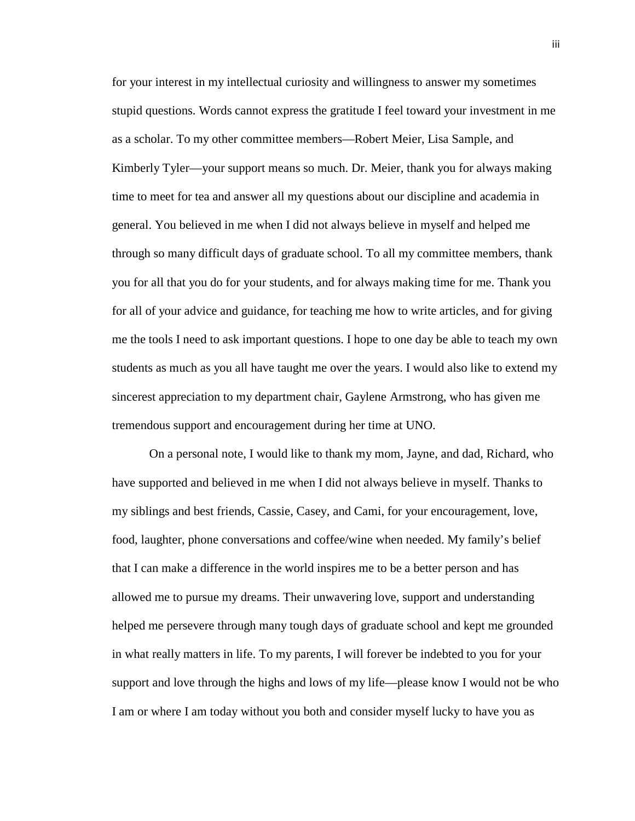for your interest in my intellectual curiosity and willingness to answer my sometimes stupid questions. Words cannot express the gratitude I feel toward your investment in me as a scholar. To my other committee members—Robert Meier, Lisa Sample, and Kimberly Tyler—your support means so much. Dr. Meier, thank you for always making time to meet for tea and answer all my questions about our discipline and academia in general. You believed in me when I did not always believe in myself and helped me through so many difficult days of graduate school. To all my committee members, thank you for all that you do for your students, and for always making time for me. Thank you for all of your advice and guidance, for teaching me how to write articles, and for giving me the tools I need to ask important questions. I hope to one day be able to teach my own students as much as you all have taught me over the years. I would also like to extend my sincerest appreciation to my department chair, Gaylene Armstrong, who has given me tremendous support and encouragement during her time at UNO.

On a personal note, I would like to thank my mom, Jayne, and dad, Richard, who have supported and believed in me when I did not always believe in myself. Thanks to my siblings and best friends, Cassie, Casey, and Cami, for your encouragement, love, food, laughter, phone conversations and coffee/wine when needed. My family's belief that I can make a difference in the world inspires me to be a better person and has allowed me to pursue my dreams. Their unwavering love, support and understanding helped me persevere through many tough days of graduate school and kept me grounded in what really matters in life. To my parents, I will forever be indebted to you for your support and love through the highs and lows of my life—please know I would not be who I am or where I am today without you both and consider myself lucky to have you as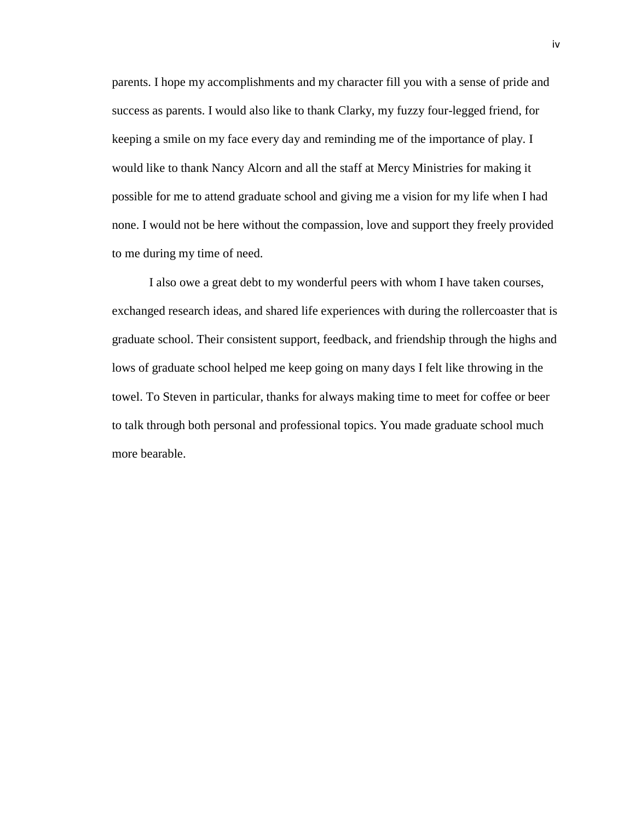parents. I hope my accomplishments and my character fill you with a sense of pride and success as parents. I would also like to thank Clarky, my fuzzy four-legged friend, for keeping a smile on my face every day and reminding me of the importance of play. I would like to thank Nancy Alcorn and all the staff at Mercy Ministries for making it possible for me to attend graduate school and giving me a vision for my life when I had none. I would not be here without the compassion, love and support they freely provided to me during my time of need.

I also owe a great debt to my wonderful peers with whom I have taken courses, exchanged research ideas, and shared life experiences with during the rollercoaster that is graduate school. Their consistent support, feedback, and friendship through the highs and lows of graduate school helped me keep going on many days I felt like throwing in the towel. To Steven in particular, thanks for always making time to meet for coffee or beer to talk through both personal and professional topics. You made graduate school much more bearable.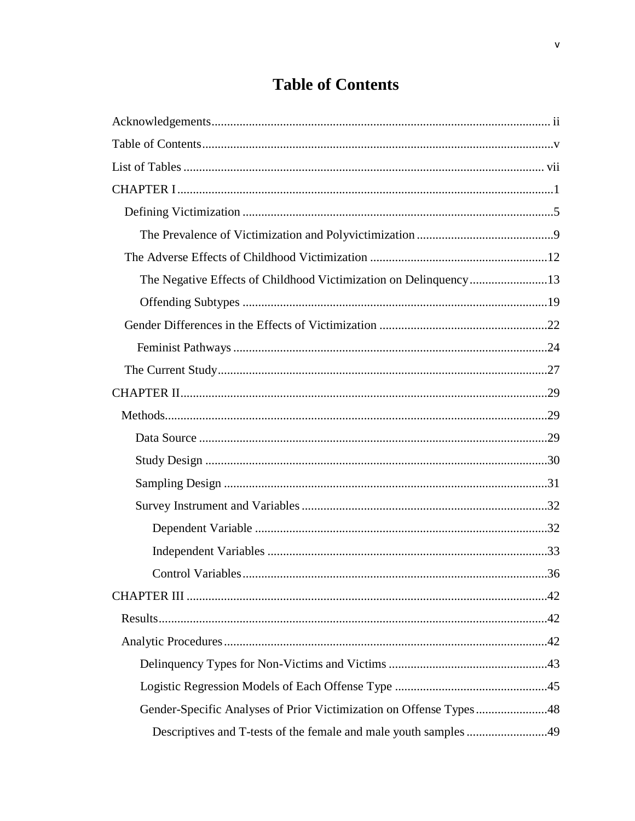# **Table of Contents**

| Gender-Specific Analyses of Prior Victimization on Offense Types48 |  |
|--------------------------------------------------------------------|--|
| Descriptives and T-tests of the female and male youth samples 49   |  |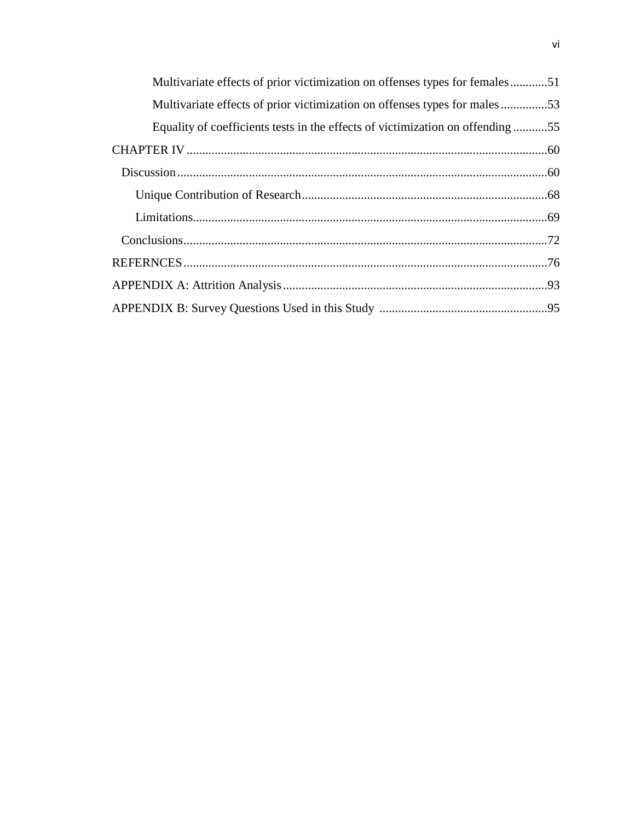| Multivariate effects of prior victimization on offenses types for females51   |  |
|-------------------------------------------------------------------------------|--|
| Multivariate effects of prior victimization on offenses types for males53     |  |
| Equality of coefficients tests in the effects of victimization on offending55 |  |
|                                                                               |  |
|                                                                               |  |
|                                                                               |  |
|                                                                               |  |
|                                                                               |  |
|                                                                               |  |
|                                                                               |  |
|                                                                               |  |
|                                                                               |  |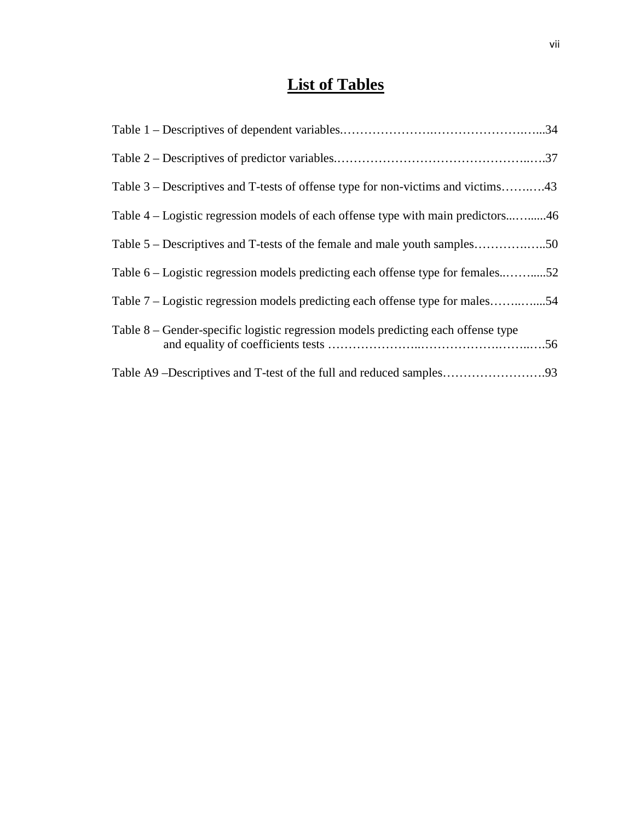# **List of Tables**

| Table 3 – Descriptives and T-tests of offense type for non-victims and victims43  |  |
|-----------------------------------------------------------------------------------|--|
| Table 4 – Logistic regression models of each offense type with main predictors46  |  |
| Table 5 – Descriptives and T-tests of the female and male youth samples50         |  |
| Table 6 – Logistic regression models predicting each offense type for females52   |  |
| Table 7 – Logistic regression models predicting each offense type for males54     |  |
| Table 8 – Gender-specific logistic regression models predicting each offense type |  |
|                                                                                   |  |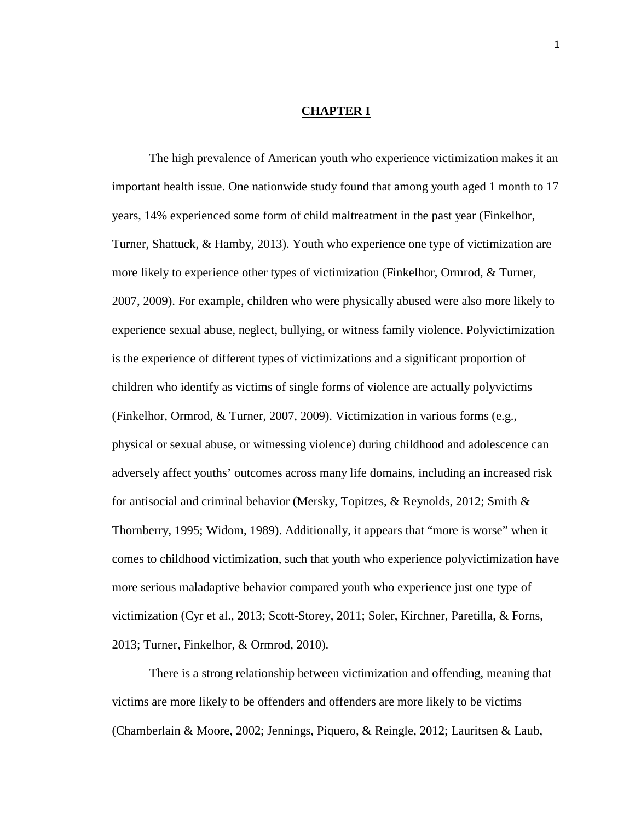### **CHAPTER I**

The high prevalence of American youth who experience victimization makes it an important health issue. One nationwide study found that among youth aged 1 month to 17 years, 14% experienced some form of child maltreatment in the past year (Finkelhor, Turner, Shattuck, & Hamby, 2013). Youth who experience one type of victimization are more likely to experience other types of victimization (Finkelhor, Ormrod, & Turner, 2007, 2009). For example, children who were physically abused were also more likely to experience sexual abuse, neglect, bullying, or witness family violence. Polyvictimization is the experience of different types of victimizations and a significant proportion of children who identify as victims of single forms of violence are actually polyvictims (Finkelhor, Ormrod, & Turner, 2007, 2009). Victimization in various forms (e.g., physical or sexual abuse, or witnessing violence) during childhood and adolescence can adversely affect youths' outcomes across many life domains, including an increased risk for antisocial and criminal behavior (Mersky, Topitzes, & Reynolds, 2012; Smith & Thornberry, 1995; Widom, 1989). Additionally, it appears that "more is worse" when it comes to childhood victimization, such that youth who experience polyvictimization have more serious maladaptive behavior compared youth who experience just one type of victimization (Cyr et al., 2013; Scott-Storey, 2011; Soler, Kirchner, Paretilla, & Forns, 2013; Turner, Finkelhor, & Ormrod, 2010).

There is a strong relationship between victimization and offending, meaning that victims are more likely to be offenders and offenders are more likely to be victims (Chamberlain & Moore, 2002; Jennings, Piquero, & Reingle, 2012; Lauritsen & Laub,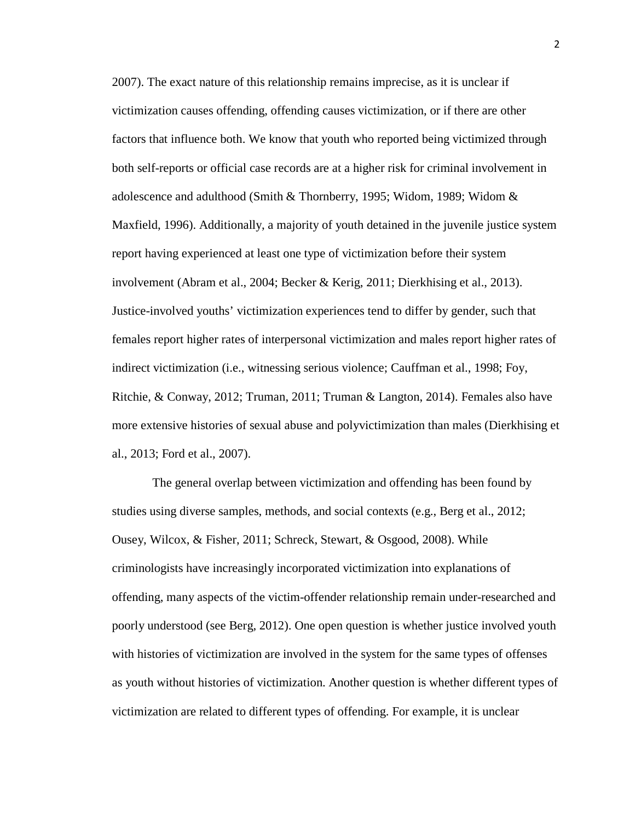2007). The exact nature of this relationship remains imprecise, as it is unclear if victimization causes offending, offending causes victimization, or if there are other factors that influence both. We know that youth who reported being victimized through both self-reports or official case records are at a higher risk for criminal involvement in adolescence and adulthood (Smith & Thornberry, 1995; Widom, 1989; Widom & Maxfield, 1996). Additionally, a majority of youth detained in the juvenile justice system report having experienced at least one type of victimization before their system involvement (Abram et al., 2004; Becker & Kerig, 2011; Dierkhising et al., 2013). Justice-involved youths' victimization experiences tend to differ by gender, such that females report higher rates of interpersonal victimization and males report higher rates of indirect victimization (i.e., witnessing serious violence; Cauffman et al., 1998; Foy, Ritchie, & Conway, 2012; Truman, 2011; Truman & Langton, 2014). Females also have more extensive histories of sexual abuse and polyvictimization than males (Dierkhising et al., 2013; Ford et al., 2007).

The general overlap between victimization and offending has been found by studies using diverse samples, methods, and social contexts (e.g., Berg et al., 2012; Ousey, Wilcox, & Fisher, 2011; Schreck, Stewart, & Osgood, 2008). While criminologists have increasingly incorporated victimization into explanations of offending, many aspects of the victim-offender relationship remain under-researched and poorly understood (see Berg, 2012). One open question is whether justice involved youth with histories of victimization are involved in the system for the same types of offenses as youth without histories of victimization. Another question is whether different types of victimization are related to different types of offending. For example, it is unclear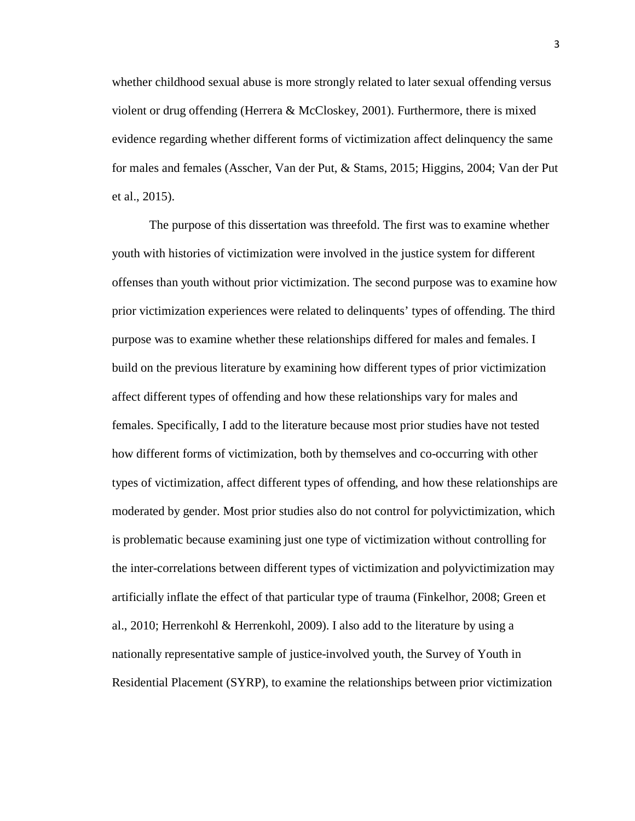whether childhood sexual abuse is more strongly related to later sexual offending versus violent or drug offending (Herrera & McCloskey, 2001). Furthermore, there is mixed evidence regarding whether different forms of victimization affect delinquency the same for males and females (Asscher, Van der Put, & Stams, 2015; Higgins, 2004; Van der Put et al., 2015).

The purpose of this dissertation was threefold. The first was to examine whether youth with histories of victimization were involved in the justice system for different offenses than youth without prior victimization. The second purpose was to examine how prior victimization experiences were related to delinquents' types of offending. The third purpose was to examine whether these relationships differed for males and females. I build on the previous literature by examining how different types of prior victimization affect different types of offending and how these relationships vary for males and females. Specifically, I add to the literature because most prior studies have not tested how different forms of victimization, both by themselves and co-occurring with other types of victimization, affect different types of offending, and how these relationships are moderated by gender. Most prior studies also do not control for polyvictimization, which is problematic because examining just one type of victimization without controlling for the inter-correlations between different types of victimization and polyvictimization may artificially inflate the effect of that particular type of trauma (Finkelhor, 2008; Green et al., 2010; Herrenkohl & Herrenkohl, 2009). I also add to the literature by using a nationally representative sample of justice-involved youth, the Survey of Youth in Residential Placement (SYRP), to examine the relationships between prior victimization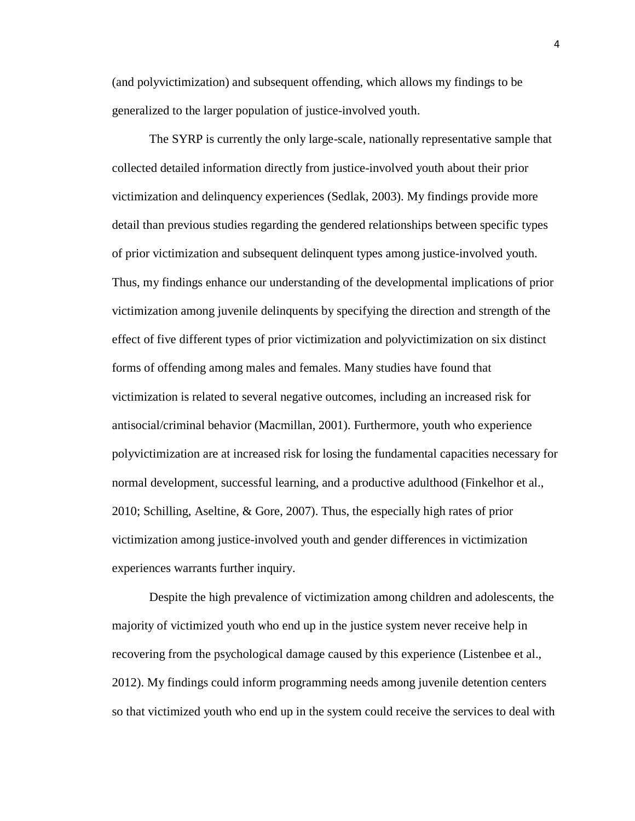(and polyvictimization) and subsequent offending, which allows my findings to be generalized to the larger population of justice-involved youth.

The SYRP is currently the only large-scale, nationally representative sample that collected detailed information directly from justice-involved youth about their prior victimization and delinquency experiences (Sedlak, 2003). My findings provide more detail than previous studies regarding the gendered relationships between specific types of prior victimization and subsequent delinquent types among justice-involved youth. Thus, my findings enhance our understanding of the developmental implications of prior victimization among juvenile delinquents by specifying the direction and strength of the effect of five different types of prior victimization and polyvictimization on six distinct forms of offending among males and females. Many studies have found that victimization is related to several negative outcomes, including an increased risk for antisocial/criminal behavior (Macmillan, 2001). Furthermore, youth who experience polyvictimization are at increased risk for losing the fundamental capacities necessary for normal development, successful learning, and a productive adulthood (Finkelhor et al., 2010; Schilling, Aseltine, & Gore, 2007). Thus, the especially high rates of prior victimization among justice-involved youth and gender differences in victimization experiences warrants further inquiry.

Despite the high prevalence of victimization among children and adolescents, the majority of victimized youth who end up in the justice system never receive help in recovering from the psychological damage caused by this experience (Listenbee et al., 2012). My findings could inform programming needs among juvenile detention centers so that victimized youth who end up in the system could receive the services to deal with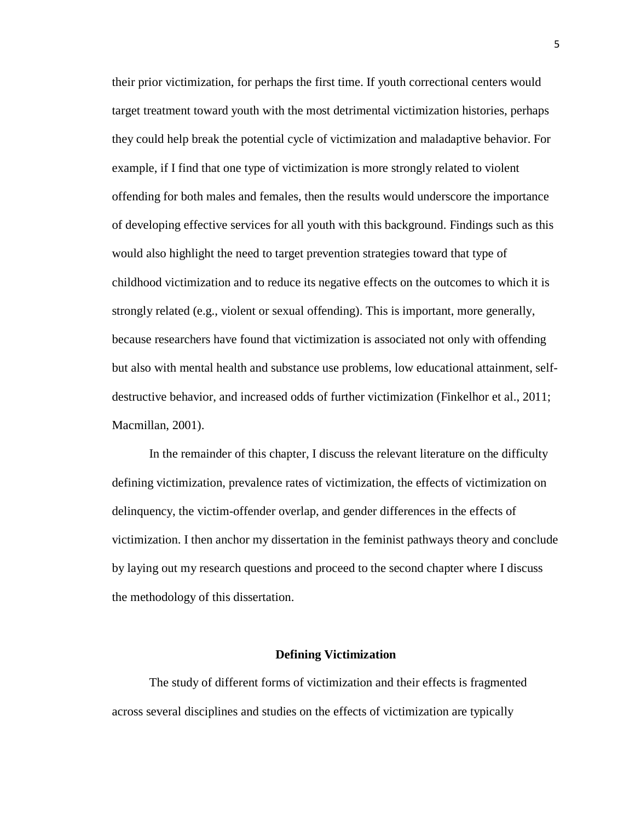their prior victimization, for perhaps the first time. If youth correctional centers would target treatment toward youth with the most detrimental victimization histories, perhaps they could help break the potential cycle of victimization and maladaptive behavior. For example, if I find that one type of victimization is more strongly related to violent offending for both males and females, then the results would underscore the importance of developing effective services for all youth with this background. Findings such as this would also highlight the need to target prevention strategies toward that type of childhood victimization and to reduce its negative effects on the outcomes to which it is strongly related (e.g., violent or sexual offending). This is important, more generally, because researchers have found that victimization is associated not only with offending but also with mental health and substance use problems, low educational attainment, selfdestructive behavior, and increased odds of further victimization (Finkelhor et al., 2011; Macmillan, 2001).

In the remainder of this chapter, I discuss the relevant literature on the difficulty defining victimization, prevalence rates of victimization, the effects of victimization on delinquency, the victim-offender overlap, and gender differences in the effects of victimization. I then anchor my dissertation in the feminist pathways theory and conclude by laying out my research questions and proceed to the second chapter where I discuss the methodology of this dissertation.

#### **Defining Victimization**

The study of different forms of victimization and their effects is fragmented across several disciplines and studies on the effects of victimization are typically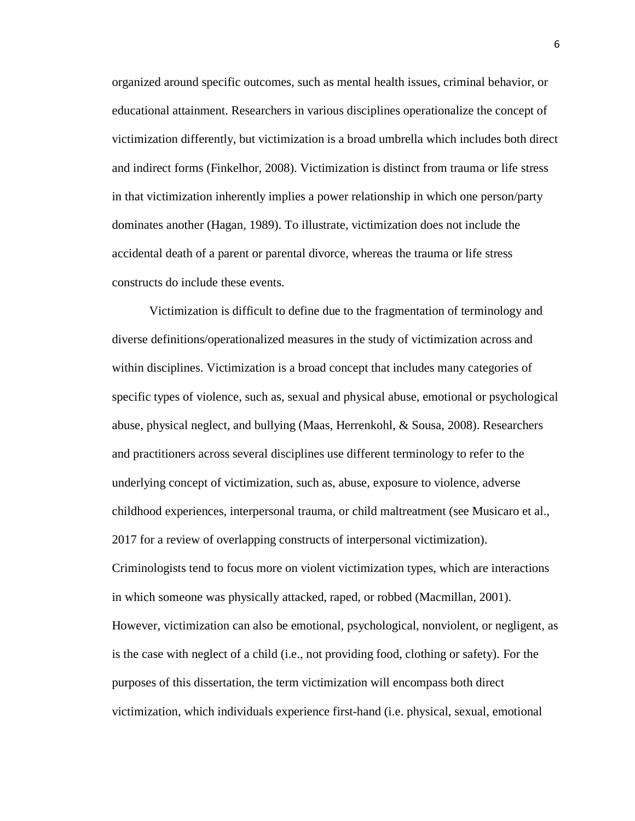organized around specific outcomes, such as mental health issues, criminal behavior, or educational attainment. Researchers in various disciplines operationalize the concept of victimization differently, but victimization is a broad umbrella which includes both direct and indirect forms (Finkelhor, 2008). Victimization is distinct from trauma or life stress in that victimization inherently implies a power relationship in which one person/party dominates another (Hagan, 1989). To illustrate, victimization does not include the accidental death of a parent or parental divorce, whereas the trauma or life stress constructs do include these events.

Victimization is difficult to define due to the fragmentation of terminology and diverse definitions/operationalized measures in the study of victimization across and within disciplines. Victimization is a broad concept that includes many categories of specific types of violence, such as, sexual and physical abuse, emotional or psychological abuse, physical neglect, and bullying (Maas, Herrenkohl, & Sousa, 2008). Researchers and practitioners across several disciplines use different terminology to refer to the underlying concept of victimization, such as, abuse, exposure to violence, adverse childhood experiences, interpersonal trauma, or child maltreatment (see Musicaro et al., 2017 for a review of overlapping constructs of interpersonal victimization). Criminologists tend to focus more on violent victimization types, which are interactions in which someone was physically attacked, raped, or robbed (Macmillan, 2001). However, victimization can also be emotional, psychological, nonviolent, or negligent, as is the case with neglect of a child (i.e., not providing food, clothing or safety). For the purposes of this dissertation, the term victimization will encompass both direct victimization, which individuals experience first-hand (i.e. physical, sexual, emotional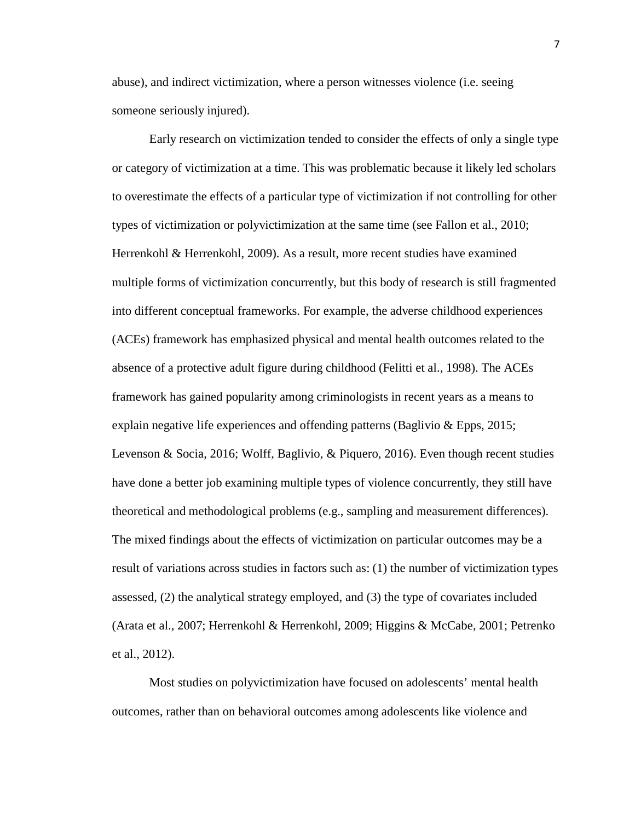abuse), and indirect victimization, where a person witnesses violence (i.e. seeing someone seriously injured).

Early research on victimization tended to consider the effects of only a single type or category of victimization at a time. This was problematic because it likely led scholars to overestimate the effects of a particular type of victimization if not controlling for other types of victimization or polyvictimization at the same time (see Fallon et al., 2010; Herrenkohl & Herrenkohl, 2009). As a result, more recent studies have examined multiple forms of victimization concurrently, but this body of research is still fragmented into different conceptual frameworks. For example, the adverse childhood experiences (ACEs) framework has emphasized physical and mental health outcomes related to the absence of a protective adult figure during childhood (Felitti et al., 1998). The ACEs framework has gained popularity among criminologists in recent years as a means to explain negative life experiences and offending patterns (Baglivio & Epps, 2015; Levenson & Socia, 2016; Wolff, Baglivio, & Piquero, 2016). Even though recent studies have done a better job examining multiple types of violence concurrently, they still have theoretical and methodological problems (e.g., sampling and measurement differences). The mixed findings about the effects of victimization on particular outcomes may be a result of variations across studies in factors such as: (1) the number of victimization types assessed, (2) the analytical strategy employed, and (3) the type of covariates included (Arata et al., 2007; Herrenkohl & Herrenkohl, 2009; Higgins & McCabe, 2001; Petrenko et al., 2012).

Most studies on polyvictimization have focused on adolescents' mental health outcomes, rather than on behavioral outcomes among adolescents like violence and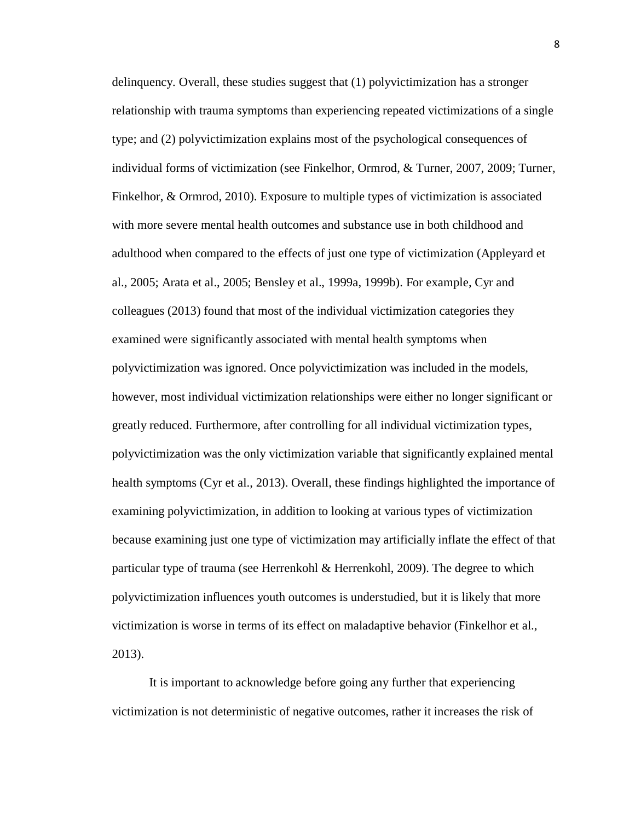delinquency. Overall, these studies suggest that (1) polyvictimization has a stronger relationship with trauma symptoms than experiencing repeated victimizations of a single type; and (2) polyvictimization explains most of the psychological consequences of individual forms of victimization (see Finkelhor, Ormrod, & Turner, 2007, 2009; Turner, Finkelhor, & Ormrod, 2010). Exposure to multiple types of victimization is associated with more severe mental health outcomes and substance use in both childhood and adulthood when compared to the effects of just one type of victimization (Appleyard et al., 2005; Arata et al., 2005; Bensley et al., 1999a, 1999b). For example, Cyr and colleagues (2013) found that most of the individual victimization categories they examined were significantly associated with mental health symptoms when polyvictimization was ignored. Once polyvictimization was included in the models, however, most individual victimization relationships were either no longer significant or greatly reduced. Furthermore, after controlling for all individual victimization types, polyvictimization was the only victimization variable that significantly explained mental health symptoms (Cyr et al., 2013). Overall, these findings highlighted the importance of examining polyvictimization, in addition to looking at various types of victimization because examining just one type of victimization may artificially inflate the effect of that particular type of trauma (see Herrenkohl & Herrenkohl, 2009). The degree to which polyvictimization influences youth outcomes is understudied, but it is likely that more victimization is worse in terms of its effect on maladaptive behavior (Finkelhor et al., 2013).

It is important to acknowledge before going any further that experiencing victimization is not deterministic of negative outcomes, rather it increases the risk of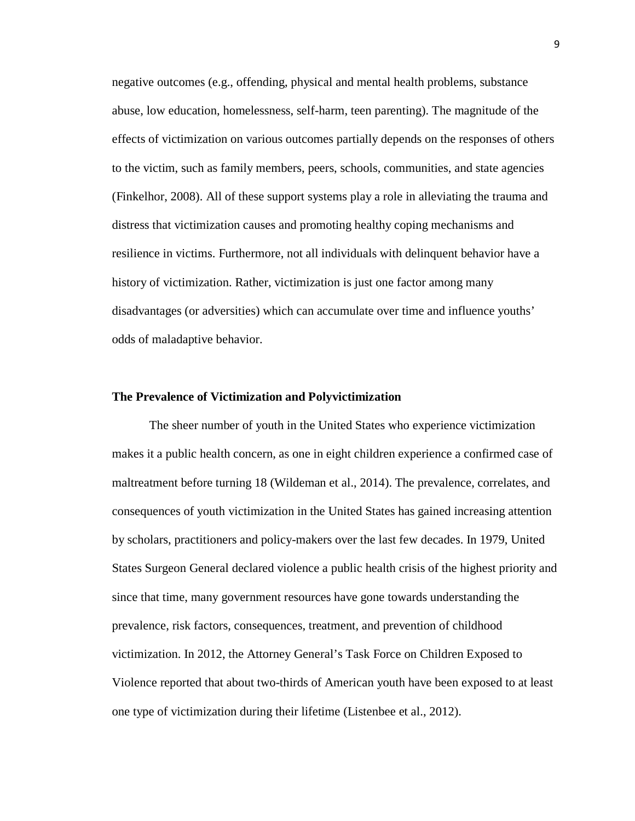negative outcomes (e.g., offending, physical and mental health problems, substance abuse, low education, homelessness, self-harm, teen parenting). The magnitude of the effects of victimization on various outcomes partially depends on the responses of others to the victim, such as family members, peers, schools, communities, and state agencies (Finkelhor, 2008). All of these support systems play a role in alleviating the trauma and distress that victimization causes and promoting healthy coping mechanisms and resilience in victims. Furthermore, not all individuals with delinquent behavior have a history of victimization. Rather, victimization is just one factor among many disadvantages (or adversities) which can accumulate over time and influence youths' odds of maladaptive behavior.

#### **The Prevalence of Victimization and Polyvictimization**

The sheer number of youth in the United States who experience victimization makes it a public health concern, as one in eight children experience a confirmed case of maltreatment before turning 18 (Wildeman et al., 2014). The prevalence, correlates, and consequences of youth victimization in the United States has gained increasing attention by scholars, practitioners and policy-makers over the last few decades. In 1979, United States Surgeon General declared violence a public health crisis of the highest priority and since that time, many government resources have gone towards understanding the prevalence, risk factors, consequences, treatment, and prevention of childhood victimization. In 2012, the Attorney General's Task Force on Children Exposed to Violence reported that about two-thirds of American youth have been exposed to at least one type of victimization during their lifetime (Listenbee et al., 2012).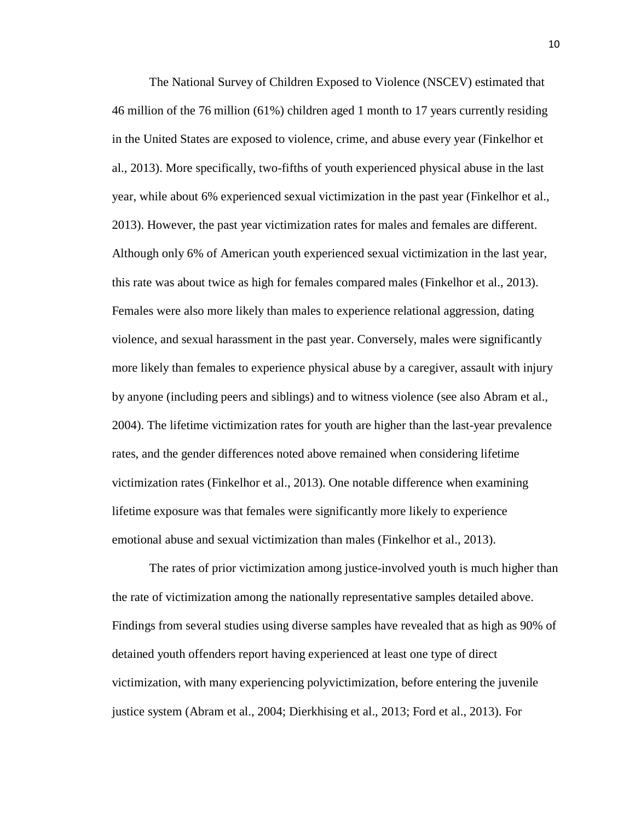The National Survey of Children Exposed to Violence (NSCEV) estimated that 46 million of the 76 million (61%) children aged 1 month to 17 years currently residing in the United States are exposed to violence, crime, and abuse every year (Finkelhor et al., 2013). More specifically, two-fifths of youth experienced physical abuse in the last year, while about 6% experienced sexual victimization in the past year (Finkelhor et al., 2013). However, the past year victimization rates for males and females are different. Although only 6% of American youth experienced sexual victimization in the last year, this rate was about twice as high for females compared males (Finkelhor et al., 2013). Females were also more likely than males to experience relational aggression, dating violence, and sexual harassment in the past year. Conversely, males were significantly more likely than females to experience physical abuse by a caregiver, assault with injury by anyone (including peers and siblings) and to witness violence (see also Abram et al., 2004). The lifetime victimization rates for youth are higher than the last-year prevalence rates, and the gender differences noted above remained when considering lifetime victimization rates (Finkelhor et al., 2013). One notable difference when examining lifetime exposure was that females were significantly more likely to experience emotional abuse and sexual victimization than males (Finkelhor et al., 2013).

The rates of prior victimization among justice-involved youth is much higher than the rate of victimization among the nationally representative samples detailed above. Findings from several studies using diverse samples have revealed that as high as 90% of detained youth offenders report having experienced at least one type of direct victimization, with many experiencing polyvictimization, before entering the juvenile justice system (Abram et al., 2004; Dierkhising et al., 2013; Ford et al., 2013). For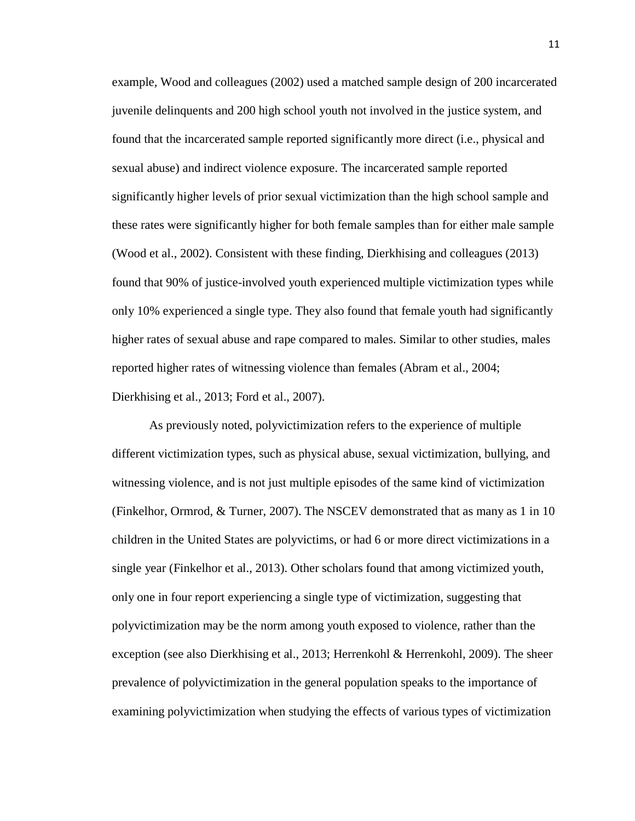example, Wood and colleagues (2002) used a matched sample design of 200 incarcerated juvenile delinquents and 200 high school youth not involved in the justice system, and found that the incarcerated sample reported significantly more direct (i.e., physical and sexual abuse) and indirect violence exposure. The incarcerated sample reported significantly higher levels of prior sexual victimization than the high school sample and these rates were significantly higher for both female samples than for either male sample (Wood et al., 2002). Consistent with these finding, Dierkhising and colleagues (2013) found that 90% of justice-involved youth experienced multiple victimization types while only 10% experienced a single type. They also found that female youth had significantly higher rates of sexual abuse and rape compared to males. Similar to other studies, males reported higher rates of witnessing violence than females (Abram et al., 2004; Dierkhising et al., 2013; Ford et al., 2007).

As previously noted, polyvictimization refers to the experience of multiple different victimization types, such as physical abuse, sexual victimization, bullying, and witnessing violence, and is not just multiple episodes of the same kind of victimization (Finkelhor, Ormrod, & Turner, 2007). The NSCEV demonstrated that as many as 1 in 10 children in the United States are polyvictims, or had 6 or more direct victimizations in a single year (Finkelhor et al., 2013). Other scholars found that among victimized youth, only one in four report experiencing a single type of victimization, suggesting that polyvictimization may be the norm among youth exposed to violence, rather than the exception (see also Dierkhising et al., 2013; Herrenkohl & Herrenkohl, 2009). The sheer prevalence of polyvictimization in the general population speaks to the importance of examining polyvictimization when studying the effects of various types of victimization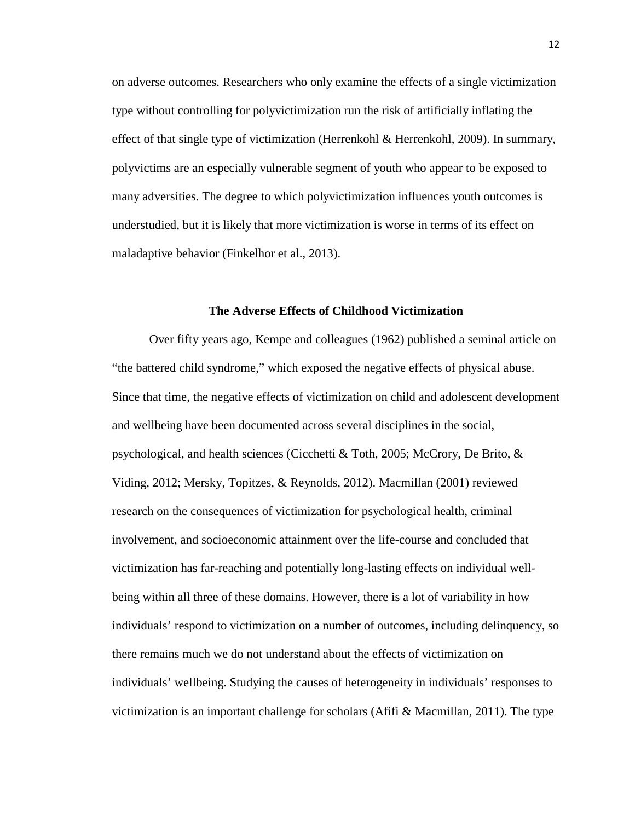on adverse outcomes. Researchers who only examine the effects of a single victimization type without controlling for polyvictimization run the risk of artificially inflating the effect of that single type of victimization (Herrenkohl & Herrenkohl, 2009). In summary, polyvictims are an especially vulnerable segment of youth who appear to be exposed to many adversities. The degree to which polyvictimization influences youth outcomes is understudied, but it is likely that more victimization is worse in terms of its effect on maladaptive behavior (Finkelhor et al., 2013).

### **The Adverse Effects of Childhood Victimization**

Over fifty years ago, Kempe and colleagues (1962) published a seminal article on "the battered child syndrome," which exposed the negative effects of physical abuse. Since that time, the negative effects of victimization on child and adolescent development and wellbeing have been documented across several disciplines in the social, psychological, and health sciences (Cicchetti & Toth, 2005; McCrory, De Brito, & Viding, 2012; Mersky, Topitzes, & Reynolds, 2012). Macmillan (2001) reviewed research on the consequences of victimization for psychological health, criminal involvement, and socioeconomic attainment over the life-course and concluded that victimization has far-reaching and potentially long-lasting effects on individual wellbeing within all three of these domains. However, there is a lot of variability in how individuals' respond to victimization on a number of outcomes, including delinquency, so there remains much we do not understand about the effects of victimization on individuals' wellbeing. Studying the causes of heterogeneity in individuals' responses to victimization is an important challenge for scholars (Afifi  $\&$  Macmillan, 2011). The type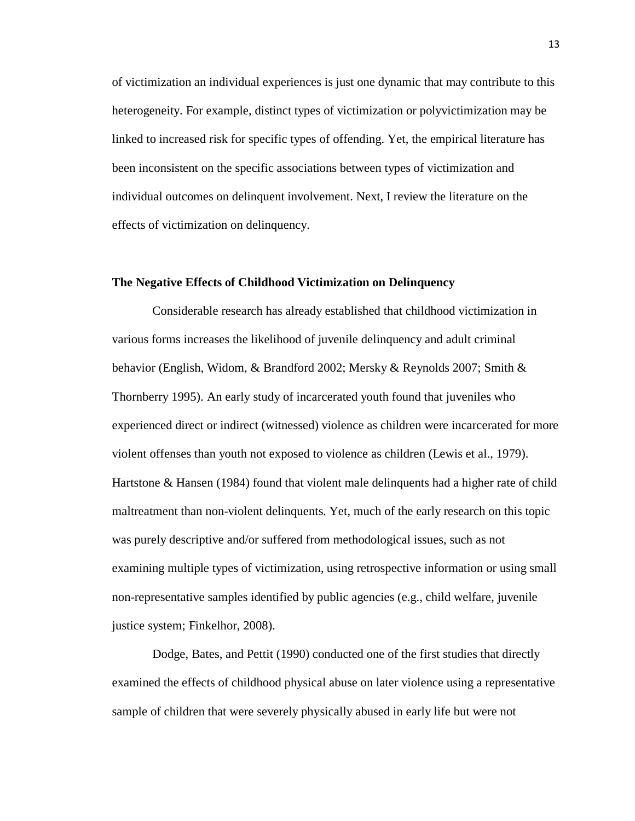of victimization an individual experiences is just one dynamic that may contribute to this heterogeneity. For example, distinct types of victimization or polyvictimization may be linked to increased risk for specific types of offending. Yet, the empirical literature has been inconsistent on the specific associations between types of victimization and individual outcomes on delinquent involvement. Next, I review the literature on the effects of victimization on delinquency.

## **The Negative Effects of Childhood Victimization on Delinquency**

Considerable research has already established that childhood victimization in various forms increases the likelihood of juvenile delinquency and adult criminal behavior (English, Widom, & Brandford 2002; Mersky & Reynolds 2007; Smith & Thornberry 1995). An early study of incarcerated youth found that juveniles who experienced direct or indirect (witnessed) violence as children were incarcerated for more violent offenses than youth not exposed to violence as children (Lewis et al., 1979). Hartstone & Hansen (1984) found that violent male delinquents had a higher rate of child maltreatment than non-violent delinquents. Yet, much of the early research on this topic was purely descriptive and/or suffered from methodological issues, such as not examining multiple types of victimization, using retrospective information or using small non-representative samples identified by public agencies (e.g., child welfare, juvenile justice system; Finkelhor, 2008).

Dodge, Bates, and Pettit (1990) conducted one of the first studies that directly examined the effects of childhood physical abuse on later violence using a representative sample of children that were severely physically abused in early life but were not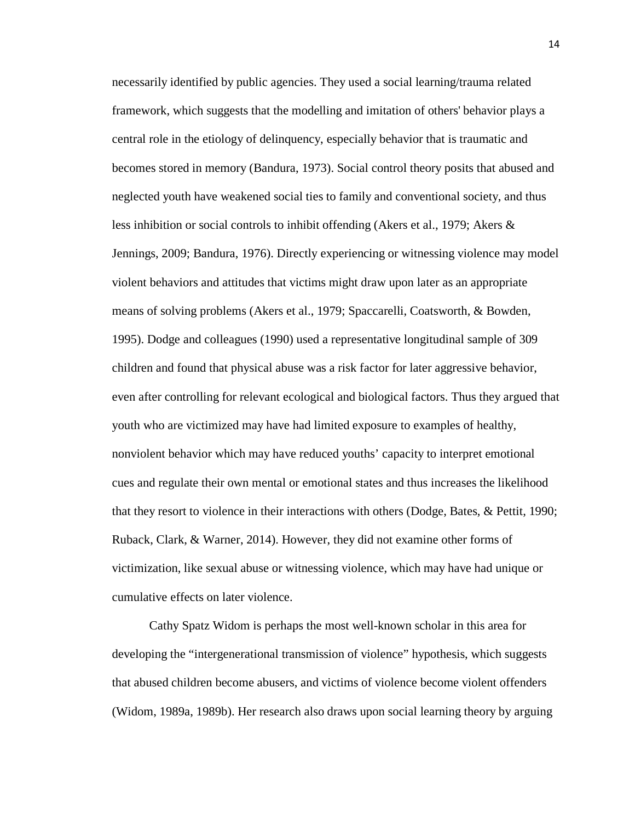necessarily identified by public agencies. They used a social learning/trauma related framework, which suggests that the modelling and imitation of others' behavior plays a central role in the etiology of delinquency, especially behavior that is traumatic and becomes stored in memory (Bandura, 1973). Social control theory posits that abused and neglected youth have weakened social ties to family and conventional society, and thus less inhibition or social controls to inhibit offending (Akers et al., 1979; Akers & Jennings, 2009; Bandura, 1976). Directly experiencing or witnessing violence may model violent behaviors and attitudes that victims might draw upon later as an appropriate means of solving problems (Akers et al., 1979; Spaccarelli, Coatsworth, & Bowden, 1995). Dodge and colleagues (1990) used a representative longitudinal sample of 309 children and found that physical abuse was a risk factor for later aggressive behavior, even after controlling for relevant ecological and biological factors. Thus they argued that youth who are victimized may have had limited exposure to examples of healthy, nonviolent behavior which may have reduced youths' capacity to interpret emotional cues and regulate their own mental or emotional states and thus increases the likelihood that they resort to violence in their interactions with others (Dodge, Bates, & Pettit, 1990; Ruback, Clark, & Warner, 2014). However, they did not examine other forms of victimization, like sexual abuse or witnessing violence, which may have had unique or cumulative effects on later violence.

Cathy Spatz Widom is perhaps the most well-known scholar in this area for developing the "intergenerational transmission of violence" hypothesis, which suggests that abused children become abusers, and victims of violence become violent offenders (Widom, 1989a, 1989b). Her research also draws upon social learning theory by arguing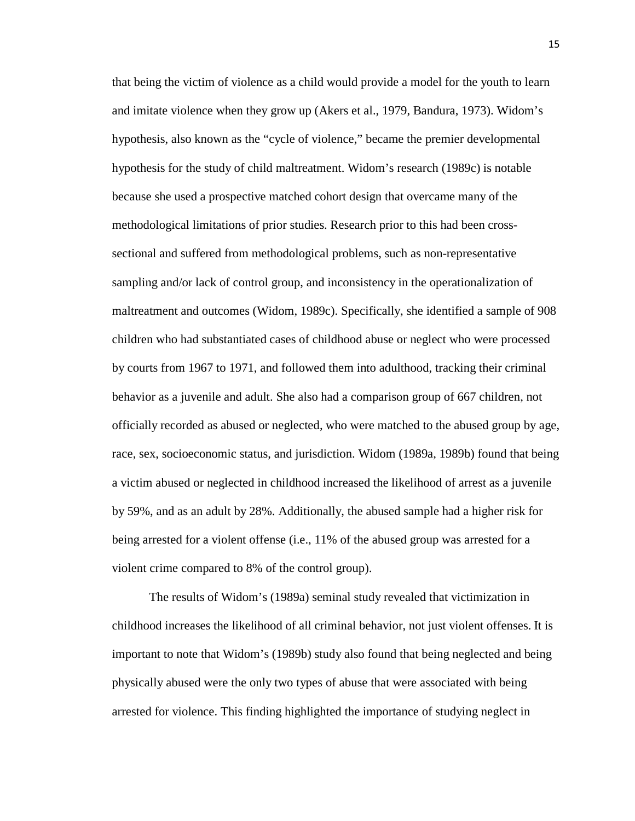that being the victim of violence as a child would provide a model for the youth to learn and imitate violence when they grow up (Akers et al., 1979, Bandura, 1973). Widom's hypothesis, also known as the "cycle of violence," became the premier developmental hypothesis for the study of child maltreatment. Widom's research (1989c) is notable because she used a prospective matched cohort design that overcame many of the methodological limitations of prior studies. Research prior to this had been crosssectional and suffered from methodological problems, such as non-representative sampling and/or lack of control group, and inconsistency in the operationalization of maltreatment and outcomes (Widom, 1989c). Specifically, she identified a sample of 908 children who had substantiated cases of childhood abuse or neglect who were processed by courts from 1967 to 1971, and followed them into adulthood, tracking their criminal behavior as a juvenile and adult. She also had a comparison group of 667 children, not officially recorded as abused or neglected, who were matched to the abused group by age, race, sex, socioeconomic status, and jurisdiction. Widom (1989a, 1989b) found that being a victim abused or neglected in childhood increased the likelihood of arrest as a juvenile by 59%, and as an adult by 28%. Additionally, the abused sample had a higher risk for being arrested for a violent offense (i.e., 11% of the abused group was arrested for a violent crime compared to 8% of the control group).

The results of Widom's (1989a) seminal study revealed that victimization in childhood increases the likelihood of all criminal behavior, not just violent offenses. It is important to note that Widom's (1989b) study also found that being neglected and being physically abused were the only two types of abuse that were associated with being arrested for violence. This finding highlighted the importance of studying neglect in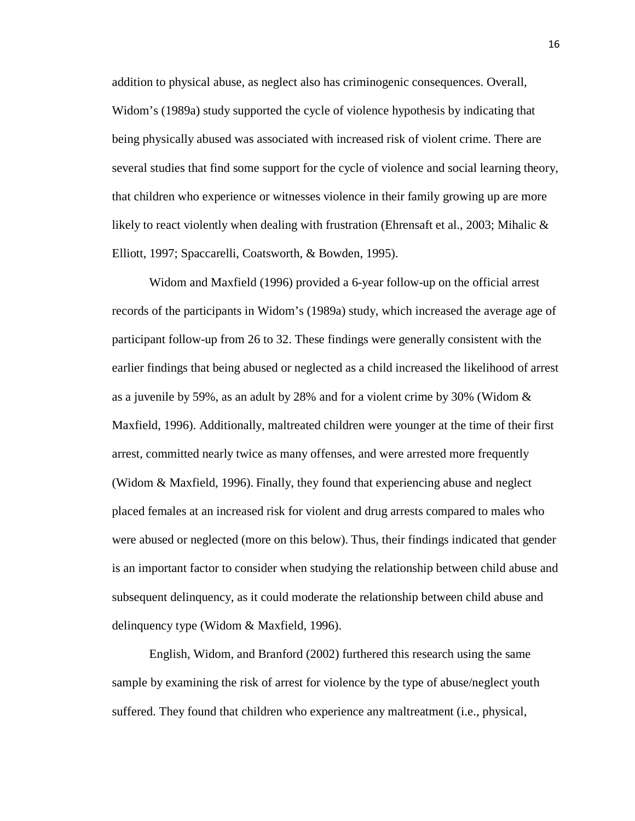addition to physical abuse, as neglect also has criminogenic consequences. Overall, Widom's (1989a) study supported the cycle of violence hypothesis by indicating that being physically abused was associated with increased risk of violent crime. There are several studies that find some support for the cycle of violence and social learning theory, that children who experience or witnesses violence in their family growing up are more likely to react violently when dealing with frustration (Ehrensaft et al., 2003; Mihalic & Elliott, 1997; Spaccarelli, Coatsworth, & Bowden, 1995).

Widom and Maxfield (1996) provided a 6-year follow-up on the official arrest records of the participants in Widom's (1989a) study, which increased the average age of participant follow-up from 26 to 32. These findings were generally consistent with the earlier findings that being abused or neglected as a child increased the likelihood of arrest as a juvenile by 59%, as an adult by 28% and for a violent crime by 30% (Widom & Maxfield, 1996). Additionally, maltreated children were younger at the time of their first arrest, committed nearly twice as many offenses, and were arrested more frequently (Widom & Maxfield, 1996). Finally, they found that experiencing abuse and neglect placed females at an increased risk for violent and drug arrests compared to males who were abused or neglected (more on this below). Thus, their findings indicated that gender is an important factor to consider when studying the relationship between child abuse and subsequent delinquency, as it could moderate the relationship between child abuse and delinquency type (Widom & Maxfield, 1996).

English, Widom, and Branford (2002) furthered this research using the same sample by examining the risk of arrest for violence by the type of abuse/neglect youth suffered. They found that children who experience any maltreatment (i.e., physical,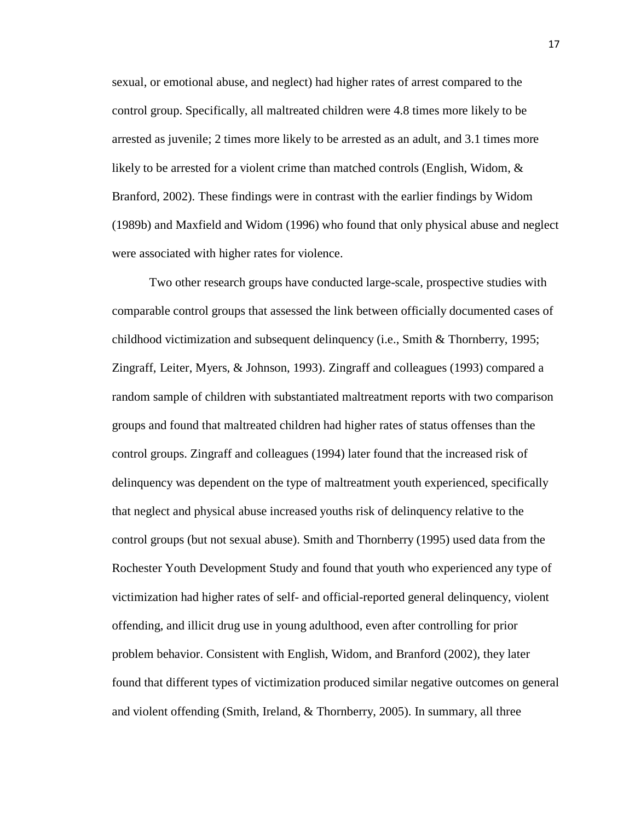sexual, or emotional abuse, and neglect) had higher rates of arrest compared to the control group. Specifically, all maltreated children were 4.8 times more likely to be arrested as juvenile; 2 times more likely to be arrested as an adult, and 3.1 times more likely to be arrested for a violent crime than matched controls (English, Widom, & Branford, 2002). These findings were in contrast with the earlier findings by Widom (1989b) and Maxfield and Widom (1996) who found that only physical abuse and neglect were associated with higher rates for violence.

Two other research groups have conducted large-scale, prospective studies with comparable control groups that assessed the link between officially documented cases of childhood victimization and subsequent delinquency (i.e., Smith & Thornberry, 1995; Zingraff, Leiter, Myers, & Johnson, 1993). Zingraff and colleagues (1993) compared a random sample of children with substantiated maltreatment reports with two comparison groups and found that maltreated children had higher rates of status offenses than the control groups. Zingraff and colleagues (1994) later found that the increased risk of delinquency was dependent on the type of maltreatment youth experienced, specifically that neglect and physical abuse increased youths risk of delinquency relative to the control groups (but not sexual abuse). Smith and Thornberry (1995) used data from the Rochester Youth Development Study and found that youth who experienced any type of victimization had higher rates of self- and official-reported general delinquency, violent offending, and illicit drug use in young adulthood, even after controlling for prior problem behavior. Consistent with English, Widom, and Branford (2002), they later found that different types of victimization produced similar negative outcomes on general and violent offending (Smith, Ireland, & Thornberry, 2005). In summary, all three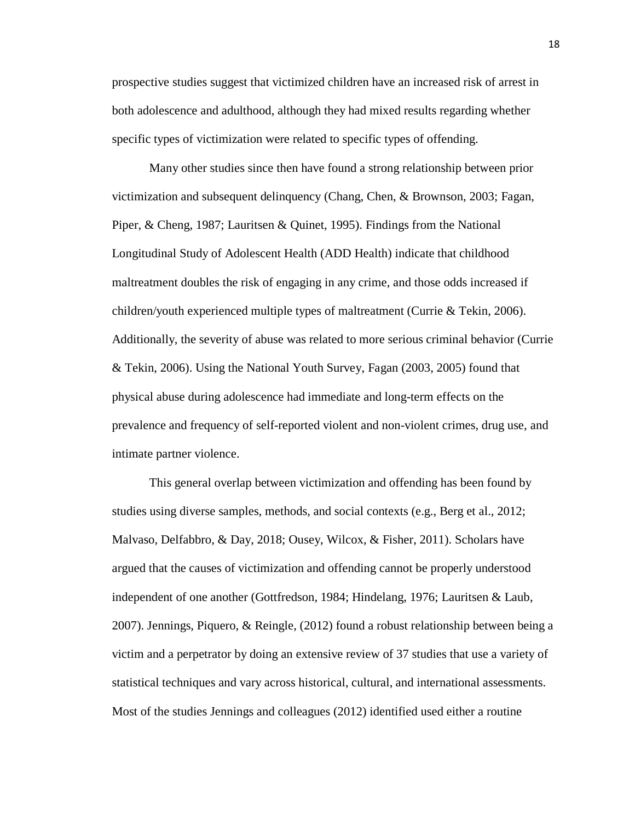prospective studies suggest that victimized children have an increased risk of arrest in both adolescence and adulthood, although they had mixed results regarding whether specific types of victimization were related to specific types of offending.

Many other studies since then have found a strong relationship between prior victimization and subsequent delinquency (Chang, Chen, & Brownson, 2003; Fagan, Piper, & Cheng, 1987; Lauritsen & Quinet, 1995). Findings from the National Longitudinal Study of Adolescent Health (ADD Health) indicate that childhood maltreatment doubles the risk of engaging in any crime, and those odds increased if children/youth experienced multiple types of maltreatment (Currie & Tekin, 2006). Additionally, the severity of abuse was related to more serious criminal behavior (Currie & Tekin, 2006). Using the National Youth Survey, Fagan (2003, 2005) found that physical abuse during adolescence had immediate and long-term effects on the prevalence and frequency of self-reported violent and non-violent crimes, drug use, and intimate partner violence.

This general overlap between victimization and offending has been found by studies using diverse samples, methods, and social contexts (e.g., Berg et al., 2012; Malvaso, Delfabbro, & Day, 2018; Ousey, Wilcox, & Fisher, 2011). Scholars have argued that the causes of victimization and offending cannot be properly understood independent of one another (Gottfredson, 1984; Hindelang, 1976; Lauritsen & Laub, 2007). Jennings, Piquero, & Reingle, (2012) found a robust relationship between being a victim and a perpetrator by doing an extensive review of 37 studies that use a variety of statistical techniques and vary across historical, cultural, and international assessments. Most of the studies Jennings and colleagues (2012) identified used either a routine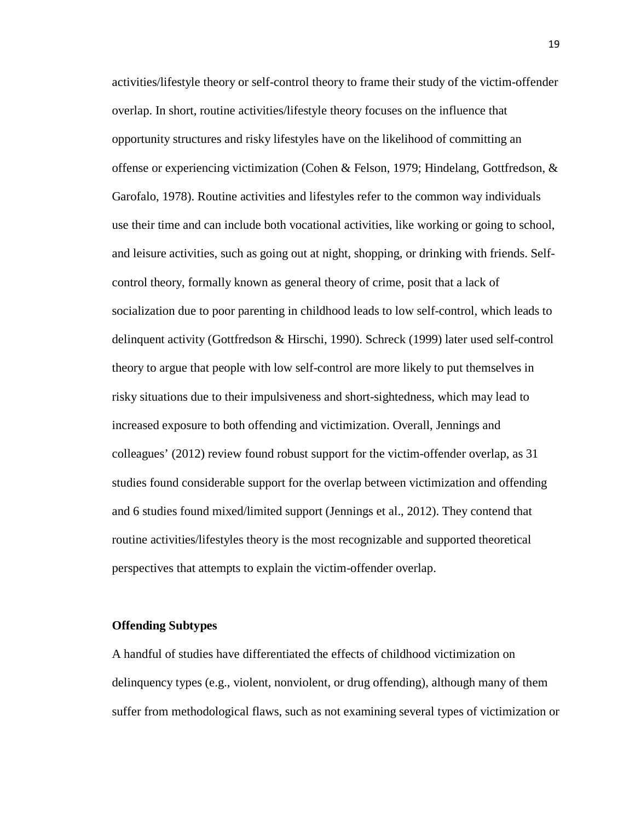activities/lifestyle theory or self-control theory to frame their study of the victim-offender overlap. In short, routine activities/lifestyle theory focuses on the influence that opportunity structures and risky lifestyles have on the likelihood of committing an offense or experiencing victimization (Cohen & Felson, 1979; Hindelang, Gottfredson, & Garofalo, 1978). Routine activities and lifestyles refer to the common way individuals use their time and can include both vocational activities, like working or going to school, and leisure activities, such as going out at night, shopping, or drinking with friends. Selfcontrol theory, formally known as general theory of crime, posit that a lack of socialization due to poor parenting in childhood leads to low self-control, which leads to delinquent activity (Gottfredson & Hirschi, 1990). Schreck (1999) later used self-control theory to argue that people with low self-control are more likely to put themselves in risky situations due to their impulsiveness and short-sightedness, which may lead to increased exposure to both offending and victimization. Overall, Jennings and colleagues' (2012) review found robust support for the victim-offender overlap, as 31 studies found considerable support for the overlap between victimization and offending and 6 studies found mixed/limited support (Jennings et al., 2012). They contend that routine activities/lifestyles theory is the most recognizable and supported theoretical perspectives that attempts to explain the victim-offender overlap.

### **Offending Subtypes**

A handful of studies have differentiated the effects of childhood victimization on delinquency types (e.g., violent, nonviolent, or drug offending), although many of them suffer from methodological flaws, such as not examining several types of victimization or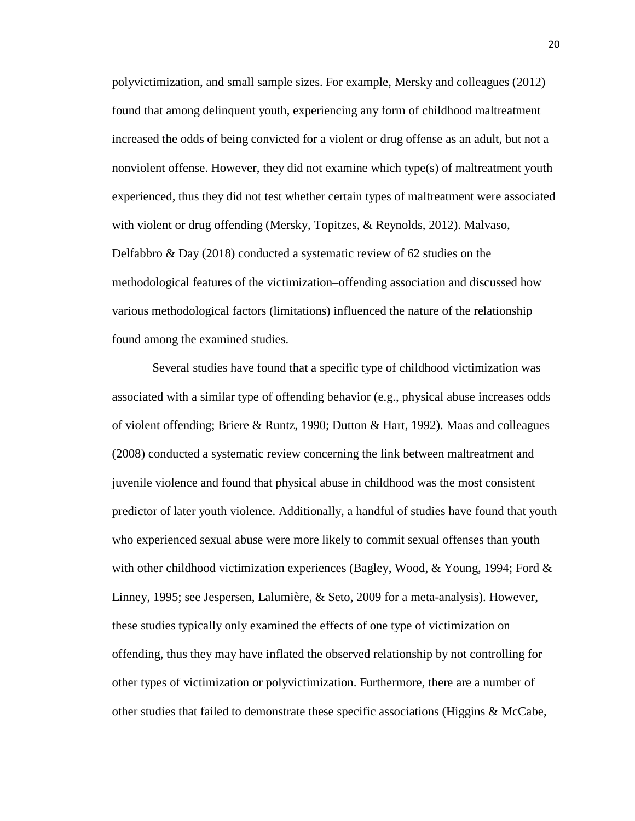polyvictimization, and small sample sizes. For example, Mersky and colleagues (2012) found that among delinquent youth, experiencing any form of childhood maltreatment increased the odds of being convicted for a violent or drug offense as an adult, but not a nonviolent offense. However, they did not examine which type(s) of maltreatment youth experienced, thus they did not test whether certain types of maltreatment were associated with violent or drug offending (Mersky, Topitzes, & Reynolds, 2012). Malvaso, Delfabbro & Day (2018) conducted a systematic review of 62 studies on the methodological features of the victimization–offending association and discussed how various methodological factors (limitations) influenced the nature of the relationship found among the examined studies.

Several studies have found that a specific type of childhood victimization was associated with a similar type of offending behavior (e.g., physical abuse increases odds of violent offending; Briere & Runtz, 1990; Dutton & Hart, 1992). Maas and colleagues (2008) conducted a systematic review concerning the link between maltreatment and juvenile violence and found that physical abuse in childhood was the most consistent predictor of later youth violence. Additionally, a handful of studies have found that youth who experienced sexual abuse were more likely to commit sexual offenses than youth with other childhood victimization experiences (Bagley, Wood,  $&$  Young, 1994; Ford  $&$ Linney, 1995; see Jespersen, Lalumière, & Seto, 2009 for a meta-analysis). However, these studies typically only examined the effects of one type of victimization on offending, thus they may have inflated the observed relationship by not controlling for other types of victimization or polyvictimization. Furthermore, there are a number of other studies that failed to demonstrate these specific associations (Higgins  $\&$  McCabe,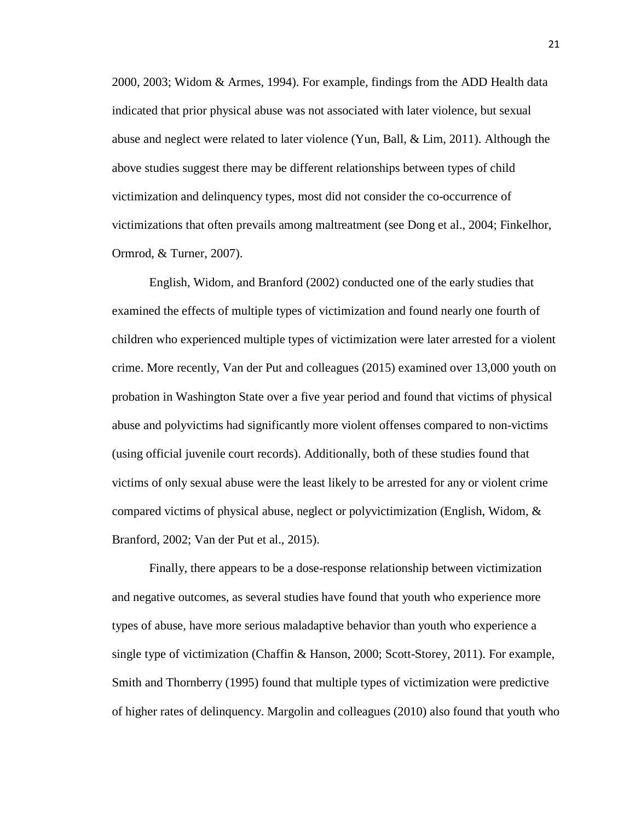2000, 2003; Widom & Armes, 1994). For example, findings from the ADD Health data indicated that prior physical abuse was not associated with later violence, but sexual abuse and neglect were related to later violence (Yun, Ball, & Lim, 2011). Although the above studies suggest there may be different relationships between types of child victimization and delinquency types, most did not consider the co-occurrence of victimizations that often prevails among maltreatment (see Dong et al., 2004; Finkelhor, Ormrod, & Turner, 2007).

English, Widom, and Branford (2002) conducted one of the early studies that examined the effects of multiple types of victimization and found nearly one fourth of children who experienced multiple types of victimization were later arrested for a violent crime. More recently, Van der Put and colleagues (2015) examined over 13,000 youth on probation in Washington State over a five year period and found that victims of physical abuse and polyvictims had significantly more violent offenses compared to non-victims (using official juvenile court records). Additionally, both of these studies found that victims of only sexual abuse were the least likely to be arrested for any or violent crime compared victims of physical abuse, neglect or polyvictimization (English, Widom, & Branford, 2002; Van der Put et al., 2015).

Finally, there appears to be a dose-response relationship between victimization and negative outcomes, as several studies have found that youth who experience more types of abuse, have more serious maladaptive behavior than youth who experience a single type of victimization (Chaffin & Hanson, 2000; Scott-Storey, 2011). For example, Smith and Thornberry (1995) found that multiple types of victimization were predictive of higher rates of delinquency. Margolin and colleagues (2010) also found that youth who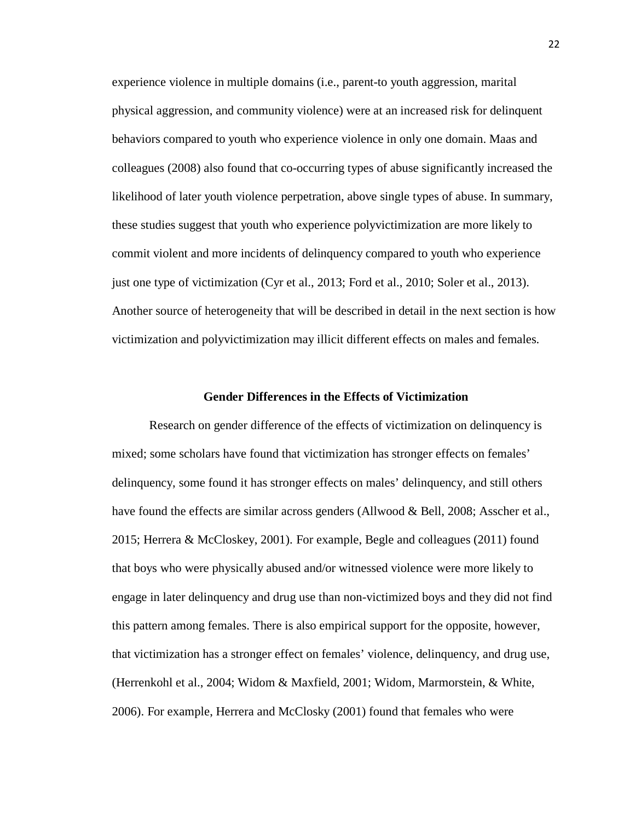experience violence in multiple domains (i.e., parent-to youth aggression, marital physical aggression, and community violence) were at an increased risk for delinquent behaviors compared to youth who experience violence in only one domain. Maas and colleagues (2008) also found that co-occurring types of abuse significantly increased the likelihood of later youth violence perpetration, above single types of abuse. In summary, these studies suggest that youth who experience polyvictimization are more likely to commit violent and more incidents of delinquency compared to youth who experience just one type of victimization (Cyr et al., 2013; Ford et al., 2010; Soler et al., 2013). Another source of heterogeneity that will be described in detail in the next section is how victimization and polyvictimization may illicit different effects on males and females.

### **Gender Differences in the Effects of Victimization**

Research on gender difference of the effects of victimization on delinquency is mixed; some scholars have found that victimization has stronger effects on females' delinquency, some found it has stronger effects on males' delinquency, and still others have found the effects are similar across genders (Allwood & Bell, 2008; Asscher et al., 2015; Herrera & McCloskey, 2001). For example, Begle and colleagues (2011) found that boys who were physically abused and/or witnessed violence were more likely to engage in later delinquency and drug use than non-victimized boys and they did not find this pattern among females. There is also empirical support for the opposite, however, that victimization has a stronger effect on females' violence, delinquency, and drug use, (Herrenkohl et al., 2004; Widom & Maxfield, 2001; Widom, Marmorstein, & White, 2006). For example, Herrera and McClosky (2001) found that females who were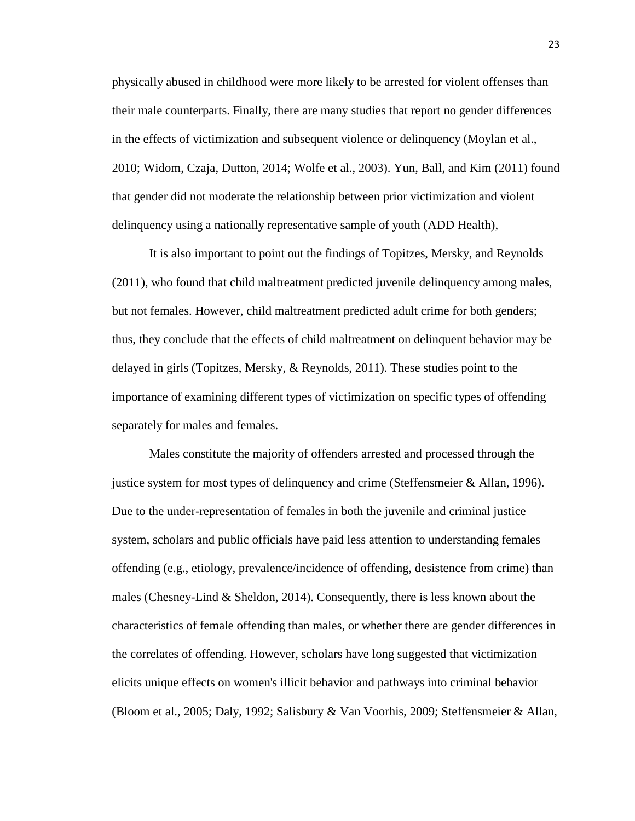physically abused in childhood were more likely to be arrested for violent offenses than their male counterparts. Finally, there are many studies that report no gender differences in the effects of victimization and subsequent violence or delinquency (Moylan et al., 2010; Widom, Czaja, Dutton, 2014; Wolfe et al., 2003). Yun, Ball, and Kim (2011) found that gender did not moderate the relationship between prior victimization and violent delinquency using a nationally representative sample of youth (ADD Health),

It is also important to point out the findings of Topitzes, Mersky, and Reynolds (2011), who found that child maltreatment predicted juvenile delinquency among males, but not females. However, child maltreatment predicted adult crime for both genders; thus, they conclude that the effects of child maltreatment on delinquent behavior may be delayed in girls (Topitzes, Mersky, & Reynolds, 2011). These studies point to the importance of examining different types of victimization on specific types of offending separately for males and females.

Males constitute the majority of offenders arrested and processed through the justice system for most types of delinquency and crime (Steffensmeier & Allan, 1996). Due to the under-representation of females in both the juvenile and criminal justice system, scholars and public officials have paid less attention to understanding females offending (e.g., etiology, prevalence/incidence of offending, desistence from crime) than males (Chesney-Lind & Sheldon, 2014). Consequently, there is less known about the characteristics of female offending than males, or whether there are gender differences in the correlates of offending. However, scholars have long suggested that victimization elicits unique effects on women's illicit behavior and pathways into criminal behavior (Bloom et al., 2005; Daly, 1992; Salisbury & Van Voorhis, 2009; Steffensmeier & Allan,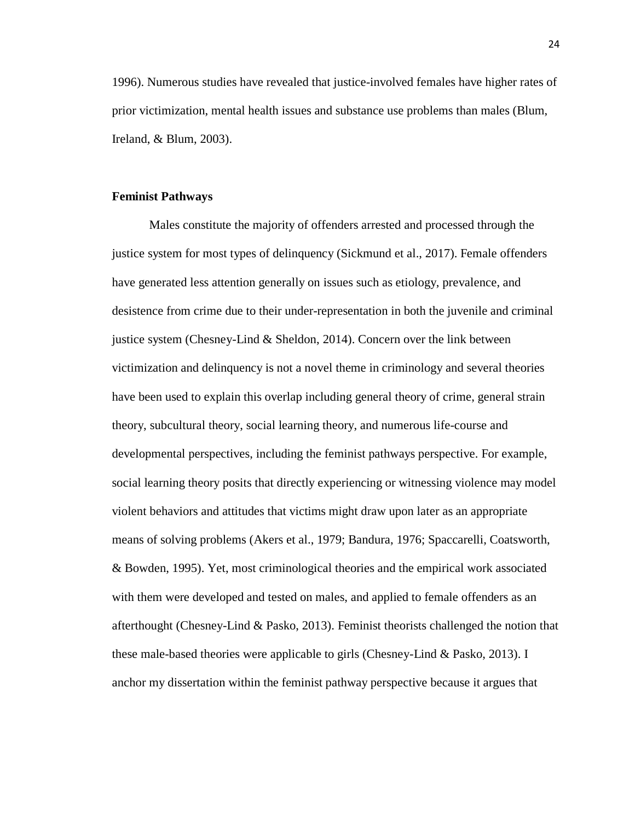1996). Numerous studies have revealed that justice-involved females have higher rates of prior victimization, mental health issues and substance use problems than males (Blum, Ireland, & Blum, 2003).

#### **Feminist Pathways**

Males constitute the majority of offenders arrested and processed through the justice system for most types of delinquency (Sickmund et al., 2017). Female offenders have generated less attention generally on issues such as etiology, prevalence, and desistence from crime due to their under-representation in both the juvenile and criminal justice system (Chesney-Lind & Sheldon, 2014). Concern over the link between victimization and delinquency is not a novel theme in criminology and several theories have been used to explain this overlap including general theory of crime, general strain theory, subcultural theory, social learning theory, and numerous life-course and developmental perspectives, including the feminist pathways perspective. For example, social learning theory posits that directly experiencing or witnessing violence may model violent behaviors and attitudes that victims might draw upon later as an appropriate means of solving problems (Akers et al., 1979; Bandura, 1976; Spaccarelli, Coatsworth, & Bowden, 1995). Yet, most criminological theories and the empirical work associated with them were developed and tested on males, and applied to female offenders as an afterthought (Chesney-Lind & Pasko, 2013). Feminist theorists challenged the notion that these male-based theories were applicable to girls (Chesney-Lind & Pasko, 2013). I anchor my dissertation within the feminist pathway perspective because it argues that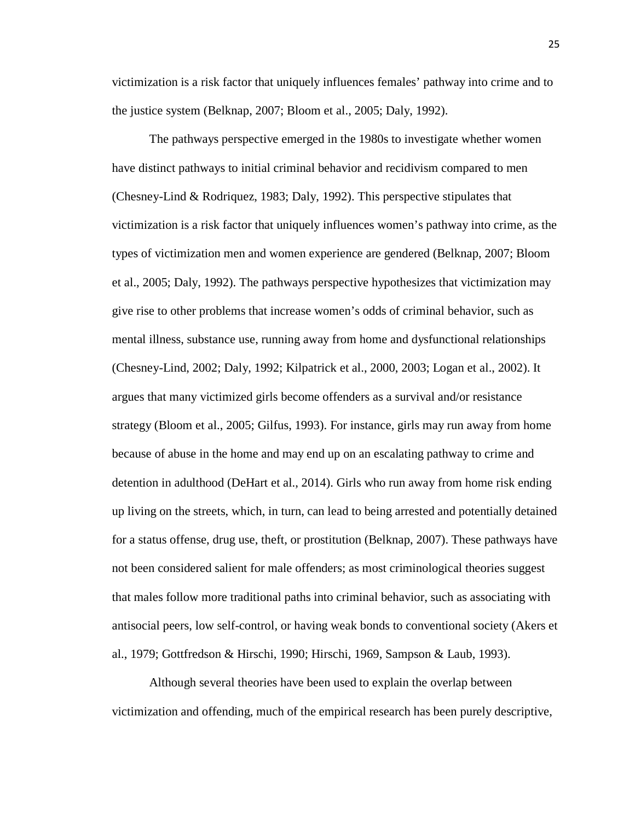victimization is a risk factor that uniquely influences females' pathway into crime and to the justice system (Belknap, 2007; Bloom et al., 2005; Daly, 1992).

The pathways perspective emerged in the 1980s to investigate whether women have distinct pathways to initial criminal behavior and recidivism compared to men (Chesney-Lind & Rodriquez, 1983; Daly, 1992). This perspective stipulates that victimization is a risk factor that uniquely influences women's pathway into crime, as the types of victimization men and women experience are gendered (Belknap, 2007; Bloom et al., 2005; Daly, 1992). The pathways perspective hypothesizes that victimization may give rise to other problems that increase women's odds of criminal behavior, such as mental illness, substance use, running away from home and dysfunctional relationships (Chesney-Lind, 2002; Daly, 1992; Kilpatrick et al., 2000, 2003; Logan et al., 2002). It argues that many victimized girls become offenders as a survival and/or resistance strategy (Bloom et al., 2005; Gilfus, 1993). For instance, girls may run away from home because of abuse in the home and may end up on an escalating pathway to crime and detention in adulthood (DeHart et al., 2014). Girls who run away from home risk ending up living on the streets, which, in turn, can lead to being arrested and potentially detained for a status offense, drug use, theft, or prostitution (Belknap, 2007). These pathways have not been considered salient for male offenders; as most criminological theories suggest that males follow more traditional paths into criminal behavior, such as associating with antisocial peers, low self-control, or having weak bonds to conventional society (Akers et al., 1979; Gottfredson & Hirschi, 1990; Hirschi, 1969, Sampson & Laub, 1993).

Although several theories have been used to explain the overlap between victimization and offending, much of the empirical research has been purely descriptive,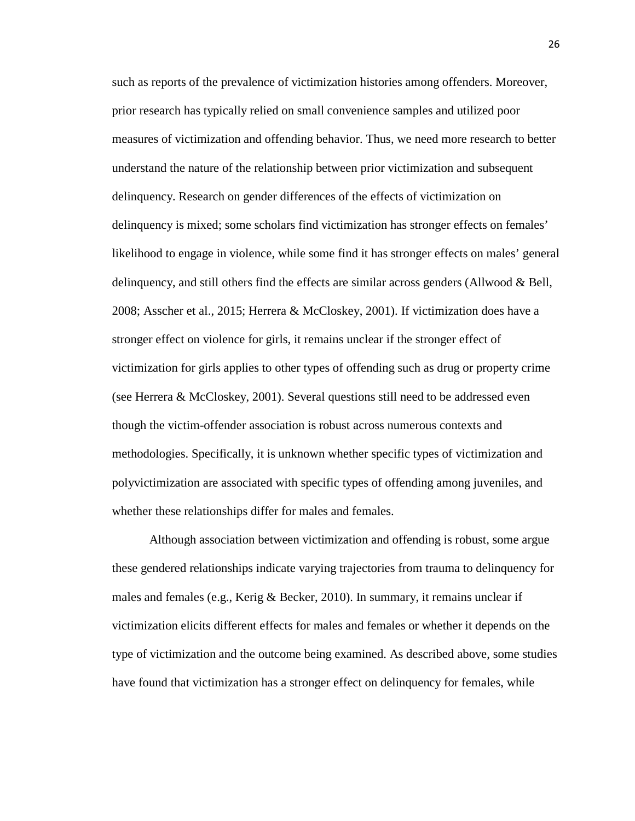such as reports of the prevalence of victimization histories among offenders. Moreover, prior research has typically relied on small convenience samples and utilized poor measures of victimization and offending behavior. Thus, we need more research to better understand the nature of the relationship between prior victimization and subsequent delinquency. Research on gender differences of the effects of victimization on delinquency is mixed; some scholars find victimization has stronger effects on females' likelihood to engage in violence, while some find it has stronger effects on males' general delinquency, and still others find the effects are similar across genders (Allwood & Bell, 2008; Asscher et al., 2015; Herrera & McCloskey, 2001). If victimization does have a stronger effect on violence for girls, it remains unclear if the stronger effect of victimization for girls applies to other types of offending such as drug or property crime (see Herrera & McCloskey, 2001). Several questions still need to be addressed even though the victim-offender association is robust across numerous contexts and methodologies. Specifically, it is unknown whether specific types of victimization and polyvictimization are associated with specific types of offending among juveniles, and whether these relationships differ for males and females.

Although association between victimization and offending is robust, some argue these gendered relationships indicate varying trajectories from trauma to delinquency for males and females (e.g., Kerig & Becker, 2010). In summary, it remains unclear if victimization elicits different effects for males and females or whether it depends on the type of victimization and the outcome being examined. As described above, some studies have found that victimization has a stronger effect on delinquency for females, while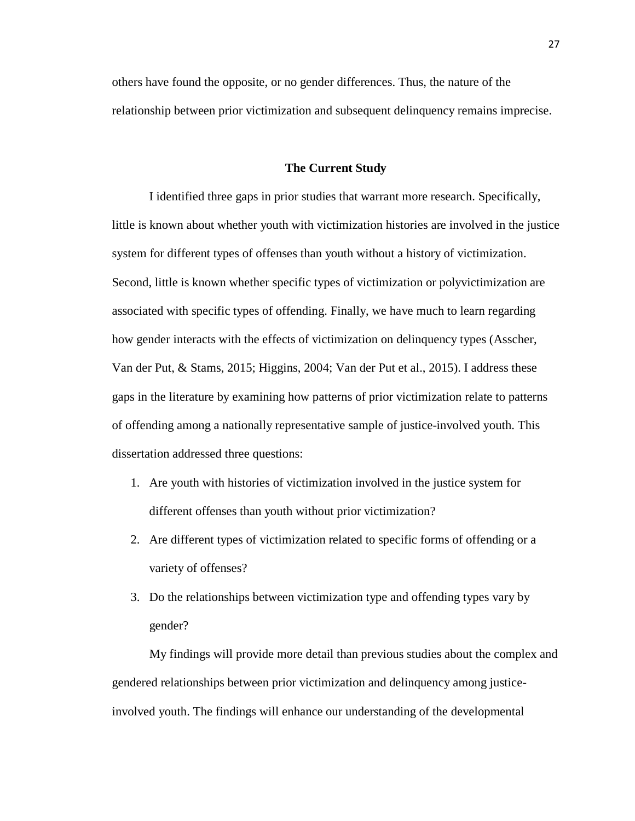others have found the opposite, or no gender differences. Thus, the nature of the relationship between prior victimization and subsequent delinquency remains imprecise.

## **The Current Study**

I identified three gaps in prior studies that warrant more research. Specifically, little is known about whether youth with victimization histories are involved in the justice system for different types of offenses than youth without a history of victimization. Second, little is known whether specific types of victimization or polyvictimization are associated with specific types of offending. Finally, we have much to learn regarding how gender interacts with the effects of victimization on delinquency types (Asscher, Van der Put, & Stams, 2015; Higgins, 2004; Van der Put et al., 2015). I address these gaps in the literature by examining how patterns of prior victimization relate to patterns of offending among a nationally representative sample of justice-involved youth. This dissertation addressed three questions:

- 1. Are youth with histories of victimization involved in the justice system for different offenses than youth without prior victimization?
- 2. Are different types of victimization related to specific forms of offending or a variety of offenses?
- 3. Do the relationships between victimization type and offending types vary by gender?

My findings will provide more detail than previous studies about the complex and gendered relationships between prior victimization and delinquency among justiceinvolved youth. The findings will enhance our understanding of the developmental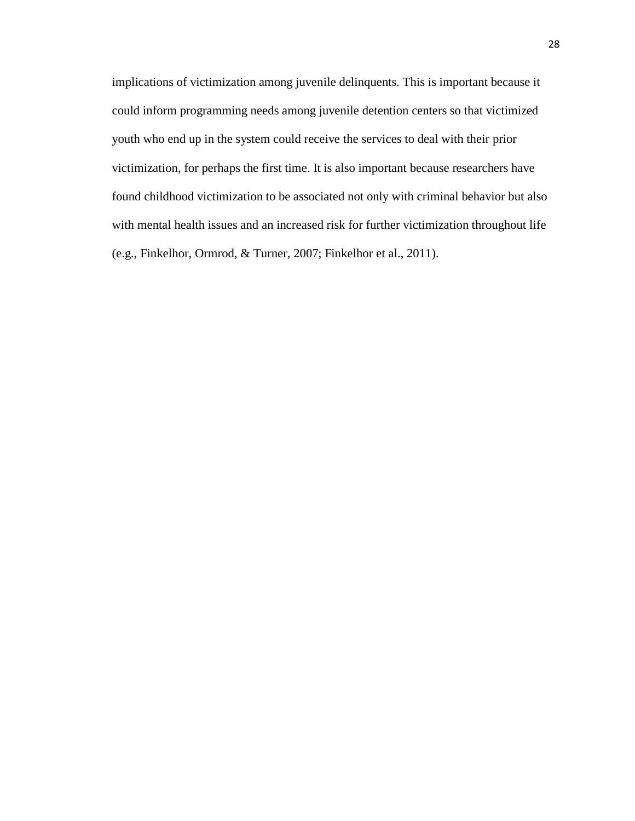implications of victimization among juvenile delinquents. This is important because it could inform programming needs among juvenile detention centers so that victimized youth who end up in the system could receive the services to deal with their prior victimization, for perhaps the first time. It is also important because researchers have found childhood victimization to be associated not only with criminal behavior but also with mental health issues and an increased risk for further victimization throughout life (e.g., Finkelhor, Ormrod, & Turner, 2007; Finkelhor et al., 2011).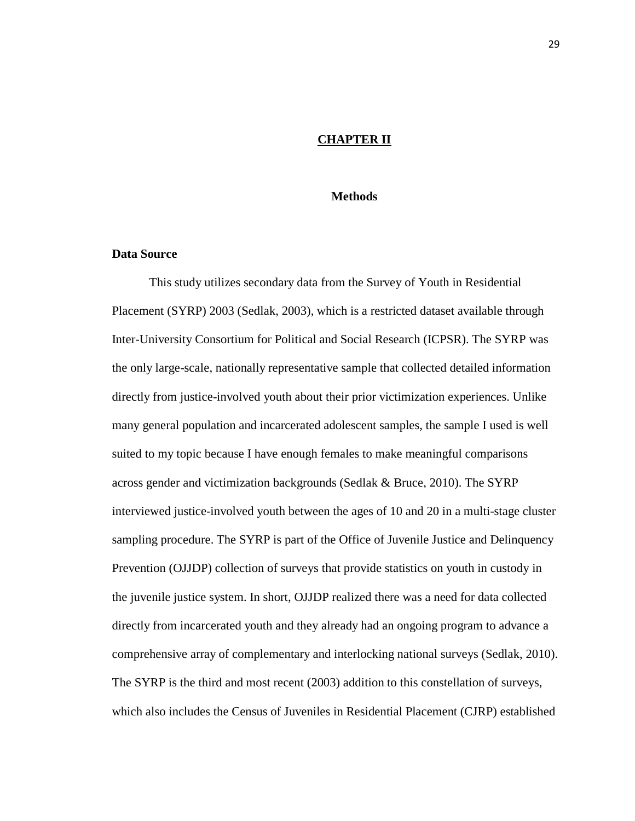# **CHAPTER II**

## **Methods**

## **Data Source**

This study utilizes secondary data from the Survey of Youth in Residential Placement (SYRP) 2003 (Sedlak, 2003), which is a restricted dataset available through Inter-University Consortium for Political and Social Research (ICPSR). The SYRP was the only large-scale, nationally representative sample that collected detailed information directly from justice-involved youth about their prior victimization experiences. Unlike many general population and incarcerated adolescent samples, the sample I used is well suited to my topic because I have enough females to make meaningful comparisons across gender and victimization backgrounds (Sedlak & Bruce, 2010). The SYRP interviewed justice-involved youth between the ages of 10 and 20 in a multi-stage cluster sampling procedure. The SYRP is part of the Office of Juvenile Justice and Delinquency Prevention (OJJDP) collection of surveys that provide statistics on youth in custody in the juvenile justice system. In short, OJJDP realized there was a need for data collected directly from incarcerated youth and they already had an ongoing program to advance a comprehensive array of complementary and interlocking national surveys (Sedlak, 2010). The SYRP is the third and most recent (2003) addition to this constellation of surveys, which also includes the Census of Juveniles in Residential Placement (CJRP) established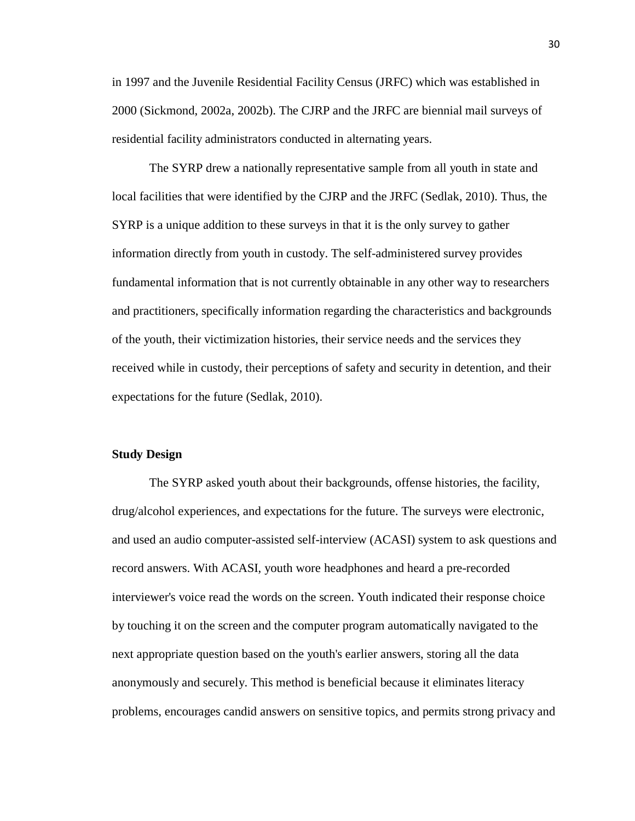in 1997 and the Juvenile Residential Facility Census (JRFC) which was established in 2000 (Sickmond, 2002a, 2002b). The CJRP and the JRFC are biennial mail surveys of residential facility administrators conducted in alternating years.

The SYRP drew a nationally representative sample from all youth in state and local facilities that were identified by the CJRP and the JRFC (Sedlak, 2010). Thus, the SYRP is a unique addition to these surveys in that it is the only survey to gather information directly from youth in custody. The self-administered survey provides fundamental information that is not currently obtainable in any other way to researchers and practitioners, specifically information regarding the characteristics and backgrounds of the youth, their victimization histories, their service needs and the services they received while in custody, their perceptions of safety and security in detention, and their expectations for the future (Sedlak, 2010).

## **Study Design**

The SYRP asked youth about their backgrounds, offense histories, the facility, drug/alcohol experiences, and expectations for the future. The surveys were electronic, and used an audio computer-assisted self-interview (ACASI) system to ask questions and record answers. With ACASI, youth wore headphones and heard a pre-recorded interviewer's voice read the words on the screen. Youth indicated their response choice by touching it on the screen and the computer program automatically navigated to the next appropriate question based on the youth's earlier answers, storing all the data anonymously and securely. This method is beneficial because it eliminates literacy problems, encourages candid answers on sensitive topics, and permits strong privacy and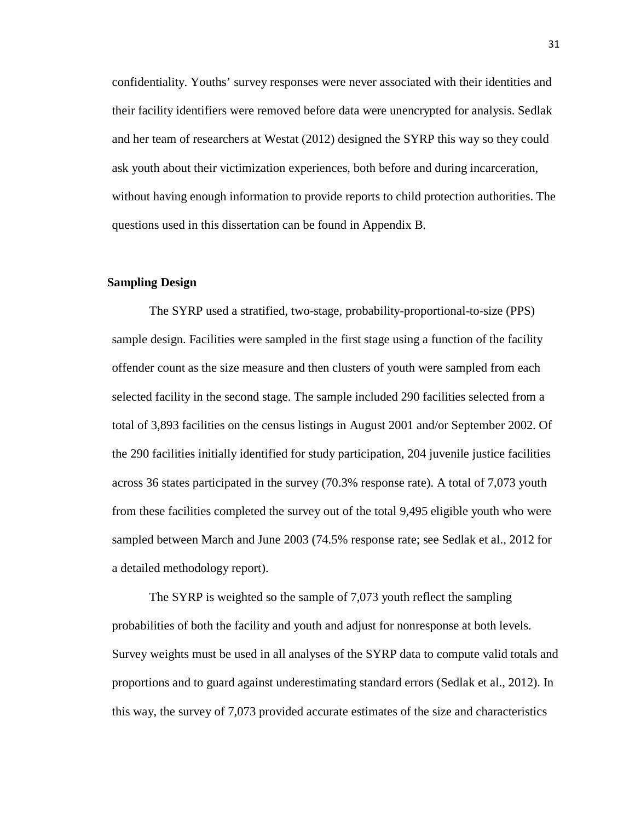confidentiality. Youths' survey responses were never associated with their identities and their facility identifiers were removed before data were unencrypted for analysis. Sedlak and her team of researchers at Westat (2012) designed the SYRP this way so they could ask youth about their victimization experiences, both before and during incarceration, without having enough information to provide reports to child protection authorities. The questions used in this dissertation can be found in Appendix B.

# **Sampling Design**

The SYRP used a stratified, two-stage, probability-proportional-to-size (PPS) sample design. Facilities were sampled in the first stage using a function of the facility offender count as the size measure and then clusters of youth were sampled from each selected facility in the second stage. The sample included 290 facilities selected from a total of 3,893 facilities on the census listings in August 2001 and/or September 2002. Of the 290 facilities initially identified for study participation, 204 juvenile justice facilities across 36 states participated in the survey (70.3% response rate). A total of 7,073 youth from these facilities completed the survey out of the total 9,495 eligible youth who were sampled between March and June 2003 (74.5% response rate; see Sedlak et al., 2012 for a detailed methodology report).

The SYRP is weighted so the sample of 7,073 youth reflect the sampling probabilities of both the facility and youth and adjust for nonresponse at both levels. Survey weights must be used in all analyses of the SYRP data to compute valid totals and proportions and to guard against underestimating standard errors (Sedlak et al., 2012). In this way, the survey of 7,073 provided accurate estimates of the size and characteristics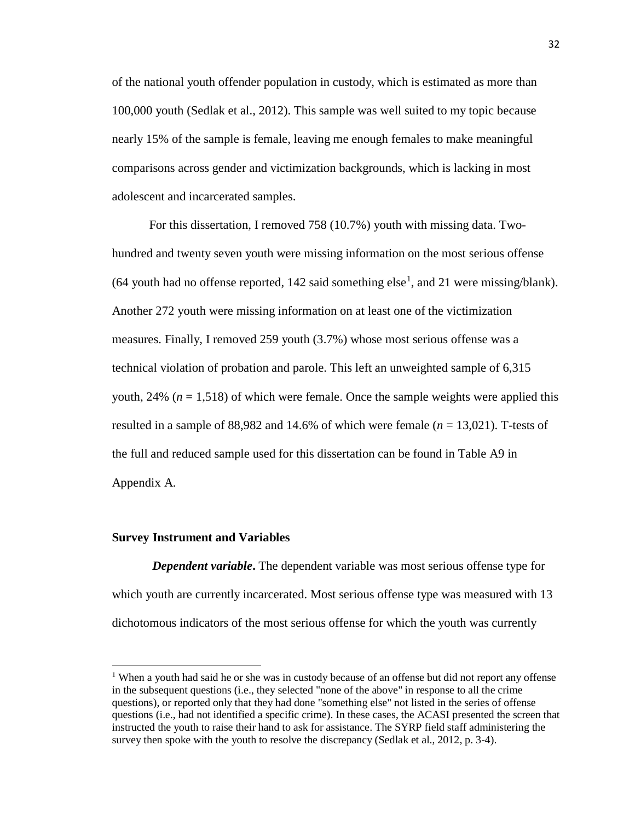of the national youth offender population in custody, which is estimated as more than 100,000 youth (Sedlak et al., 2012). This sample was well suited to my topic because nearly 15% of the sample is female, leaving me enough females to make meaningful comparisons across gender and victimization backgrounds, which is lacking in most adolescent and incarcerated samples.

For this dissertation, I removed 758 (10.7%) youth with missing data. Twohundred and twenty seven youth were missing information on the most serious offense (64 youth had no offense reported,  $142$  $142$  said something else<sup>1</sup>, and 21 were missing/blank). Another 272 youth were missing information on at least one of the victimization measures. Finally, I removed 259 youth (3.7%) whose most serious offense was a technical violation of probation and parole. This left an unweighted sample of 6,315 youth,  $24\%$  ( $n = 1,518$ ) of which were female. Once the sample weights were applied this resulted in a sample of 88,982 and 14.6% of which were female (*n* = 13,021). T-tests of the full and reduced sample used for this dissertation can be found in Table A9 in Appendix A.

## **Survey Instrument and Variables**

 $\overline{a}$ 

*Dependent variable***.** The dependent variable was most serious offense type for which youth are currently incarcerated. Most serious offense type was measured with 13 dichotomous indicators of the most serious offense for which the youth was currently

<span id="page-42-0"></span><sup>&</sup>lt;sup>1</sup> When a youth had said he or she was in custody because of an offense but did not report any offense in the subsequent questions (i.e., they selected "none of the above" in response to all the crime questions), or reported only that they had done "something else" not listed in the series of offense questions (i.e., had not identified a specific crime). In these cases, the ACASI presented the screen that instructed the youth to raise their hand to ask for assistance. The SYRP field staff administering the survey then spoke with the youth to resolve the discrepancy (Sedlak et al., 2012, p. 3-4).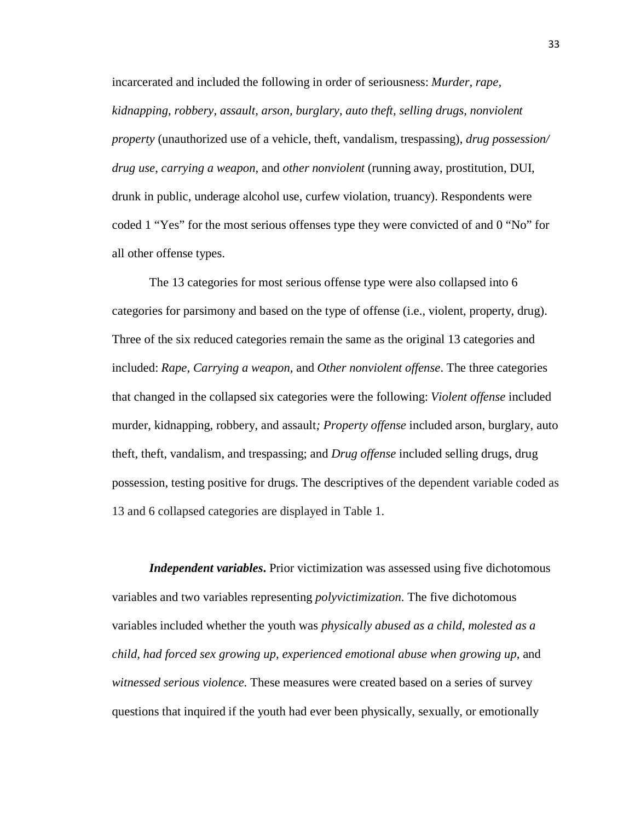incarcerated and included the following in order of seriousness: *Murder, rape, kidnapping, robbery, assault, arson, burglary, auto theft, selling drugs, nonviolent property* (unauthorized use of a vehicle, theft, vandalism, trespassing), *drug possession/ drug use*, *carrying a weapon*, and *other nonviolent* (running away, prostitution, DUI, drunk in public, underage alcohol use, curfew violation, truancy). Respondents were coded 1 "Yes" for the most serious offenses type they were convicted of and 0 "No" for all other offense types.

The 13 categories for most serious offense type were also collapsed into 6 categories for parsimony and based on the type of offense (i.e., violent, property, drug). Three of the six reduced categories remain the same as the original 13 categories and included: *Rape, Carrying a weapon,* and *Other nonviolent offense*. The three categories that changed in the collapsed six categories were the following: *Violent offense* included murder, kidnapping, robbery, and assault*; Property offense* included arson, burglary, auto theft, theft, vandalism, and trespassing; and *Drug offense* included selling drugs, drug possession, testing positive for drugs. The descriptives of the dependent variable coded as 13 and 6 collapsed categories are displayed in Table 1.

*Independent variables***.** Prior victimization was assessed using five dichotomous variables and two variables representing *polyvictimization*. The five dichotomous variables included whether the youth was *physically abused as a child*, *molested as a child, had forced sex growing up, experienced emotional abuse when growing up,* and *witnessed serious violence.* These measures were created based on a series of survey questions that inquired if the youth had ever been physically, sexually, or emotionally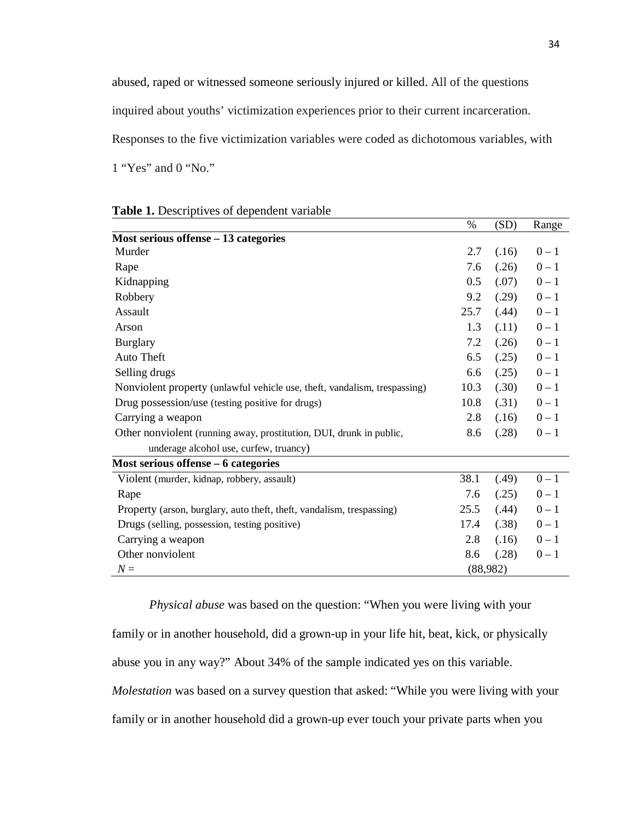abused, raped or witnessed someone seriously injured or killed. All of the questions inquired about youths' victimization experiences prior to their current incarceration. Responses to the five victimization variables were coded as dichotomous variables, with 1 "Yes" and 0 "No."

|                                                                           | $\%$ | (SD)     | Range   |
|---------------------------------------------------------------------------|------|----------|---------|
| Most serious offense $-13$ categories                                     |      |          |         |
| Murder                                                                    | 2.7  | (.16)    | $0 - 1$ |
| Rape                                                                      | 7.6  | (.26)    | $0 - 1$ |
| Kidnapping                                                                | 0.5  | (.07)    | $0 - 1$ |
| Robbery                                                                   | 9.2  | (.29)    | $0 - 1$ |
| Assault                                                                   | 25.7 | (.44)    | $0 - 1$ |
| Arson                                                                     | 1.3  | (.11)    | $0 - 1$ |
| <b>Burglary</b>                                                           | 7.2  | (.26)    | $0 - 1$ |
| Auto Theft                                                                | 6.5  | (.25)    | $0 - 1$ |
| Selling drugs                                                             | 6.6  | (.25)    | $0 - 1$ |
| Nonviolent property (unlawful vehicle use, theft, vandalism, trespassing) | 10.3 | (.30)    | $0 - 1$ |
| Drug possession/use (testing positive for drugs)                          | 10.8 | (.31)    | $0 - 1$ |
| Carrying a weapon                                                         | 2.8  | (.16)    | $0 - 1$ |
| Other nonviolent (running away, prostitution, DUI, drunk in public,       | 8.6  | (.28)    | $0 - 1$ |
| underage alcohol use, curfew, truancy)                                    |      |          |         |
| Most serious offense – 6 categories                                       |      |          |         |
| Violent (murder, kidnap, robbery, assault)                                | 38.1 | (.49)    | $0 - 1$ |
| Rape                                                                      | 7.6  | (.25)    | $0 - 1$ |
| Property (arson, burglary, auto theft, theft, vandalism, trespassing)     | 25.5 | (.44)    | $0 - 1$ |
| Drugs (selling, possession, testing positive)                             | 17.4 | (.38)    | $0 - 1$ |
| Carrying a weapon                                                         | 2.8  | (.16)    | $0 - 1$ |
| Other nonviolent                                                          | 8.6  | (.28)    | $0 - 1$ |
| $N =$                                                                     |      | (88,982) |         |

**Table 1.** Descriptives of dependent variable

*Physical abuse* was based on the question: "When you were living with your family or in another household, did a grown-up in your life hit, beat, kick, or physically abuse you in any way?" About 34% of the sample indicated yes on this variable.

*Molestation* was based on a survey question that asked: "While you were living with your

family or in another household did a grown-up ever touch your private parts when you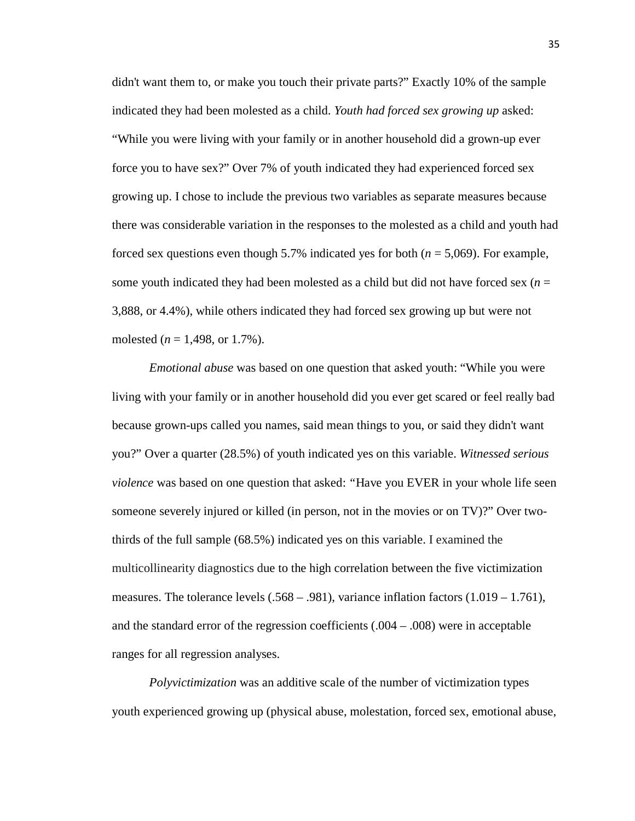didn't want them to, or make you touch their private parts?" Exactly 10% of the sample indicated they had been molested as a child. *Youth had forced sex growing up* asked: "While you were living with your family or in another household did a grown-up ever force you to have sex?" Over 7% of youth indicated they had experienced forced sex growing up. I chose to include the previous two variables as separate measures because there was considerable variation in the responses to the molested as a child and youth had forced sex questions even though 5.7% indicated yes for both (*n* = 5,069). For example, some youth indicated they had been molested as a child but did not have forced sex  $(n = 1)$ 3,888, or 4.4%), while others indicated they had forced sex growing up but were not molested (*n* = 1,498, or 1.7%).

*Emotional abuse* was based on one question that asked youth: "While you were living with your family or in another household did you ever get scared or feel really bad because grown-ups called you names, said mean things to you, or said they didn't want you?" Over a quarter (28.5%) of youth indicated yes on this variable. *Witnessed serious violence* was based on one question that asked: *"*Have you EVER in your whole life seen someone severely injured or killed (in person, not in the movies or on TV)?" Over twothirds of the full sample (68.5%) indicated yes on this variable. I examined the multicollinearity diagnostics due to the high correlation between the five victimization measures. The tolerance levels  $(.568 - .981)$ , variance inflation factors  $(1.019 - 1.761)$ , and the standard error of the regression coefficients (.004 – .008) were in acceptable ranges for all regression analyses.

*Polyvictimization* was an additive scale of the number of victimization types youth experienced growing up (physical abuse, molestation, forced sex, emotional abuse,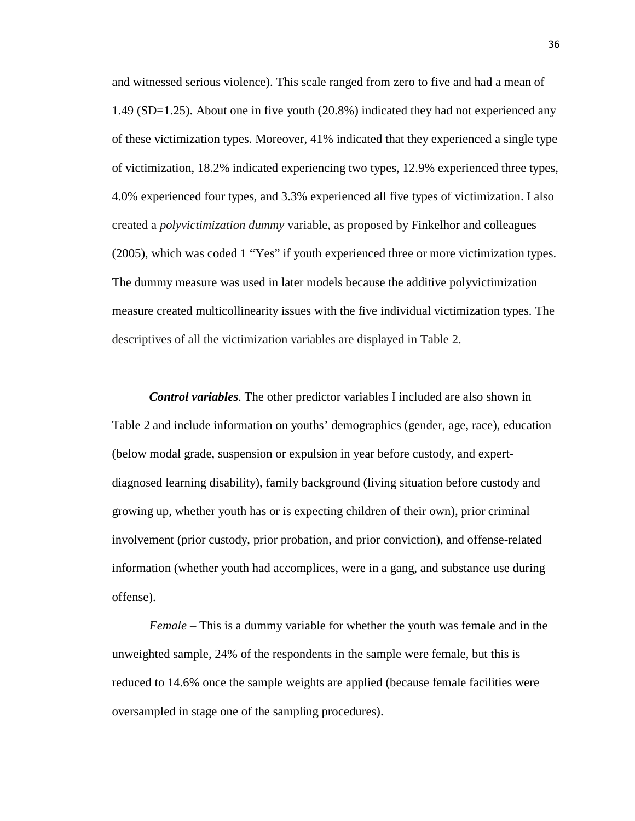and witnessed serious violence). This scale ranged from zero to five and had a mean of 1.49 (SD=1.25). About one in five youth (20.8%) indicated they had not experienced any of these victimization types. Moreover, 41% indicated that they experienced a single type of victimization, 18.2% indicated experiencing two types, 12.9% experienced three types, 4.0% experienced four types, and 3.3% experienced all five types of victimization. I also created a *polyvictimization dummy* variable, as proposed by Finkelhor and colleagues (2005), which was coded 1 "Yes" if youth experienced three or more victimization types. The dummy measure was used in later models because the additive polyvictimization measure created multicollinearity issues with the five individual victimization types. The descriptives of all the victimization variables are displayed in Table 2.

*Control variables*. The other predictor variables I included are also shown in Table 2 and include information on youths' demographics (gender, age, race), education (below modal grade, suspension or expulsion in year before custody, and expertdiagnosed learning disability), family background (living situation before custody and growing up, whether youth has or is expecting children of their own), prior criminal involvement (prior custody, prior probation, and prior conviction), and offense-related information (whether youth had accomplices, were in a gang, and substance use during offense).

*Female* – This is a dummy variable for whether the youth was female and in the unweighted sample, 24% of the respondents in the sample were female, but this is reduced to 14.6% once the sample weights are applied (because female facilities were oversampled in stage one of the sampling procedures).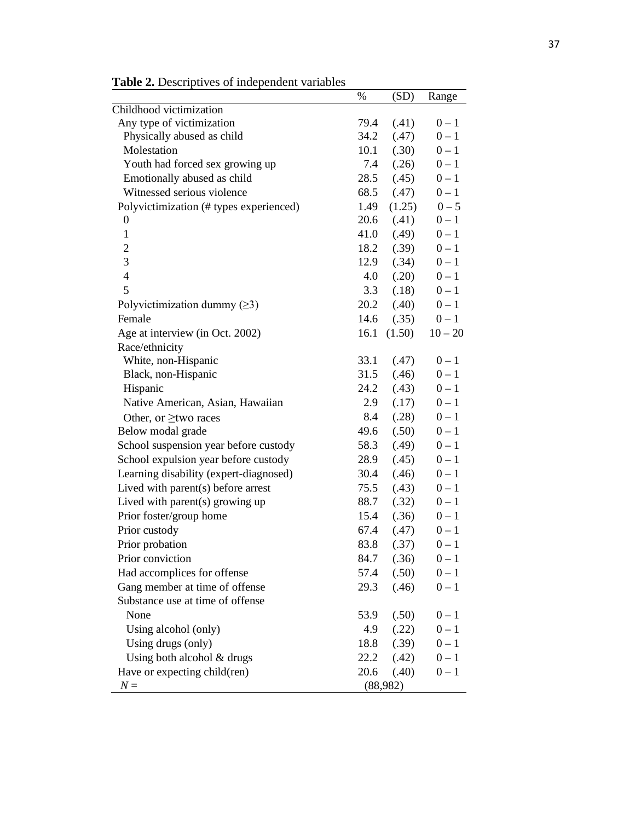|                                         | $\%$ | (SD)     | Range     |
|-----------------------------------------|------|----------|-----------|
| Childhood victimization                 |      |          |           |
| Any type of victimization               | 79.4 | (.41)    | $0 - 1$   |
| Physically abused as child              | 34.2 | (.47)    | $0 - 1$   |
| Molestation                             | 10.1 | (.30)    | $0 - 1$   |
| Youth had forced sex growing up         | 7.4  | (.26)    | $0 - 1$   |
| Emotionally abused as child             | 28.5 | (.45)    | $0 - 1$   |
| Witnessed serious violence              | 68.5 | (.47)    | $0 - 1$   |
| Polyvictimization (# types experienced) | 1.49 | (1.25)   | $0 - 5$   |
| $\theta$                                | 20.6 | (.41)    | $0-1$     |
| $\mathbf{1}$                            | 41.0 | (.49)    | $0 - 1$   |
| $\overline{2}$                          | 18.2 | (.39)    | $0 - 1$   |
| 3                                       | 12.9 | (.34)    | $0 - 1$   |
| $\overline{4}$                          | 4.0  | (.20)    | $0 - 1$   |
| 5                                       | 3.3  | (.18)    | $0 - 1$   |
| Polyvictimization dummy $(\geq 3)$      | 20.2 | (.40)    | $0 - 1$   |
| Female                                  | 14.6 | (.35)    | $0 - 1$   |
| Age at interview (in Oct. 2002)         | 16.1 | (1.50)   | $10 - 20$ |
| Race/ethnicity                          |      |          |           |
| White, non-Hispanic                     | 33.1 | (.47)    | $0 - 1$   |
| Black, non-Hispanic                     | 31.5 | (.46)    | $0 - 1$   |
| Hispanic                                | 24.2 | (.43)    | $0 - 1$   |
| Native American, Asian, Hawaiian        | 2.9  | (.17)    | $0 - 1$   |
| Other, or $\geq$ two races              | 8.4  | (.28)    | $0 - 1$   |
| Below modal grade                       | 49.6 | (.50)    | $0 - 1$   |
| School suspension year before custody   | 58.3 | (.49)    | $0 - 1$   |
| School expulsion year before custody    | 28.9 | (.45)    | $0 - 1$   |
| Learning disability (expert-diagnosed)  | 30.4 | (.46)    | $0 - 1$   |
| Lived with parent $(s)$ before arrest   | 75.5 | (.43)    | $0 - 1$   |
| Lived with parent(s) growing up         | 88.7 | (.32)    | $0 - 1$   |
| Prior foster/group home                 | 15.4 | (.36)    | $0 - 1$   |
| Prior custody                           | 67.4 | (.47)    | $0 - 1$   |
| Prior probation                         | 83.8 | (.37)    | $0 - 1$   |
| Prior conviction                        | 84.7 | (.36)    | $0 - 1$   |
| Had accomplices for offense             | 57.4 | (.50)    | $0 - 1$   |
| Gang member at time of offense          | 29.3 | (.46)    | $0 - 1$   |
| Substance use at time of offense        |      |          |           |
| None                                    | 53.9 | (.50)    | $0-1$     |
| Using alcohol (only)                    | 4.9  | (.22)    | $0 - 1$   |
| Using drugs (only)                      | 18.8 | (.39)    | $0 - 1$   |
| Using both alcohol & drugs              | 22.2 | (.42)    | $0 - 1$   |
| Have or expecting child(ren)            | 20.6 | (.40)    | $0 - 1$   |
| $N =$                                   |      | (88,982) |           |

**Table 2.** Descriptives of independent variables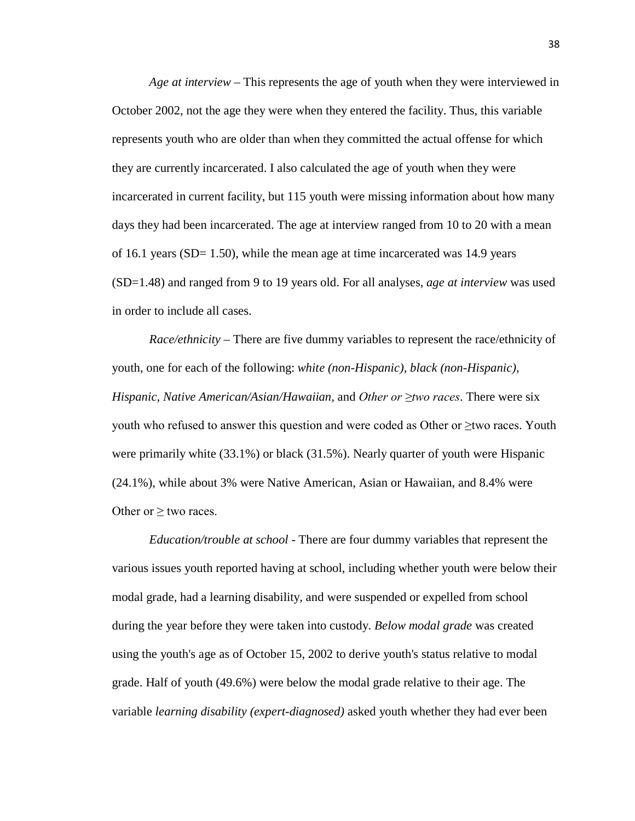*Age at interview* – This represents the age of youth when they were interviewed in October 2002, not the age they were when they entered the facility. Thus, this variable represents youth who are older than when they committed the actual offense for which they are currently incarcerated. I also calculated the age of youth when they were incarcerated in current facility, but 115 youth were missing information about how many days they had been incarcerated. The age at interview ranged from 10 to 20 with a mean of 16.1 years (SD=  $1.50$ ), while the mean age at time incarcerated was 14.9 years (SD=1.48) and ranged from 9 to 19 years old. For all analyses, *age at interview* was used in order to include all cases.

*Race/ethnicity* – There are five dummy variables to represent the race/ethnicity of youth, one for each of the following: *white (non-Hispanic), black (non-Hispanic), Hispanic, Native American/Asian/Hawaiian,* and *Other or ≥two races*. There were six youth who refused to answer this question and were coded as Other or ≥two races. Youth were primarily white (33.1%) or black (31.5%). Nearly quarter of youth were Hispanic (24.1%), while about 3% were Native American, Asian or Hawaiian, and 8.4% were Other or  $\geq$  two races.

*Education/trouble at school* - There are four dummy variables that represent the various issues youth reported having at school, including whether youth were below their modal grade, had a learning disability, and were suspended or expelled from school during the year before they were taken into custody. *Below modal grade* was created using the youth's age as of October 15, 2002 to derive youth's status relative to modal grade. Half of youth (49.6%) were below the modal grade relative to their age. The variable *learning disability (expert-diagnosed)* asked youth whether they had ever been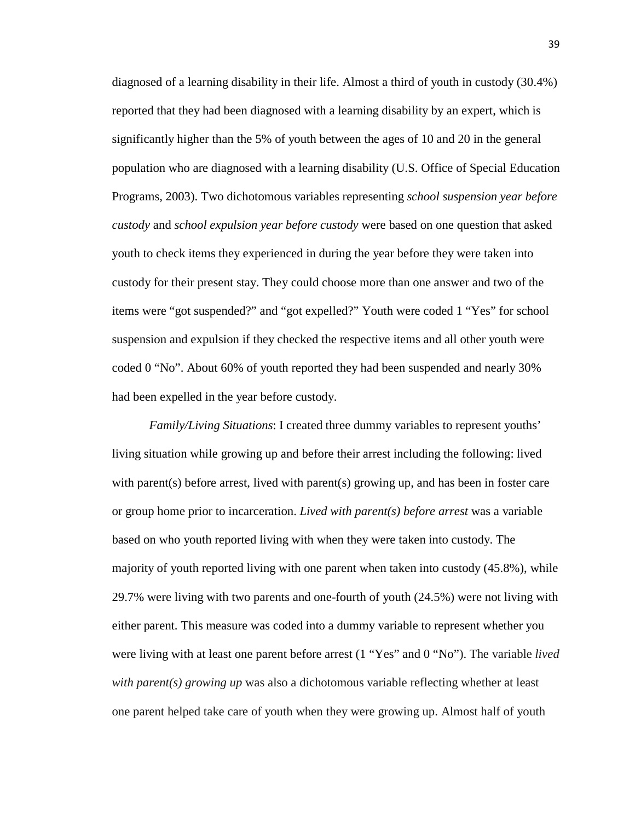diagnosed of a learning disability in their life. Almost a third of youth in custody (30.4%) reported that they had been diagnosed with a learning disability by an expert, which is significantly higher than the 5% of youth between the ages of 10 and 20 in the general population who are diagnosed with a learning disability (U.S. Office of Special Education Programs, 2003). Two dichotomous variables representing *school suspension year before custody* and *school expulsion year before custody* were based on one question that asked youth to check items they experienced in during the year before they were taken into custody for their present stay. They could choose more than one answer and two of the items were "got suspended?" and "got expelled?" Youth were coded 1 "Yes" for school suspension and expulsion if they checked the respective items and all other youth were coded 0 "No". About 60% of youth reported they had been suspended and nearly 30% had been expelled in the year before custody.

*Family/Living Situations*: I created three dummy variables to represent youths' living situation while growing up and before their arrest including the following: lived with parent(s) before arrest, lived with parent(s) growing up, and has been in foster care or group home prior to incarceration. *Lived with parent(s) before arrest* was a variable based on who youth reported living with when they were taken into custody. The majority of youth reported living with one parent when taken into custody (45.8%), while 29.7% were living with two parents and one-fourth of youth (24.5%) were not living with either parent. This measure was coded into a dummy variable to represent whether you were living with at least one parent before arrest (1 "Yes" and 0 "No"). The variable *lived with parent(s) growing up* was also a dichotomous variable reflecting whether at least one parent helped take care of youth when they were growing up. Almost half of youth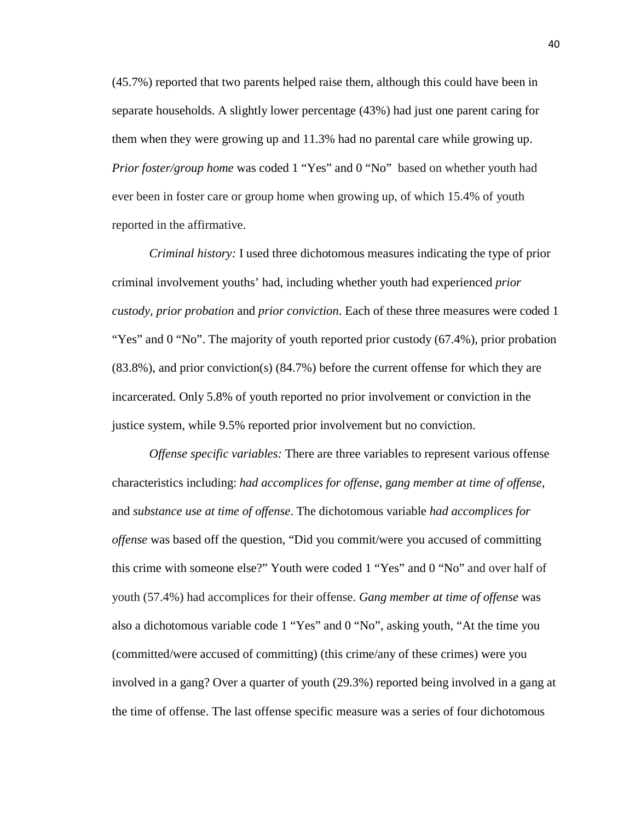(45.7%) reported that two parents helped raise them, although this could have been in separate households. A slightly lower percentage (43%) had just one parent caring for them when they were growing up and 11.3% had no parental care while growing up. *Prior foster/group home* was coded 1 "Yes" and 0 "No" based on whether youth had ever been in foster care or group home when growing up, of which 15.4% of youth reported in the affirmative.

*Criminal history:* I used three dichotomous measures indicating the type of prior criminal involvement youths' had, including whether youth had experienced *prior custody, prior probation* and *prior conviction*. Each of these three measures were coded 1 "Yes" and 0 "No". The majority of youth reported prior custody (67.4%), prior probation (83.8%), and prior conviction(s) (84.7%) before the current offense for which they are incarcerated. Only 5.8% of youth reported no prior involvement or conviction in the justice system, while 9.5% reported prior involvement but no conviction.

*Offense specific variables:* There are three variables to represent various offense characteristics including: *had accomplices for offense*, g*ang member at time of offense*, and *substance use at time of offense*. The dichotomous variable *had accomplices for offense* was based off the question, "Did you commit/were you accused of committing this crime with someone else?" Youth were coded 1 "Yes" and 0 "No" and over half of youth (57.4%) had accomplices for their offense. *Gang member at time of offense* was also a dichotomous variable code 1 "Yes" and 0 "No", asking youth, "At the time you (committed/were accused of committing) (this crime/any of these crimes) were you involved in a gang? Over a quarter of youth (29.3%) reported being involved in a gang at the time of offense. The last offense specific measure was a series of four dichotomous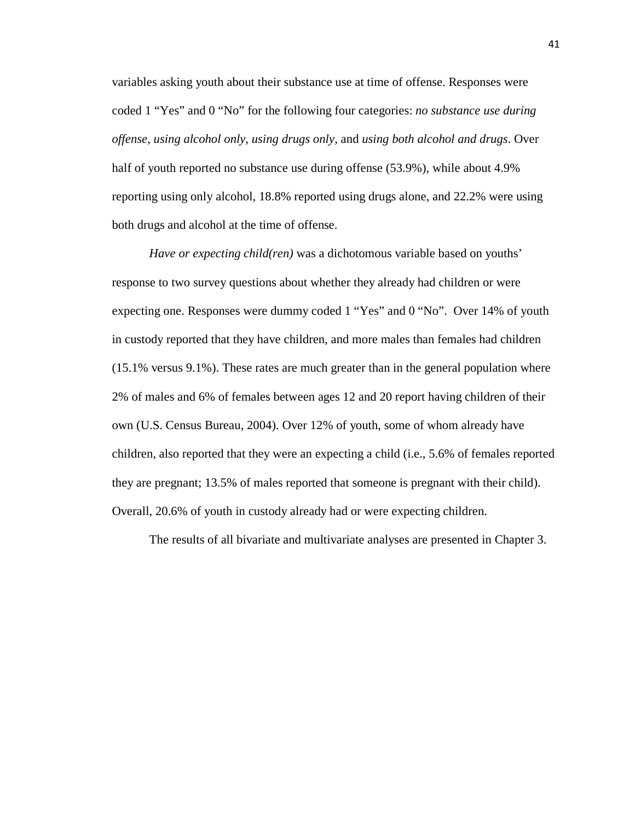variables asking youth about their substance use at time of offense. Responses were coded 1 "Yes" and 0 "No" for the following four categories: *no substance use during offense, using alcohol only, using drugs only,* and *using both alcohol and drugs*. Over half of youth reported no substance use during offense (53.9%), while about 4.9% reporting using only alcohol, 18.8% reported using drugs alone, and 22.2% were using both drugs and alcohol at the time of offense.

*Have or expecting child(ren)* was a dichotomous variable based on youths' response to two survey questions about whether they already had children or were expecting one. Responses were dummy coded 1 "Yes" and 0 "No". Over 14% of youth in custody reported that they have children, and more males than females had children (15.1% versus 9.1%). These rates are much greater than in the general population where 2% of males and 6% of females between ages 12 and 20 report having children of their own (U.S. Census Bureau, 2004). Over 12% of youth, some of whom already have children, also reported that they were an expecting a child (i.e., 5.6% of females reported they are pregnant; 13.5% of males reported that someone is pregnant with their child). Overall, 20.6% of youth in custody already had or were expecting children.

The results of all bivariate and multivariate analyses are presented in Chapter 3.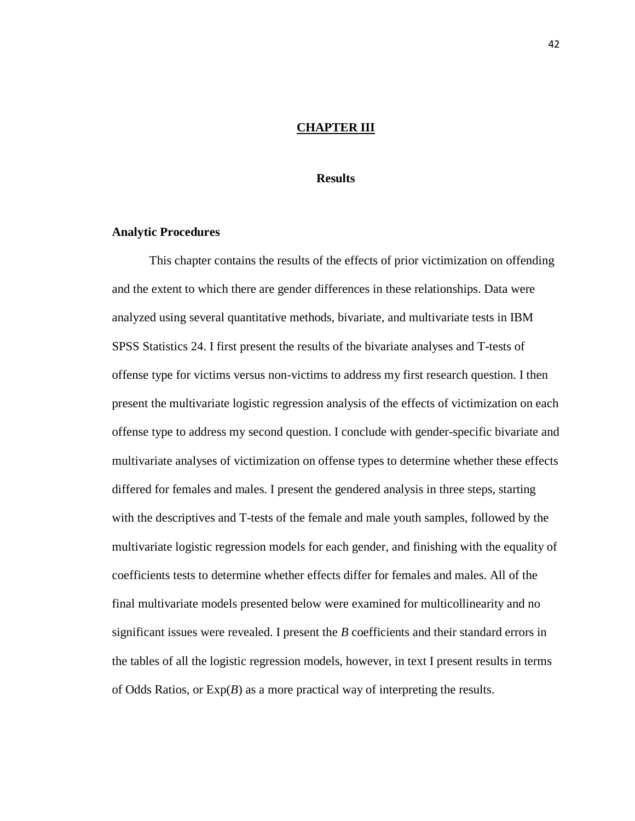# **CHAPTER III**

## **Results**

#### **Analytic Procedures**

This chapter contains the results of the effects of prior victimization on offending and the extent to which there are gender differences in these relationships. Data were analyzed using several quantitative methods, bivariate, and multivariate tests in IBM SPSS Statistics 24. I first present the results of the bivariate analyses and T-tests of offense type for victims versus non-victims to address my first research question. I then present the multivariate logistic regression analysis of the effects of victimization on each offense type to address my second question. I conclude with gender-specific bivariate and multivariate analyses of victimization on offense types to determine whether these effects differed for females and males. I present the gendered analysis in three steps, starting with the descriptives and T-tests of the female and male youth samples, followed by the multivariate logistic regression models for each gender, and finishing with the equality of coefficients tests to determine whether effects differ for females and males. All of the final multivariate models presented below were examined for multicollinearity and no significant issues were revealed. I present the *B* coefficients and their standard errors in the tables of all the logistic regression models, however, in text I present results in terms of Odds Ratios, or Exp(*B*) as a more practical way of interpreting the results.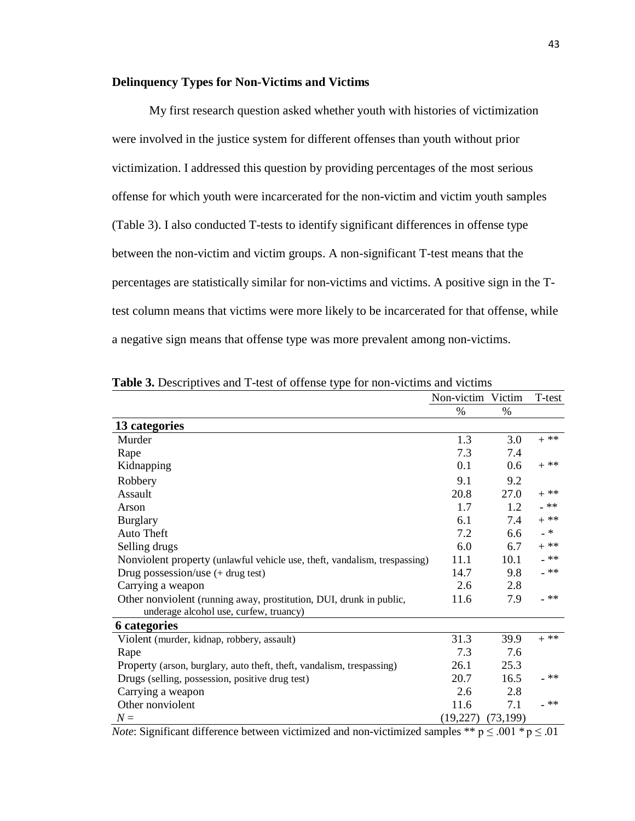## **Delinquency Types for Non-Victims and Victims**

My first research question asked whether youth with histories of victimization were involved in the justice system for different offenses than youth without prior victimization. I addressed this question by providing percentages of the most serious offense for which youth were incarcerated for the non-victim and victim youth samples (Table 3). I also conducted T-tests to identify significant differences in offense type between the non-victim and victim groups. A non-significant T-test means that the percentages are statistically similar for non-victims and victims. A positive sign in the Ttest column means that victims were more likely to be incarcerated for that offense, while a negative sign means that offense type was more prevalent among non-victims.

|                                                                           | Non-victim Victim |           | T-test |
|---------------------------------------------------------------------------|-------------------|-----------|--------|
|                                                                           | %                 | %         |        |
| 13 categories                                                             |                   |           |        |
| Murder                                                                    | 1.3               | 3.0       | $+$ ** |
| Rape                                                                      | 7.3               | 7.4       |        |
| Kidnapping                                                                | 0.1               | 0.6       | $+$ ** |
| Robbery                                                                   | 9.1               | 9.2       |        |
| Assault                                                                   | 20.8              | 27.0      | $+$ ** |
| Arson                                                                     | 1.7               | 1.2       | $-**$  |
| <b>Burglary</b>                                                           | 6.1               | 7.4       | $+$ ** |
| Auto Theft                                                                | 7.2               | 6.6       | $- *$  |
| Selling drugs                                                             | 6.0               | 6.7       | $+$ ** |
| Nonviolent property (unlawful vehicle use, theft, vandalism, trespassing) | 11.1              | 10.1      | _ **   |
| Drug possession/use $(+$ drug test)                                       | 14.7              | 9.8       | $-**$  |
| Carrying a weapon                                                         | 2.6               | 2.8       |        |
| Other nonviolent (running away, prostitution, DUI, drunk in public,       | 11.6              | 7.9       | _ **   |
| underage alcohol use, curfew, truancy)                                    |                   |           |        |
| <b>6</b> categories                                                       |                   |           |        |
| Violent (murder, kidnap, robbery, assault)                                | 31.3              | 39.9      | $+$ ** |
| Rape                                                                      | 7.3               | 7.6       |        |
| Property (arson, burglary, auto theft, theft, vandalism, trespassing)     | 26.1              | 25.3      |        |
| Drugs (selling, possession, positive drug test)                           | 20.7              | 16.5      | _ **   |
| Carrying a weapon                                                         | 2.6               | 2.8       |        |
| Other nonviolent                                                          | 11.6              | 7.1       | _ **   |
| $N =$                                                                     | (19,227)          | (73, 199) |        |
|                                                                           |                   |           |        |

**Table 3.** Descriptives and T-test of offense type for non-victims and victims

*Note*: Significant difference between victimized and non-victimized samples \*\*  $p \le 0.001$  \*  $p \le 0.01$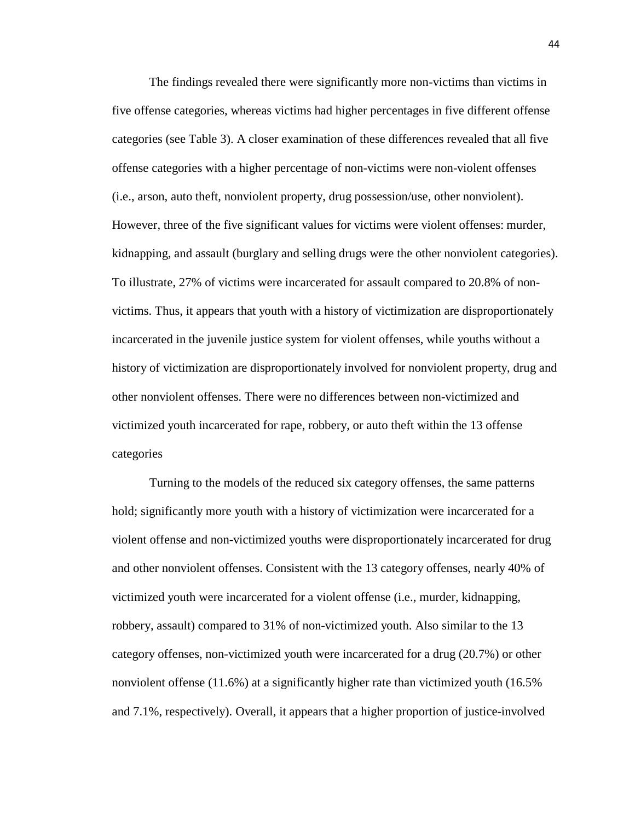The findings revealed there were significantly more non-victims than victims in five offense categories, whereas victims had higher percentages in five different offense categories (see Table 3). A closer examination of these differences revealed that all five offense categories with a higher percentage of non-victims were non-violent offenses (i.e., arson, auto theft, nonviolent property, drug possession/use, other nonviolent). However, three of the five significant values for victims were violent offenses: murder, kidnapping, and assault (burglary and selling drugs were the other nonviolent categories). To illustrate, 27% of victims were incarcerated for assault compared to 20.8% of nonvictims. Thus, it appears that youth with a history of victimization are disproportionately incarcerated in the juvenile justice system for violent offenses, while youths without a history of victimization are disproportionately involved for nonviolent property, drug and other nonviolent offenses. There were no differences between non-victimized and victimized youth incarcerated for rape, robbery, or auto theft within the 13 offense categories

Turning to the models of the reduced six category offenses, the same patterns hold; significantly more youth with a history of victimization were incarcerated for a violent offense and non-victimized youths were disproportionately incarcerated for drug and other nonviolent offenses. Consistent with the 13 category offenses, nearly 40% of victimized youth were incarcerated for a violent offense (i.e., murder, kidnapping, robbery, assault) compared to 31% of non-victimized youth. Also similar to the 13 category offenses, non-victimized youth were incarcerated for a drug (20.7%) or other nonviolent offense (11.6%) at a significantly higher rate than victimized youth (16.5% and 7.1%, respectively). Overall, it appears that a higher proportion of justice-involved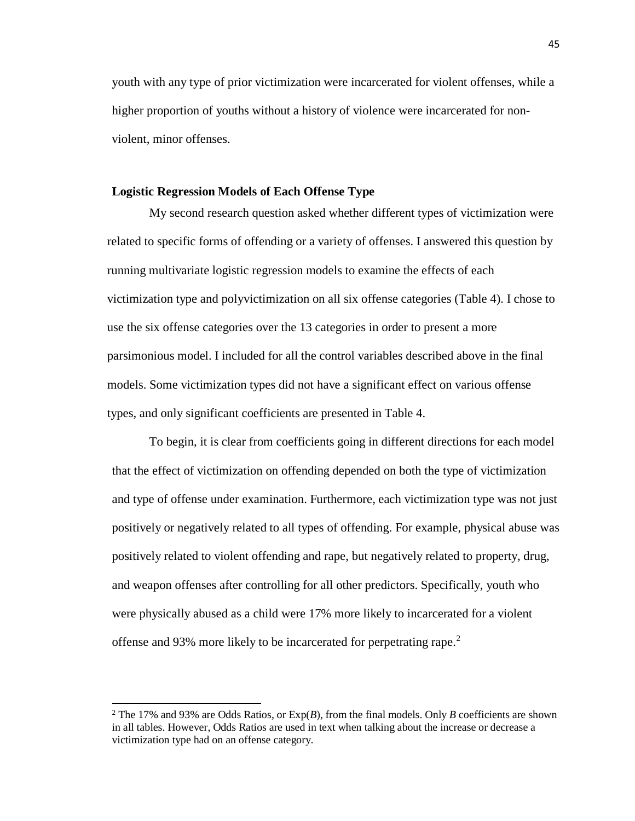youth with any type of prior victimization were incarcerated for violent offenses, while a higher proportion of youths without a history of violence were incarcerated for nonviolent, minor offenses.

# **Logistic Regression Models of Each Offense Type**

My second research question asked whether different types of victimization were related to specific forms of offending or a variety of offenses. I answered this question by running multivariate logistic regression models to examine the effects of each victimization type and polyvictimization on all six offense categories (Table 4). I chose to use the six offense categories over the 13 categories in order to present a more parsimonious model. I included for all the control variables described above in the final models. Some victimization types did not have a significant effect on various offense types, and only significant coefficients are presented in Table 4.

To begin, it is clear from coefficients going in different directions for each model that the effect of victimization on offending depended on both the type of victimization and type of offense under examination. Furthermore, each victimization type was not just positively or negatively related to all types of offending. For example, physical abuse was positively related to violent offending and rape, but negatively related to property, drug, and weapon offenses after controlling for all other predictors. Specifically, youth who were physically abused as a child were 17% more likely to incarcerated for a violent offense and 93% more likely to be incarcerated for perpetrating rape.<sup>[2](#page-55-0)</sup>

l

<span id="page-55-0"></span><sup>2</sup> The 17% and 93% are Odds Ratios, or Exp(*B*), from the final models. Only *B* coefficients are shown in all tables. However, Odds Ratios are used in text when talking about the increase or decrease a victimization type had on an offense category.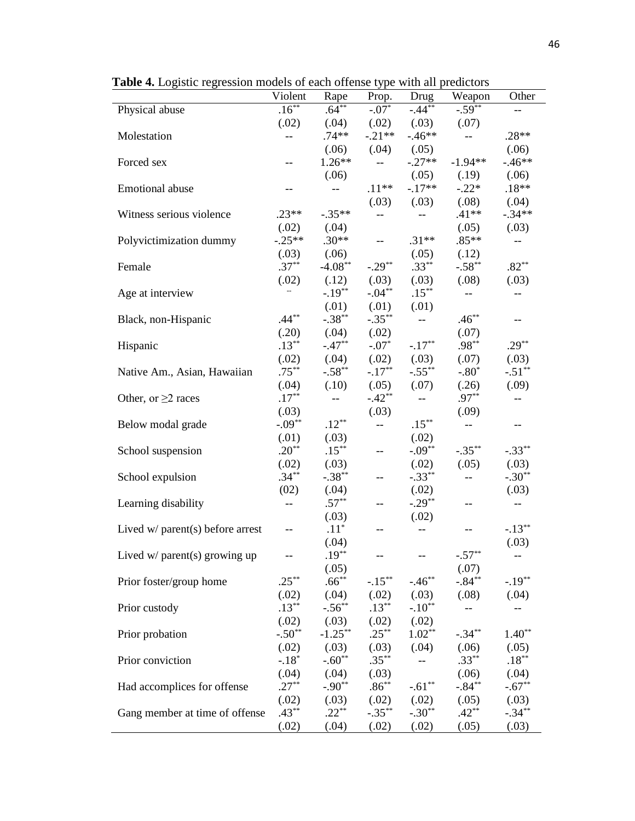|                                    | Violent                  | Rape              | $\boldsymbol{J}$ .<br>Prop. | Drug                     | Weapon                   | Other                                 |
|------------------------------------|--------------------------|-------------------|-----------------------------|--------------------------|--------------------------|---------------------------------------|
| Physical abuse                     | $.16***$                 | $.64***$          | $-.07*$                     | $-44**$                  | $-.59***$                |                                       |
|                                    | (.02)                    | (.04)             | (.02)                       | (.03)                    | (.07)                    |                                       |
| Molestation                        | $-$                      | $.74**$           | $-.21**$                    | $-46**$                  | $\overline{\phantom{a}}$ | $.28**$                               |
|                                    |                          | (.06)             | (.04)                       | (.05)                    |                          | (.06)                                 |
| Forced sex                         | $-$                      | $1.26**$          | $-$                         | $-.27**$                 | $-1.94**$                | $-46**$                               |
|                                    |                          | (.06)             |                             | (.05)                    | (.19)                    | (.06)                                 |
| <b>Emotional</b> abuse             | $- -$                    | $-$               | $.11**$                     | $-.17**$                 | $-.22*$                  | $.18**$                               |
|                                    |                          |                   | (.03)                       | (.03)                    | (.08)                    | (.04)                                 |
| Witness serious violence           | $.23**$                  | $-.35**$          | $-$                         | $\overline{\phantom{m}}$ | $.41**$                  | $-.34**$                              |
|                                    | (.02)                    | (.04)             |                             |                          | (.05)                    | (.03)                                 |
| Polyvictimization dummy            | $-.25**$                 | $.30**$           | $\overline{a}$              | $.31**$                  | $.85**$                  | $\overline{\phantom{a}}$              |
|                                    | (.03)                    | (.06)             |                             | (.05)                    | (.12)                    |                                       |
| Female                             | $.37***$                 | $-4.08**$         | $-.29***$                   | $.33***$                 | $-.58***$                | $.82**$                               |
|                                    | (.02)                    | (.12)             | (.03)                       | (.03)                    | (.08)                    | (.03)                                 |
| Age at interview                   | --                       | $-.19***$         | $-.04**$                    | $.15***$                 | $\overline{\phantom{m}}$ | $- -$                                 |
|                                    |                          | (.01)             | (.01)                       | (.01)                    |                          |                                       |
| Black, non-Hispanic                | $.44***$                 | $-.38**$          | $-.35***$                   | $\overline{\phantom{a}}$ | $.46***$                 | $-$                                   |
|                                    | (.20)                    | (.04)             | (.02)                       |                          | (.07)                    |                                       |
| Hispanic                           | $.13***$                 | $-.47**$          | $-.07*$                     | $-.17**$                 | .98**                    | $.29**$                               |
|                                    | (.02)                    | (.04)             | (.02)                       | (.03)                    | (.07)                    | (.03)                                 |
| Native Am., Asian, Hawaiian        | $.75***$                 | $-.58**$          | $-.17***$                   | $-.55***$                | $-.80*$                  | $-.51**$                              |
|                                    | (.04)                    | (.10)             | (.05)                       | (.07)                    | (.26)                    | (.09)                                 |
| Other, or $\geq$ races             | $.17***$                 | $-$               | $-.42**$                    | $\overline{\phantom{a}}$ | $.97**$                  | $-$                                   |
|                                    | (.03)                    |                   | (.03)                       |                          | (.09)                    |                                       |
| Below modal grade                  | $-.09**$                 | $.12***$          | $-$                         | $.15***$                 | $\overline{\phantom{m}}$ |                                       |
|                                    | (.01)                    | (.03)             |                             | (.02)                    |                          |                                       |
| School suspension                  | $.20**$                  | $.15***$          | $\overline{\phantom{a}}$    | $-.09**$                 | $-.35***$                | $-.33***$                             |
|                                    | (.02)                    | (.03)             |                             | (.02)                    | (.05)                    | (.03)                                 |
| School expulsion                   | $.34***$                 | $-.38**$          | --                          | $-.33**$                 | $- -$                    | $-.30**$                              |
|                                    | (02)                     | (.04)             |                             | (.02)                    |                          | (.03)                                 |
| Learning disability                | $\overline{\phantom{m}}$ | $.57***$          | --                          | $-.29**$                 | --                       | $\hspace{0.05cm}$ – $\hspace{0.05cm}$ |
|                                    |                          | (.03)             |                             | (.02)                    |                          |                                       |
| Lived $w/$ parent(s) before arrest | $-$                      | $.11*$            | --                          | $\overline{\phantom{a}}$ | $-$                      | $-.13***$                             |
|                                    |                          | (.04)             |                             |                          |                          | (.03)                                 |
| Lived $w/$ parent(s) growing up    |                          | $.19***$          |                             |                          | $-.57**$                 |                                       |
|                                    |                          | (.05)             |                             |                          | (.07)                    |                                       |
| Prior foster/group home            | $.25***$                 | $.66***$          | $-.15***$                   | $-.46**$                 | $-.84**$                 | $-.19**$                              |
|                                    | (.02)                    | (.04)             | (.02)                       | (.03)                    | (.08)                    | (.04)                                 |
| Prior custody                      | $.13***$                 | $-.56***$         | $.13***$                    | $-.10**$                 | $\overline{\phantom{m}}$ | $- -$                                 |
|                                    | (.02)                    | (.03)             | (.02)                       | (.02)                    |                          |                                       |
| Prior probation                    | $-.50**$                 | $-1.25***$        | $.25***$                    | $1.02**$                 | $-.34***$                | $1.40**$                              |
|                                    |                          |                   |                             | (.04)                    |                          |                                       |
| Prior conviction                   | (.02)<br>$-.18*$         | (.03)<br>$-.60**$ | (.03)<br>$.35***$           | $\overline{a}$           | (.06)<br>$.33***$        | (.05)<br>$.18***$                     |
|                                    | (.04)                    | (.04)             |                             |                          |                          |                                       |
| Had accomplices for offense        | $.27***$                 | $-.90**$          | (.03)<br>$.86***$           | $-.61***$                | (.06)<br>$-.84**$        | (.04)<br>$-.67**$                     |
|                                    |                          |                   |                             |                          |                          |                                       |
|                                    | (.02)<br>$.43***$        | (.03)<br>$.22***$ | (.02)<br>$-.35***$          | (.02)<br>$-.30**$        | (.05)<br>$.42**$         | (.03)<br>$-.34**$                     |
| Gang member at time of offense     |                          |                   |                             |                          |                          |                                       |
|                                    | (.02)                    | (.04)             | (.02)                       | (.02)                    | (.05)                    | (.03)                                 |

**Table 4.** Logistic regression models of each offense type with all predictors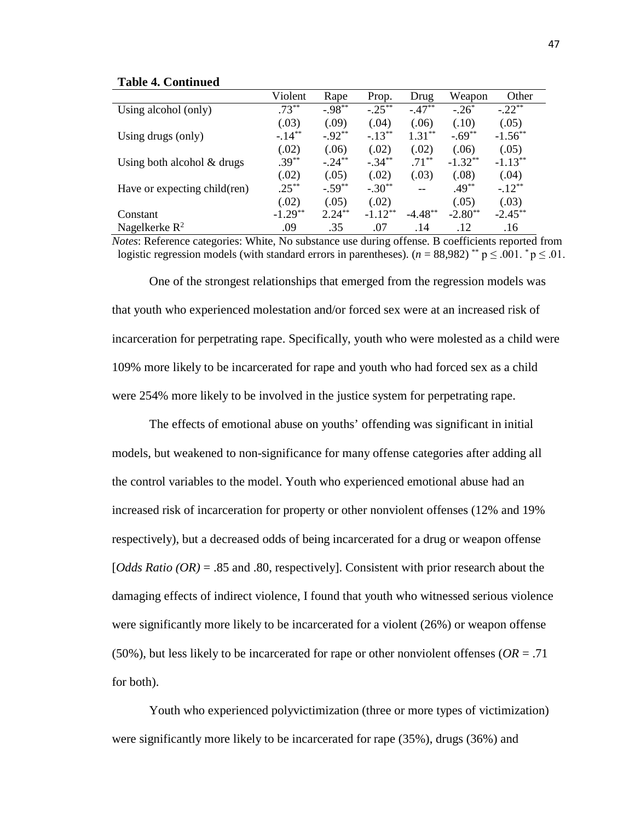|                              | Violent   | Rape      | Prop.     | Drug      | Weapon    | Other      |
|------------------------------|-----------|-----------|-----------|-----------|-----------|------------|
| Using alcohol (only)         | $.73***$  | $-.98**$  | $-.25***$ | $-.47**$  | $-.26*$   | $-.22**$   |
|                              | (.03)     | (.09)     | (.04)     | (.06)     | (.10)     | (.05)      |
| Using drugs (only)           | $-.14***$ | $-.92**$  | $-.13**$  | $1.31**$  | $-.69**$  | $-1.56**$  |
|                              | (.02)     | (.06)     | (.02)     | (.02)     | (.06)     | (.05)      |
| Using both alcohol $&$ drugs | $.39***$  | $-.24***$ | $-.34***$ | $.71***$  | $-1.32**$ | $-1.13***$ |
|                              | (.02)     | (.05)     | (.02)     | (.03)     | (.08)     | (.04)      |
| Have or expecting child(ren) | $.25***$  | $-.59**$  | $-.30**$  |           | .49**     | $-.12**$   |
|                              | (.02)     | (.05)     | (.02)     |           | (.05)     | (.03)      |
| Constant                     | $-1.29**$ | $2.24***$ | $-1.12**$ | $-4.48**$ | $-2.80**$ | $-2.45***$ |
| Nagelkerke $R^2$             | .09       | .35       | .07       | .14       | .12       | .16        |

#### **Table 4. Continued**

*Notes*: Reference categories: White, No substance use during offense. B coefficients reported from logistic regression models (with standard errors in parentheses).  $(n = 88,982)$ <sup>\*\*</sup> p  $\leq$  0.01. <sup>\*</sup> p  $\leq$  0.01.

One of the strongest relationships that emerged from the regression models was that youth who experienced molestation and/or forced sex were at an increased risk of incarceration for perpetrating rape. Specifically, youth who were molested as a child were 109% more likely to be incarcerated for rape and youth who had forced sex as a child were 254% more likely to be involved in the justice system for perpetrating rape.

The effects of emotional abuse on youths' offending was significant in initial models, but weakened to non-significance for many offense categories after adding all the control variables to the model. Youth who experienced emotional abuse had an increased risk of incarceration for property or other nonviolent offenses (12% and 19% respectively), but a decreased odds of being incarcerated for a drug or weapon offense [*Odds Ratio (OR)* = .85 and .80, respectively]. Consistent with prior research about the damaging effects of indirect violence, I found that youth who witnessed serious violence were significantly more likely to be incarcerated for a violent (26%) or weapon offense (50%), but less likely to be incarcerated for rape or other nonviolent offenses (*OR* = .71 for both).

Youth who experienced polyvictimization (three or more types of victimization) were significantly more likely to be incarcerated for rape (35%), drugs (36%) and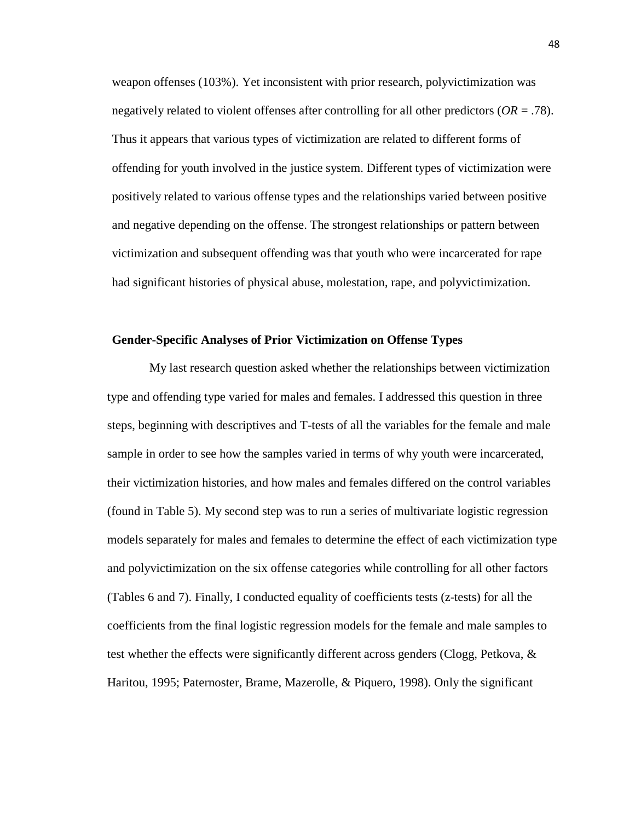weapon offenses (103%). Yet inconsistent with prior research, polyvictimization was negatively related to violent offenses after controlling for all other predictors (*OR* = .78). Thus it appears that various types of victimization are related to different forms of offending for youth involved in the justice system. Different types of victimization were positively related to various offense types and the relationships varied between positive and negative depending on the offense. The strongest relationships or pattern between victimization and subsequent offending was that youth who were incarcerated for rape had significant histories of physical abuse, molestation, rape, and polyvictimization.

## **Gender-Specific Analyses of Prior Victimization on Offense Types**

My last research question asked whether the relationships between victimization type and offending type varied for males and females. I addressed this question in three steps, beginning with descriptives and T-tests of all the variables for the female and male sample in order to see how the samples varied in terms of why youth were incarcerated, their victimization histories, and how males and females differed on the control variables (found in Table 5). My second step was to run a series of multivariate logistic regression models separately for males and females to determine the effect of each victimization type and polyvictimization on the six offense categories while controlling for all other factors (Tables 6 and 7). Finally, I conducted equality of coefficients tests (z-tests) for all the coefficients from the final logistic regression models for the female and male samples to test whether the effects were significantly different across genders (Clogg, Petkova, & Haritou, 1995; Paternoster, Brame, Mazerolle, & Piquero, 1998). Only the significant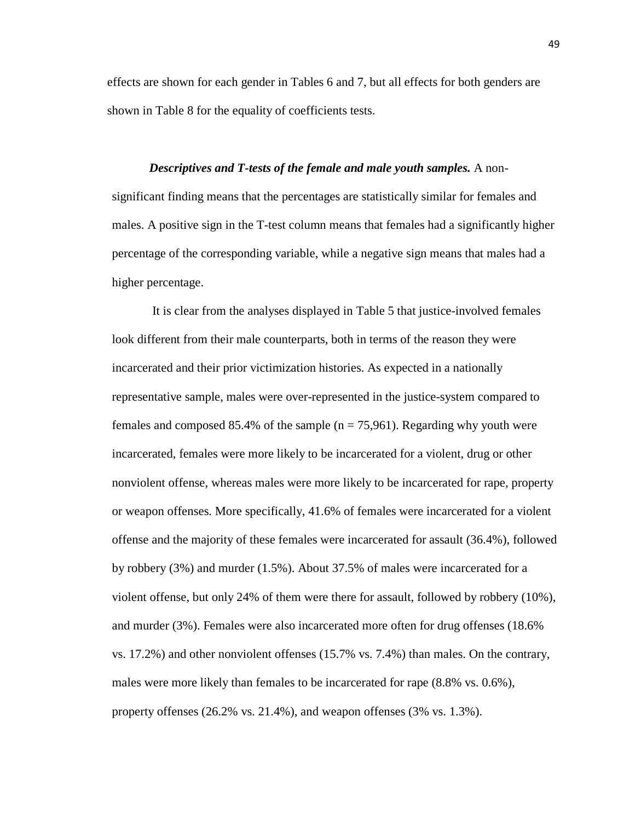effects are shown for each gender in Tables 6 and 7, but all effects for both genders are shown in Table 8 for the equality of coefficients tests.

*Descriptives and T-tests of the female and male youth samples.* A nonsignificant finding means that the percentages are statistically similar for females and males. A positive sign in the T-test column means that females had a significantly higher percentage of the corresponding variable, while a negative sign means that males had a higher percentage.

It is clear from the analyses displayed in Table 5 that justice-involved females look different from their male counterparts, both in terms of the reason they were incarcerated and their prior victimization histories. As expected in a nationally representative sample, males were over-represented in the justice-system compared to females and composed 85.4% of the sample ( $n = 75,961$ ). Regarding why youth were incarcerated, females were more likely to be incarcerated for a violent, drug or other nonviolent offense, whereas males were more likely to be incarcerated for rape, property or weapon offenses. More specifically, 41.6% of females were incarcerated for a violent offense and the majority of these females were incarcerated for assault (36.4%), followed by robbery (3%) and murder (1.5%). About 37.5% of males were incarcerated for a violent offense, but only 24% of them were there for assault, followed by robbery (10%), and murder (3%). Females were also incarcerated more often for drug offenses (18.6% vs. 17.2%) and other nonviolent offenses (15.7% vs. 7.4%) than males. On the contrary, males were more likely than females to be incarcerated for rape (8.8% vs. 0.6%), property offenses (26.2% vs. 21.4%), and weapon offenses (3% vs. 1.3%).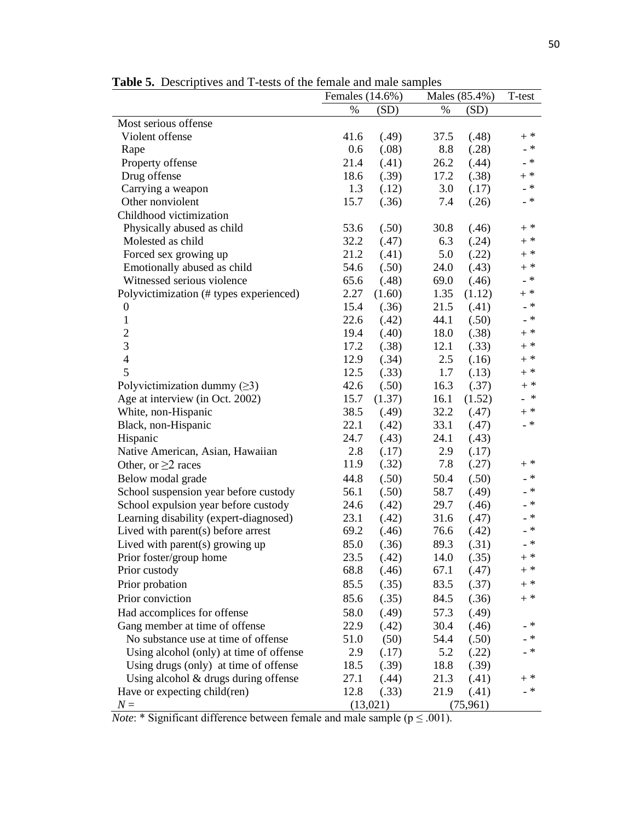Females (14.6%) Males (85.4%) T-test

|                                         | %    | (SD)   | $\%$ | (SD)   |                           |
|-----------------------------------------|------|--------|------|--------|---------------------------|
| Most serious offense                    |      |        |      |        |                           |
| Violent offense                         | 41.6 | (.49)  | 37.5 | (.48)  | $+$ *                     |
| Rape                                    | 0.6  | (.08)  | 8.8  | (.28)  | $_{-}$ $*$                |
| Property offense                        | 21.4 | (.41)  | 26.2 | (.44)  | $- *$                     |
| Drug offense                            | 18.6 | (.39)  | 17.2 | (.38)  | $\texttt{+}$ $\texttt{*}$ |
| Carrying a weapon                       | 1.3  | (.12)  | 3.0  | (.17)  | _ *                       |
| Other nonviolent                        | 15.7 | (.36)  | 7.4  | (.26)  | $- *$                     |
| Childhood victimization                 |      |        |      |        |                           |
| Physically abused as child              | 53.6 | (.50)  | 30.8 | (.46)  | $+$ *                     |
| Molested as child                       | 32.2 | (.47)  | 6.3  | (.24)  | $+$ $^\ast$               |
| Forced sex growing up                   | 21.2 | (.41)  | 5.0  | (.22)  | $+$ *                     |
| Emotionally abused as child             | 54.6 | (.50)  | 24.0 | (.43)  | $+$ *                     |
| Witnessed serious violence              | 65.6 | (.48)  | 69.0 | (.46)  | $\_$ $\ast$               |
| Polyvictimization (# types experienced) | 2.27 | (1.60) | 1.35 | (1.12) | $\texttt{+}$ $\texttt{*}$ |
| $\boldsymbol{0}$                        | 15.4 | (.36)  | 21.5 | (.41)  | $\_$ $\ast$               |
| $\mathbf{1}$                            | 22.6 | (.42)  | 44.1 | (.50)  | $\_$ $\ast$               |
| $\overline{c}$                          | 19.4 | (.40)  | 18.0 | (.38)  | $\texttt{+}$ $\texttt{*}$ |
| $\overline{3}$                          | 17.2 | (.38)  | 12.1 | (.33)  | $\mathrm{+}$ $\mathrm{*}$ |
| $\overline{4}$                          | 12.9 | (.34)  | 2.5  | (.16)  | $\mathrm{+}$ $\mathrm{*}$ |
| 5                                       | 12.5 | (.33)  | 1.7  | (.13)  | $+$ *                     |
| Polyvictimization dummy $(\geq 3)$      | 42.6 | (.50)  | 16.3 | (.37)  | $+$ *                     |
| Age at interview (in Oct. 2002)         | 15.7 | (1.37) | 16.1 | (1.52) | $-$ *                     |
| White, non-Hispanic                     | 38.5 | (.49)  | 32.2 | (.47)  | $\texttt{+}$ $\texttt{*}$ |
| Black, non-Hispanic                     | 22.1 | (.42)  | 33.1 | (.47)  | $\_$ $\ast$               |
| Hispanic                                | 24.7 | (.43)  | 24.1 | (.43)  |                           |
| Native American, Asian, Hawaiian        | 2.8  | (.17)  | 2.9  | (.17)  |                           |
| Other, or $\geq$ races                  | 11.9 | (.32)  | 7.8  | (.27)  | $\mathrm{+}$ $\mathrm{*}$ |
| Below modal grade                       | 44.8 | (.50)  | 50.4 | (.50)  | _ *                       |
| School suspension year before custody   | 56.1 | (.50)  | 58.7 | (.49)  | $_{-}$ $*$                |
| School expulsion year before custody    | 24.6 | (.42)  | 29.7 | (.46)  | $_{-}$ $*$                |
| Learning disability (expert-diagnosed)  | 23.1 | (.42)  | 31.6 | (.47)  | $_{-}$ $*$                |
| Lived with parent $(s)$ before arrest   | 69.2 | (.46)  | 76.6 | (.42)  | - *                       |
| Lived with parent(s) growing up         | 85.0 | (.36)  | 89.3 | (.31)  | - *                       |
| Prior foster/group home                 | 23.5 | (.42)  | 14.0 | (.35)  | $+$ *                     |
| Prior custody                           | 68.8 | (.46)  | 67.1 | (.47)  | $+$ *                     |
| Prior probation                         | 85.5 | (.35)  | 83.5 | (.37)  | $\texttt{+}$ $\texttt{*}$ |
| Prior conviction                        | 85.6 | (.35)  | 84.5 | (.36)  | $+$ *                     |
| Had accomplices for offense             | 58.0 | (.49)  | 57.3 | (.49)  |                           |
| Gang member at time of offense          | 22.9 | (.42)  | 30.4 | (.46)  | - *                       |
| No substance use at time of offense     | 51.0 | (50)   | 54.4 | (.50)  | .*                        |
| Using alcohol (only) at time of offense | 2.9  | (.17)  | 5.2  | (.22)  | _ *                       |
| Using drugs (only) at time of offense   | 18.5 | (.39)  | 18.8 | (.39)  |                           |
| Using alcohol $&$ drugs during offense  | 27.1 | (.44)  | 21.3 | (.41)  | $+$ *                     |
| Have or expecting child(ren)            | 12.8 | (.33)  | 21.9 | (.41)  | $\_$ $\ast$               |

**Table 5.** Descriptives and T-tests of the female and male samples

*Note*: \* Significant difference between female and male sample ( $p \le 0.001$ ).

 $N =$  (13,021) (75,961)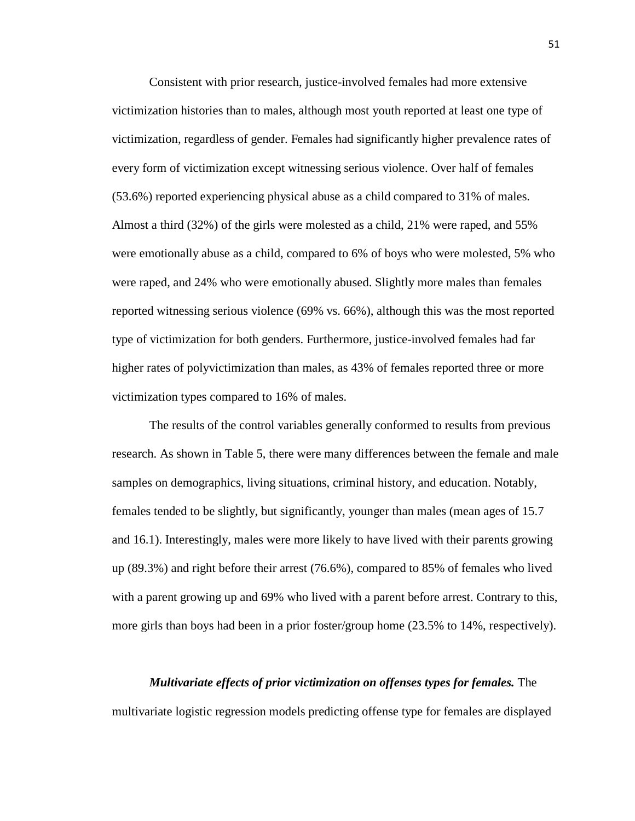Consistent with prior research, justice-involved females had more extensive victimization histories than to males, although most youth reported at least one type of victimization, regardless of gender. Females had significantly higher prevalence rates of every form of victimization except witnessing serious violence. Over half of females (53.6%) reported experiencing physical abuse as a child compared to 31% of males. Almost a third (32%) of the girls were molested as a child, 21% were raped, and 55% were emotionally abuse as a child, compared to 6% of boys who were molested, 5% who were raped, and 24% who were emotionally abused. Slightly more males than females reported witnessing serious violence (69% vs. 66%), although this was the most reported type of victimization for both genders. Furthermore, justice-involved females had far higher rates of polyvictimization than males, as 43% of females reported three or more victimization types compared to 16% of males.

The results of the control variables generally conformed to results from previous research. As shown in Table 5, there were many differences between the female and male samples on demographics, living situations, criminal history, and education. Notably, females tended to be slightly, but significantly, younger than males (mean ages of 15.7 and 16.1). Interestingly, males were more likely to have lived with their parents growing up (89.3%) and right before their arrest (76.6%), compared to 85% of females who lived with a parent growing up and 69% who lived with a parent before arrest. Contrary to this, more girls than boys had been in a prior foster/group home (23.5% to 14%, respectively).

*Multivariate effects of prior victimization on offenses types for females.* The multivariate logistic regression models predicting offense type for females are displayed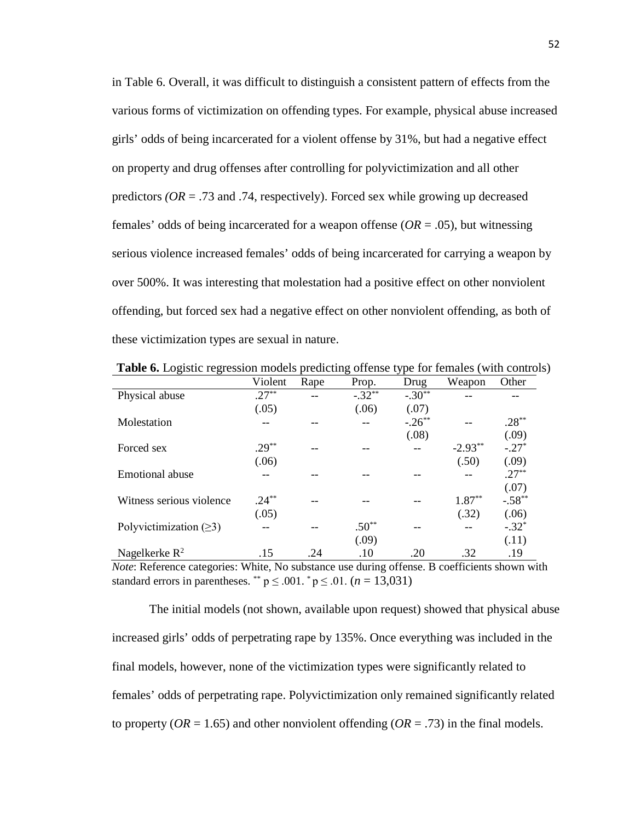in Table 6. Overall, it was difficult to distinguish a consistent pattern of effects from the various forms of victimization on offending types. For example, physical abuse increased girls' odds of being incarcerated for a violent offense by 31%, but had a negative effect on property and drug offenses after controlling for polyvictimization and all other predictors  $(OR = .73$  and .74, respectively). Forced sex while growing up decreased females' odds of being incarcerated for a weapon offense  $(OR = .05)$ , but witnessing serious violence increased females' odds of being incarcerated for carrying a weapon by over 500%. It was interesting that molestation had a positive effect on other nonviolent offending, but forced sex had a negative effect on other nonviolent offending, as both of these victimization types are sexual in nature.

|                              | Violent  | Rape | Prop.    | Drug     | Weapon    | Other    |
|------------------------------|----------|------|----------|----------|-----------|----------|
| Physical abuse               | $.27***$ |      | $-.32**$ | $-.30**$ |           |          |
|                              | (.05)    |      | (.06)    | (.07)    |           |          |
| Molestation                  | --       |      |          | $-.26**$ |           | $.28***$ |
|                              |          |      |          | (.08)    |           | (.09)    |
| Forced sex                   | $.29**$  | --   |          | --       | $-2.93**$ | $-.27*$  |
|                              | (.06)    |      |          |          | (.50)     | (.09)    |
| Emotional abuse              |          |      |          |          | $-$       | $.27**$  |
|                              |          |      |          |          |           | (.07)    |
| Witness serious violence     | $.24***$ |      |          |          | $1.87**$  | $-.58**$ |
|                              | (.05)    |      |          |          | (.32)     | (.06)    |
| Polyvictimization $(\geq 3)$ | --       |      | $.50**$  |          |           | $-.32*$  |
|                              |          |      | (.09)    |          |           | (.11)    |
| Nagelkerke $R^2$             | .15      | .24  | .10      | .20      | .32       | .19      |

**Table 6.** Logistic regression models predicting offense type for females (with controls)

*Note*: Reference categories: White, No substance use during offense. B coefficients shown with standard errors in parentheses. \*\*  $p \leq .001$ . \*  $p \leq .01$ . ( $n = 13,031$ )

The initial models (not shown, available upon request) showed that physical abuse increased girls' odds of perpetrating rape by 135%. Once everything was included in the final models, however, none of the victimization types were significantly related to females' odds of perpetrating rape. Polyvictimization only remained significantly related to property ( $OR = 1.65$ ) and other nonviolent offending ( $OR = .73$ ) in the final models.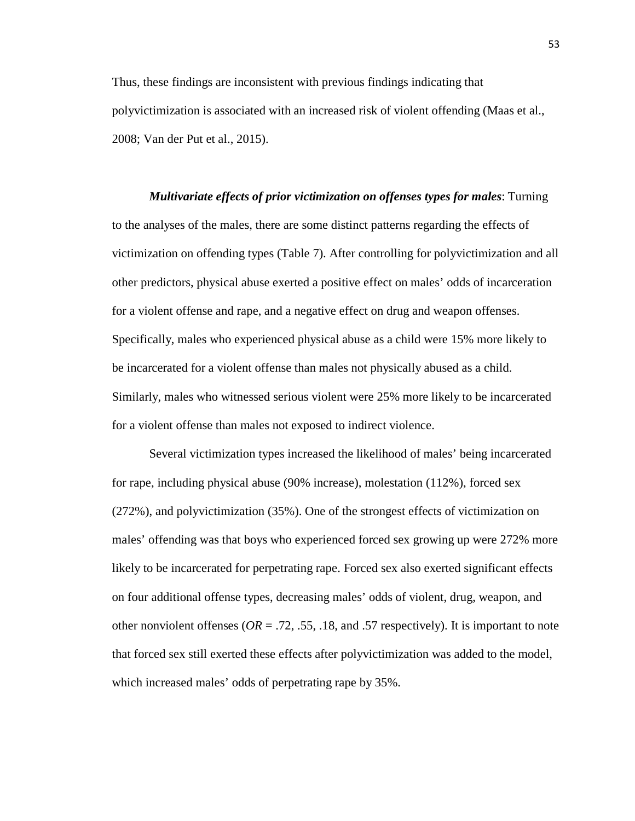Thus, these findings are inconsistent with previous findings indicating that polyvictimization is associated with an increased risk of violent offending (Maas et al., 2008; Van der Put et al., 2015).

*Multivariate effects of prior victimization on offenses types for males*: Turning to the analyses of the males, there are some distinct patterns regarding the effects of victimization on offending types (Table 7). After controlling for polyvictimization and all other predictors, physical abuse exerted a positive effect on males' odds of incarceration for a violent offense and rape, and a negative effect on drug and weapon offenses. Specifically, males who experienced physical abuse as a child were 15% more likely to be incarcerated for a violent offense than males not physically abused as a child. Similarly, males who witnessed serious violent were 25% more likely to be incarcerated for a violent offense than males not exposed to indirect violence.

Several victimization types increased the likelihood of males' being incarcerated for rape, including physical abuse (90% increase), molestation (112%), forced sex (272%), and polyvictimization (35%). One of the strongest effects of victimization on males' offending was that boys who experienced forced sex growing up were 272% more likely to be incarcerated for perpetrating rape. Forced sex also exerted significant effects on four additional offense types, decreasing males' odds of violent, drug, weapon, and other nonviolent offenses ( $OR = .72, .55, .18,$  and  $.57$  respectively). It is important to note that forced sex still exerted these effects after polyvictimization was added to the model, which increased males' odds of perpetrating rape by 35%.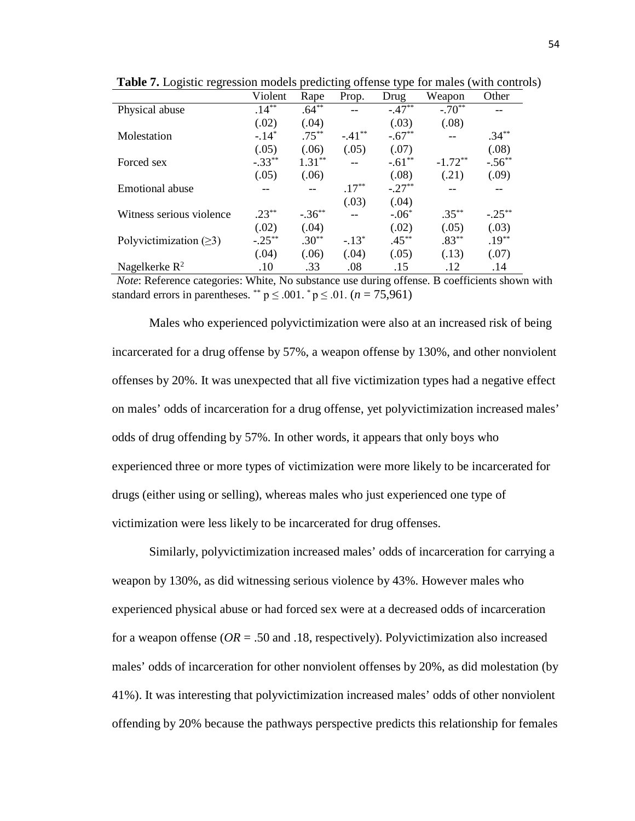|                              | Violent   | Rape      | Prop.    | Drug     | Weapon    | Other     |
|------------------------------|-----------|-----------|----------|----------|-----------|-----------|
| Physical abuse               | $.14***$  | $.64***$  |          | $-.47**$ | $-.70**$  |           |
|                              | (.02)     | (.04)     |          | (.03)    | (.08)     |           |
| Molestation                  | $-.14*$   | $.75***$  | $-.41**$ | $-.67**$ |           | $.34***$  |
|                              | (.05)     | (.06)     | (.05)    | (.07)    |           | (.08)     |
| Forced sex                   | $-.33**$  | $1.31***$ |          | $-.61**$ | $-1.72**$ | $-.56***$ |
|                              | (.05)     | (.06)     |          | (.08)    | (.21)     | (.09)     |
| Emotional abuse              |           |           | $.17***$ | $-.27**$ |           |           |
|                              |           |           | (.03)    | (.04)    |           |           |
| Witness serious violence     | $.23***$  | $-.36***$ |          | $-.06*$  | $.35***$  | $-.25***$ |
|                              | (.02)     | (.04)     |          | (.02)    | (.05)     | (.03)     |
| Polyvictimization $(\geq 3)$ | $-.25***$ | $.30**$   | $-.13*$  | $.45***$ | $.83**$   | $.19***$  |
|                              | (.04)     | (.06)     | (.04)    | (.05)    | (.13)     | (.07)     |
| Nagelkerke $R^2$             | .10       | .33       | .08      | .15      | .12       | .14       |

**Table 7.** Logistic regression models predicting offense type for males (with controls)

*Note*: Reference categories: White, No substance use during offense. B coefficients shown with standard errors in parentheses. \*\*  $p \leq .001$ . \*  $p \leq .01$ . (*n* = 75,961)

Males who experienced polyvictimization were also at an increased risk of being incarcerated for a drug offense by 57%, a weapon offense by 130%, and other nonviolent offenses by 20%. It was unexpected that all five victimization types had a negative effect on males' odds of incarceration for a drug offense, yet polyvictimization increased males' odds of drug offending by 57%. In other words, it appears that only boys who experienced three or more types of victimization were more likely to be incarcerated for drugs (either using or selling), whereas males who just experienced one type of victimization were less likely to be incarcerated for drug offenses.

Similarly, polyvictimization increased males' odds of incarceration for carrying a weapon by 130%, as did witnessing serious violence by 43%. However males who experienced physical abuse or had forced sex were at a decreased odds of incarceration for a weapon offense (*OR* = .50 and .18, respectively). Polyvictimization also increased males' odds of incarceration for other nonviolent offenses by 20%, as did molestation (by 41%). It was interesting that polyvictimization increased males' odds of other nonviolent offending by 20% because the pathways perspective predicts this relationship for females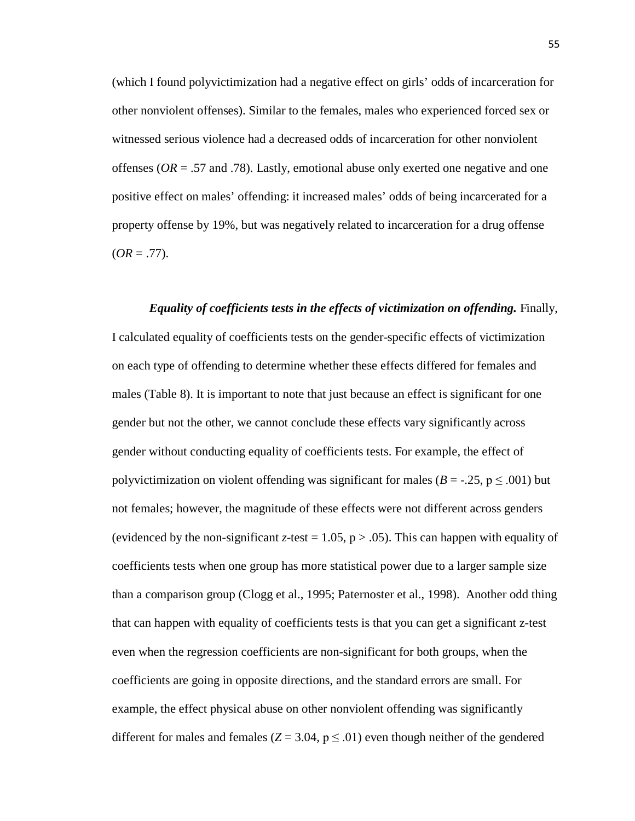(which I found polyvictimization had a negative effect on girls' odds of incarceration for other nonviolent offenses). Similar to the females, males who experienced forced sex or witnessed serious violence had a decreased odds of incarceration for other nonviolent offenses (*OR* = .57 and .78). Lastly, emotional abuse only exerted one negative and one positive effect on males' offending: it increased males' odds of being incarcerated for a property offense by 19%, but was negatively related to incarceration for a drug offense  $(OR = .77)$ .

# *Equality of coefficients tests in the effects of victimization on offending.* Finally,

I calculated equality of coefficients tests on the gender-specific effects of victimization on each type of offending to determine whether these effects differed for females and males (Table 8). It is important to note that just because an effect is significant for one gender but not the other, we cannot conclude these effects vary significantly across gender without conducting equality of coefficients tests. For example, the effect of polyvictimization on violent offending was significant for males ( $B = -0.25$ ,  $p \le 0.001$ ) but not females; however, the magnitude of these effects were not different across genders (evidenced by the non-significant *z*-test = 1.05,  $p > .05$ ). This can happen with equality of coefficients tests when one group has more statistical power due to a larger sample size than a comparison group (Clogg et al., 1995; Paternoster et al., 1998). Another odd thing that can happen with equality of coefficients tests is that you can get a significant z-test even when the regression coefficients are non-significant for both groups, when the coefficients are going in opposite directions, and the standard errors are small. For example, the effect physical abuse on other nonviolent offending was significantly different for males and females ( $Z = 3.04$ ,  $p \leq .01$ ) even though neither of the gendered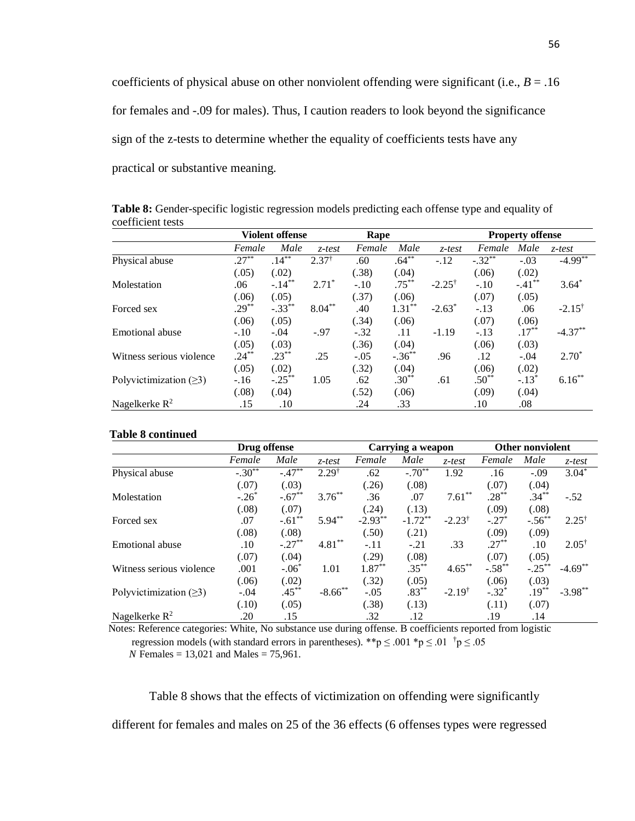coefficients of physical abuse on other nonviolent offending were significant (i.e.,  $B = .16$ ) for females and -.09 for males). Thus, I caution readers to look beyond the significance sign of the z-tests to determine whether the equality of coefficients tests have any practical or substantive meaning.

**Violent offense** Rape **Rape** Property offense *Female Male z-test Female Male z-test Female Male z-test* Physical abuse .27\*\* (.05) .14\*\* (.02)  $2.37^{\dagger}$  .60 (.38) .64\*\* (.04)  $-.12$   $-.32^*$ (.06) -.03 (.02)  $-4.99***$ Molestation .06 (.06)  $-.14***$ (.05)  $2.71^*$  -.10 (.37) .75\*\* (.06)  $-2.25^{\dagger}$   $-.10$ (.07)  $-.41*$ (.05) 3.64\* Forced sex .29<sup>\*\*</sup> (.06)  $-.33$ <sup>\*\*</sup> (.05) 8.04\*\* .40 (.34) 1.31\*\* (.06)  $-2.63^*$   $-.13$ (.07) .06 (.06)  $-2.15^{\dagger}$ Emotional abuse -.10 (.05) -.04 (.03) -.97 -.32 (.36) .11  $(.04)$  $-1.19 - .13$ (.06) .17\*\* (.03)  $-4.37**$ Witness serious violence .24\*\* (.05) .23\*\* (.02) .25 -.05 (.32)  $-.36***$ (.04) .96 .12 (.06) -.04 (.02) 2.70\* Polyvictimization  $(\geq 3)$  -.16 (.08)  $-.25***$ (.04) 1.05 .62 (.52) .30\*\* (.06)  $.61$   $.50^{**}$ (.09)  $-.13^*$ (.04) 6.16\*\* Nagelkerke R<sup>2</sup> .15 .10 .24 .33 .10 .08

**Table 8:** Gender-specific logistic regression models predicting each offense type and equality of coefficient tests

#### **Table 8 continued**

|                              | Drug offense |           |                  |            | Carrying a weapon |                   | <b>Other nonviolent</b> |             |                  |
|------------------------------|--------------|-----------|------------------|------------|-------------------|-------------------|-------------------------|-------------|------------------|
|                              | Female       | Male      | $z$ -test        | Female     | Male              | $z$ -test         | Female                  | Male        | $z$ -test        |
| Physical abuse               | $-.30**$     | $-.47***$ | $2.29^{\dagger}$ | .62        | $-.70**$          | 1.92              | .16                     | $-.09$      | $3.04*$          |
|                              | (.07)        | (.03)     |                  | (.26)      | (.08)             |                   | (.07)                   | (.04)       |                  |
| Molestation                  | $-.26^*$     | $-.67**$  | $3.76***$        | .36        | .07               | $7.61**$          | $.28***$                | $.34***$    | $-.52$           |
|                              | (.08)        | (.07)     |                  | (.24)      | (.13)             |                   | (.09)                   | (.08)       |                  |
| Forced sex                   | .07          | $-.61**$  | $5.94**$         | $-2.93***$ | $-1.72***$        | $-2.23^{\dagger}$ | $-.27*$                 | $-.56^{**}$ | $2.25^{\dagger}$ |
|                              | (.08)        | (.08)     |                  | (.50)      | (.21)             |                   | (.09)                   | (.09)       |                  |
| Emotional abuse              | .10          | $-.27**$  | $4.81***$        | $-.11$     | $-.21$            | .33               | $.27***$                | .10         | $2.05^{\dagger}$ |
|                              | (.07)        | (.04)     |                  | (.29)      | (.08)             |                   | (.07)                   | (.05)       |                  |
| Witness serious violence     | .001         | $-.06*$   | 1.01             | $1.87***$  | $.35***$          | $4.65***$         | $-.58**$                | $-.25***$   | $-4.69**$        |
|                              | (.06)        | (.02)     |                  | (.32)      | (.05)             |                   | (.06)                   | (.03)       |                  |
| Polyvictimization $(\geq 3)$ | $-.04$       | $.45***$  | $-8.66$ **       | $-.05$     | $.83***$          | $-2.19^{\dagger}$ | $-.32*$                 | $.19***$    | $-3.98***$       |
|                              | (.10)        | (.05)     |                  | (.38)      | (.13)             |                   | (.11)                   | (.07)       |                  |
| Nagelkerke $R^2$             | .20          | .15       |                  | .32        | .12               |                   | .19                     | .14         |                  |

 Notes: Reference categories: White, No substance use during offense. B coefficients reported from logistic regression models (with standard errors in parentheses). \*\*p  $\leq .001$  \*p  $\leq .01$  <sup>†</sup>p  $\leq .05$ *N* Females = 13,021 and Males = 75,961.

Table 8 shows that the effects of victimization on offending were significantly different for females and males on 25 of the 36 effects (6 offenses types were regressed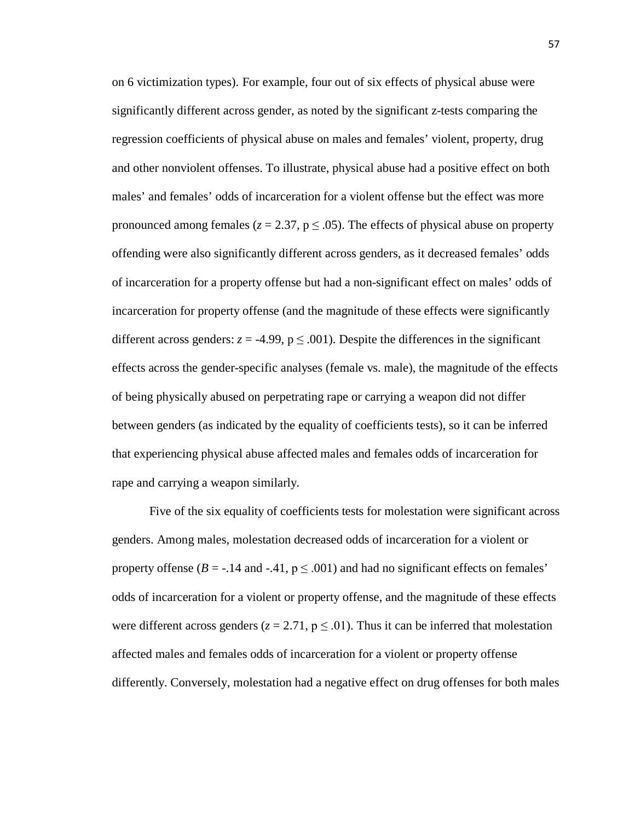on 6 victimization types). For example, four out of six effects of physical abuse were significantly different across gender, as noted by the significant z-tests comparing the regression coefficients of physical abuse on males and females' violent, property, drug and other nonviolent offenses. To illustrate, physical abuse had a positive effect on both males' and females' odds of incarceration for a violent offense but the effect was more pronounced among females ( $z = 2.37$ ,  $p \le 0.05$ ). The effects of physical abuse on property offending were also significantly different across genders, as it decreased females' odds of incarceration for a property offense but had a non-significant effect on males' odds of incarceration for property offense (and the magnitude of these effects were significantly different across genders:  $z = -4.99$ ,  $p \le 0.001$ ). Despite the differences in the significant effects across the gender-specific analyses (female vs. male), the magnitude of the effects of being physically abused on perpetrating rape or carrying a weapon did not differ between genders (as indicated by the equality of coefficients tests), so it can be inferred that experiencing physical abuse affected males and females odds of incarceration for rape and carrying a weapon similarly.

Five of the six equality of coefficients tests for molestation were significant across genders. Among males, molestation decreased odds of incarceration for a violent or property offense ( $B = -.14$  and  $-.41$ ,  $p \leq .001$ ) and had no significant effects on females' odds of incarceration for a violent or property offense, and the magnitude of these effects were different across genders ( $z = 2.71$ ,  $p \le 0.01$ ). Thus it can be inferred that molestation affected males and females odds of incarceration for a violent or property offense differently. Conversely, molestation had a negative effect on drug offenses for both males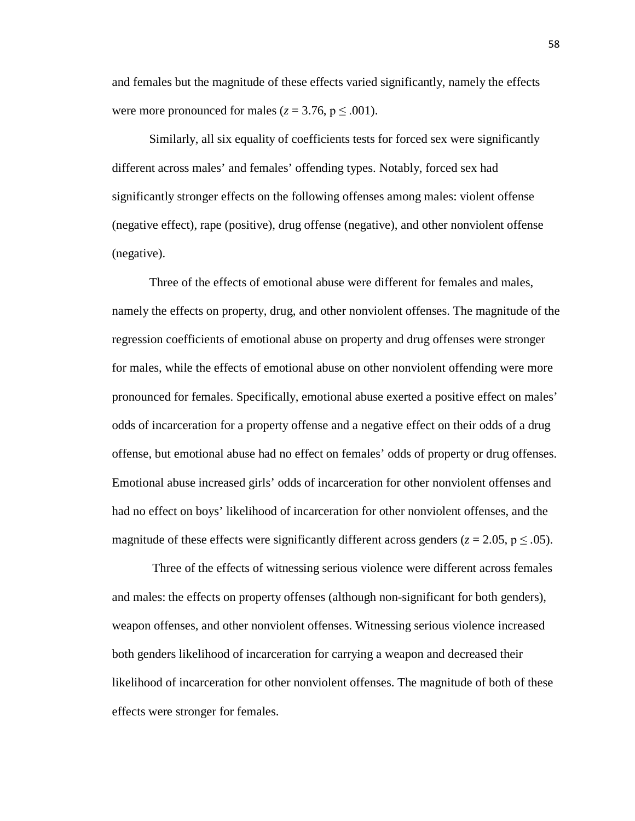and females but the magnitude of these effects varied significantly, namely the effects were more pronounced for males ( $z = 3.76$ ,  $p \le 0.001$ ).

Similarly, all six equality of coefficients tests for forced sex were significantly different across males' and females' offending types. Notably, forced sex had significantly stronger effects on the following offenses among males: violent offense (negative effect), rape (positive), drug offense (negative), and other nonviolent offense (negative).

Three of the effects of emotional abuse were different for females and males, namely the effects on property, drug, and other nonviolent offenses. The magnitude of the regression coefficients of emotional abuse on property and drug offenses were stronger for males, while the effects of emotional abuse on other nonviolent offending were more pronounced for females. Specifically, emotional abuse exerted a positive effect on males' odds of incarceration for a property offense and a negative effect on their odds of a drug offense, but emotional abuse had no effect on females' odds of property or drug offenses. Emotional abuse increased girls' odds of incarceration for other nonviolent offenses and had no effect on boys' likelihood of incarceration for other nonviolent offenses, and the magnitude of these effects were significantly different across genders ( $z = 2.05$ ,  $p \leq .05$ ).

Three of the effects of witnessing serious violence were different across females and males: the effects on property offenses (although non-significant for both genders), weapon offenses, and other nonviolent offenses. Witnessing serious violence increased both genders likelihood of incarceration for carrying a weapon and decreased their likelihood of incarceration for other nonviolent offenses. The magnitude of both of these effects were stronger for females.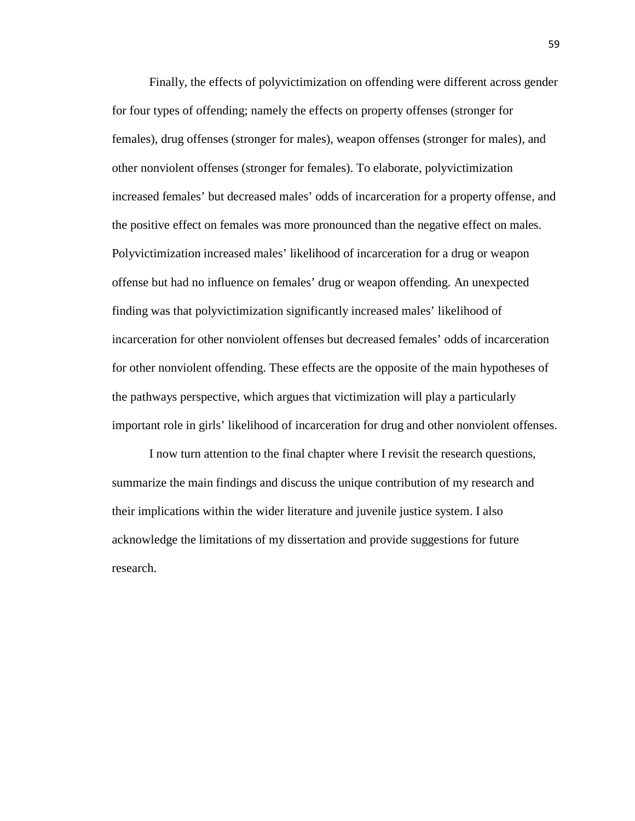Finally, the effects of polyvictimization on offending were different across gender for four types of offending; namely the effects on property offenses (stronger for females), drug offenses (stronger for males), weapon offenses (stronger for males), and other nonviolent offenses (stronger for females). To elaborate, polyvictimization increased females' but decreased males' odds of incarceration for a property offense, and the positive effect on females was more pronounced than the negative effect on males. Polyvictimization increased males' likelihood of incarceration for a drug or weapon offense but had no influence on females' drug or weapon offending. An unexpected finding was that polyvictimization significantly increased males' likelihood of incarceration for other nonviolent offenses but decreased females' odds of incarceration for other nonviolent offending. These effects are the opposite of the main hypotheses of the pathways perspective, which argues that victimization will play a particularly important role in girls' likelihood of incarceration for drug and other nonviolent offenses.

I now turn attention to the final chapter where I revisit the research questions, summarize the main findings and discuss the unique contribution of my research and their implications within the wider literature and juvenile justice system. I also acknowledge the limitations of my dissertation and provide suggestions for future research.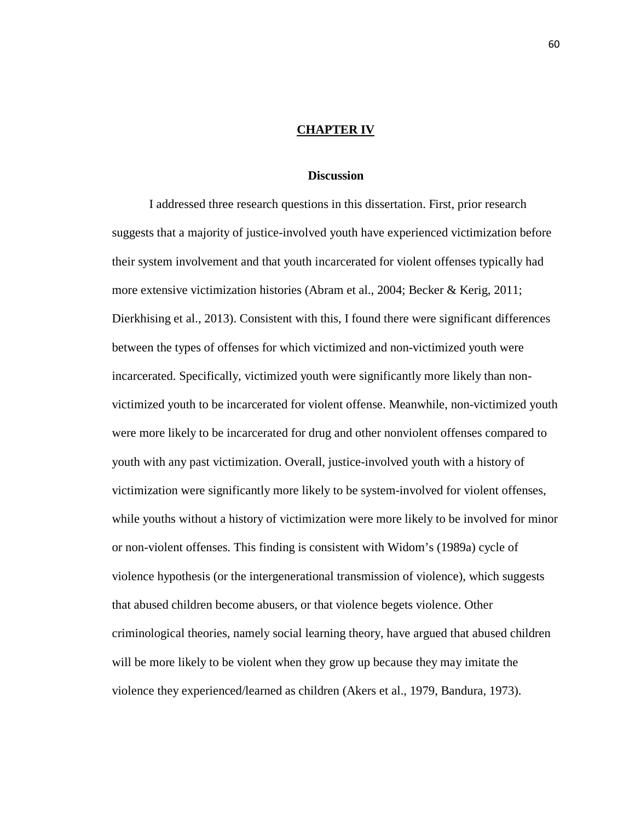#### **CHAPTER IV**

#### **Discussion**

I addressed three research questions in this dissertation. First, prior research suggests that a majority of justice-involved youth have experienced victimization before their system involvement and that youth incarcerated for violent offenses typically had more extensive victimization histories (Abram et al., 2004; Becker & Kerig, 2011; Dierkhising et al., 2013). Consistent with this, I found there were significant differences between the types of offenses for which victimized and non-victimized youth were incarcerated. Specifically, victimized youth were significantly more likely than nonvictimized youth to be incarcerated for violent offense. Meanwhile, non-victimized youth were more likely to be incarcerated for drug and other nonviolent offenses compared to youth with any past victimization. Overall, justice-involved youth with a history of victimization were significantly more likely to be system-involved for violent offenses, while youths without a history of victimization were more likely to be involved for minor or non-violent offenses. This finding is consistent with Widom's (1989a) cycle of violence hypothesis (or the intergenerational transmission of violence), which suggests that abused children become abusers, or that violence begets violence. Other criminological theories, namely social learning theory, have argued that abused children will be more likely to be violent when they grow up because they may imitate the violence they experienced/learned as children (Akers et al., 1979, Bandura, 1973).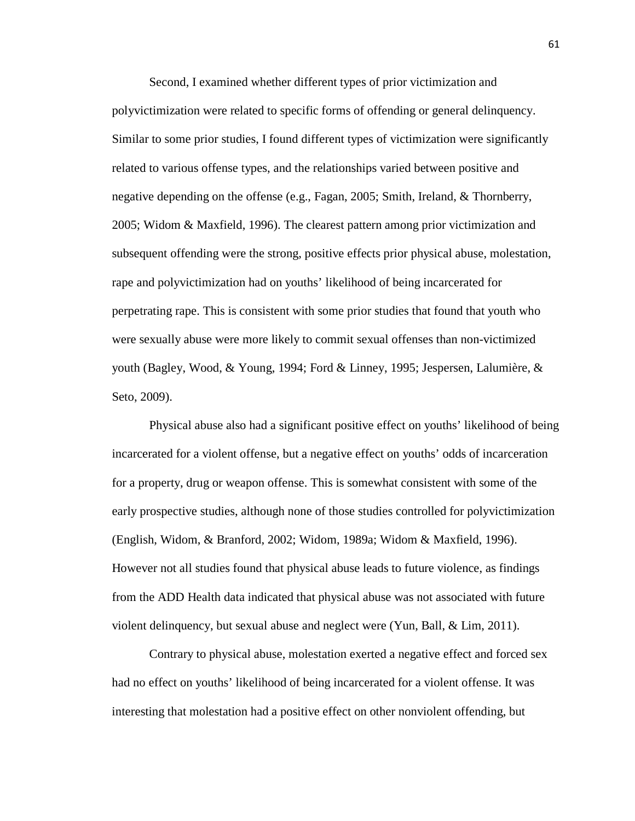Second, I examined whether different types of prior victimization and polyvictimization were related to specific forms of offending or general delinquency. Similar to some prior studies, I found different types of victimization were significantly related to various offense types, and the relationships varied between positive and negative depending on the offense (e.g., Fagan, 2005; Smith, Ireland, & Thornberry, 2005; Widom & Maxfield, 1996). The clearest pattern among prior victimization and subsequent offending were the strong, positive effects prior physical abuse, molestation, rape and polyvictimization had on youths' likelihood of being incarcerated for perpetrating rape. This is consistent with some prior studies that found that youth who were sexually abuse were more likely to commit sexual offenses than non-victimized youth (Bagley, Wood, & Young, 1994; Ford & Linney, 1995; Jespersen, Lalumière, & Seto, 2009).

Physical abuse also had a significant positive effect on youths' likelihood of being incarcerated for a violent offense, but a negative effect on youths' odds of incarceration for a property, drug or weapon offense. This is somewhat consistent with some of the early prospective studies, although none of those studies controlled for polyvictimization (English, Widom, & Branford, 2002; Widom, 1989a; Widom & Maxfield, 1996). However not all studies found that physical abuse leads to future violence, as findings from the ADD Health data indicated that physical abuse was not associated with future violent delinquency, but sexual abuse and neglect were (Yun, Ball, & Lim, 2011).

Contrary to physical abuse, molestation exerted a negative effect and forced sex had no effect on youths' likelihood of being incarcerated for a violent offense. It was interesting that molestation had a positive effect on other nonviolent offending, but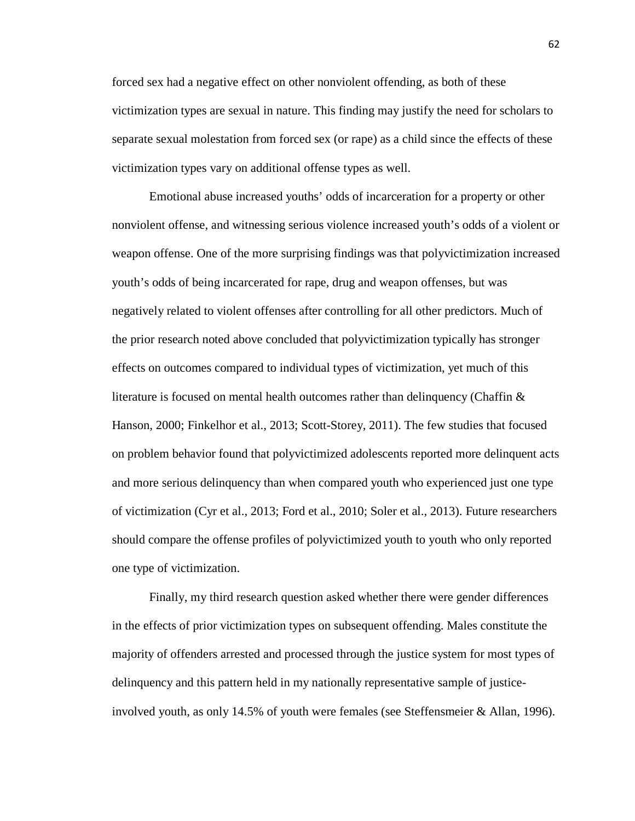forced sex had a negative effect on other nonviolent offending, as both of these victimization types are sexual in nature. This finding may justify the need for scholars to separate sexual molestation from forced sex (or rape) as a child since the effects of these victimization types vary on additional offense types as well.

Emotional abuse increased youths' odds of incarceration for a property or other nonviolent offense, and witnessing serious violence increased youth's odds of a violent or weapon offense. One of the more surprising findings was that polyvictimization increased youth's odds of being incarcerated for rape, drug and weapon offenses, but was negatively related to violent offenses after controlling for all other predictors. Much of the prior research noted above concluded that polyvictimization typically has stronger effects on outcomes compared to individual types of victimization, yet much of this literature is focused on mental health outcomes rather than delinquency (Chaffin  $\&$ Hanson, 2000; Finkelhor et al., 2013; Scott-Storey, 2011). The few studies that focused on problem behavior found that polyvictimized adolescents reported more delinquent acts and more serious delinquency than when compared youth who experienced just one type of victimization (Cyr et al., 2013; Ford et al., 2010; Soler et al., 2013). Future researchers should compare the offense profiles of polyvictimized youth to youth who only reported one type of victimization.

Finally, my third research question asked whether there were gender differences in the effects of prior victimization types on subsequent offending. Males constitute the majority of offenders arrested and processed through the justice system for most types of delinquency and this pattern held in my nationally representative sample of justiceinvolved youth, as only 14.5% of youth were females (see Steffensmeier & Allan, 1996).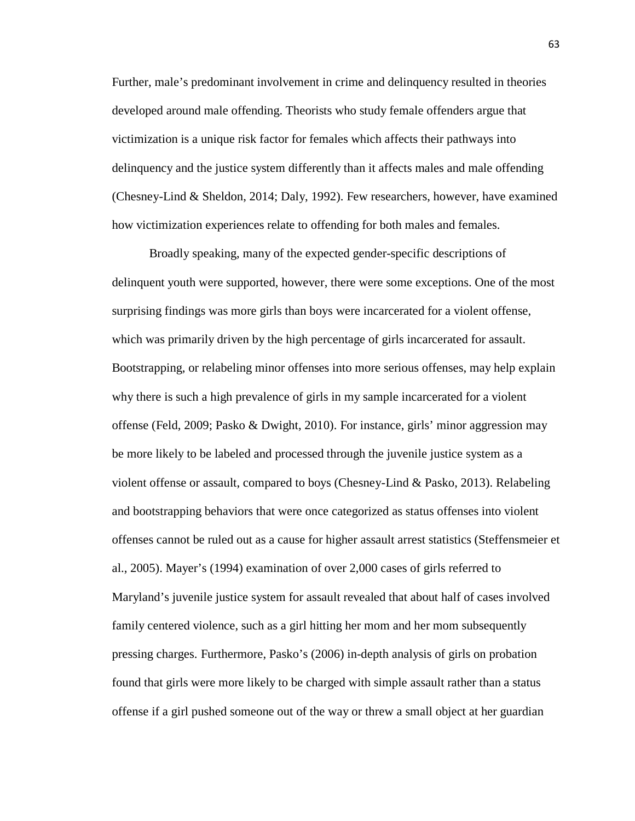Further, male's predominant involvement in crime and delinquency resulted in theories developed around male offending. Theorists who study female offenders argue that victimization is a unique risk factor for females which affects their pathways into delinquency and the justice system differently than it affects males and male offending (Chesney-Lind & Sheldon, 2014; Daly, 1992). Few researchers, however, have examined how victimization experiences relate to offending for both males and females.

Broadly speaking, many of the expected gender-specific descriptions of delinquent youth were supported, however, there were some exceptions. One of the most surprising findings was more girls than boys were incarcerated for a violent offense, which was primarily driven by the high percentage of girls incarcerated for assault. Bootstrapping, or relabeling minor offenses into more serious offenses, may help explain why there is such a high prevalence of girls in my sample incarcerated for a violent offense (Feld, 2009; Pasko & Dwight, 2010). For instance, girls' minor aggression may be more likely to be labeled and processed through the juvenile justice system as a violent offense or assault, compared to boys (Chesney-Lind & Pasko, 2013). Relabeling and bootstrapping behaviors that were once categorized as status offenses into violent offenses cannot be ruled out as a cause for higher assault arrest statistics (Steffensmeier et al., 2005). Mayer's (1994) examination of over 2,000 cases of girls referred to Maryland's juvenile justice system for assault revealed that about half of cases involved family centered violence, such as a girl hitting her mom and her mom subsequently pressing charges. Furthermore, Pasko's (2006) in-depth analysis of girls on probation found that girls were more likely to be charged with simple assault rather than a status offense if a girl pushed someone out of the way or threw a small object at her guardian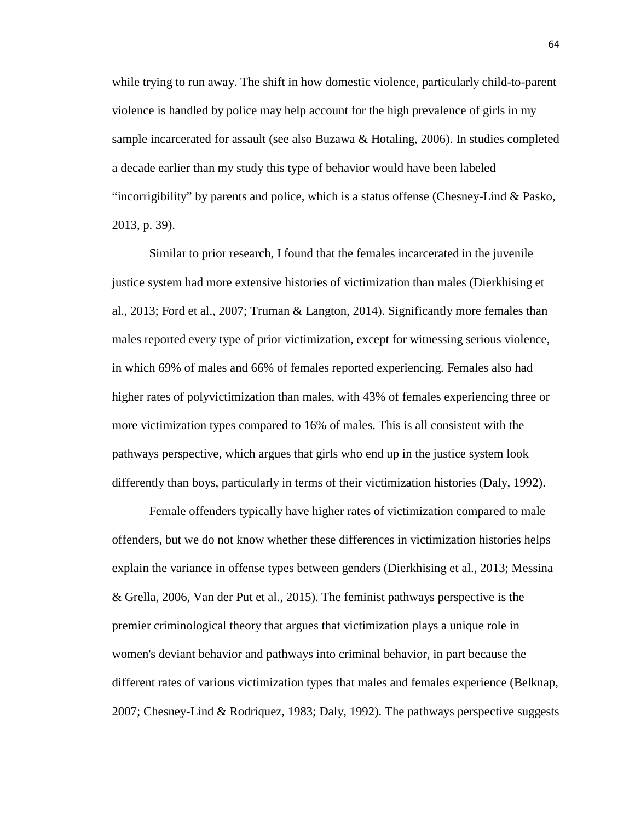while trying to run away. The shift in how domestic violence, particularly child-to-parent violence is handled by police may help account for the high prevalence of girls in my sample incarcerated for assault (see also Buzawa & Hotaling, 2006). In studies completed a decade earlier than my study this type of behavior would have been labeled "incorrigibility" by parents and police, which is a status offense (Chesney-Lind & Pasko, 2013, p. 39).

Similar to prior research, I found that the females incarcerated in the juvenile justice system had more extensive histories of victimization than males (Dierkhising et al., 2013; Ford et al., 2007; Truman & Langton, 2014). Significantly more females than males reported every type of prior victimization, except for witnessing serious violence, in which 69% of males and 66% of females reported experiencing. Females also had higher rates of polyvictimization than males, with 43% of females experiencing three or more victimization types compared to 16% of males. This is all consistent with the pathways perspective, which argues that girls who end up in the justice system look differently than boys, particularly in terms of their victimization histories (Daly, 1992).

Female offenders typically have higher rates of victimization compared to male offenders, but we do not know whether these differences in victimization histories helps explain the variance in offense types between genders (Dierkhising et al., 2013; Messina & Grella, 2006, Van der Put et al., 2015). The feminist pathways perspective is the premier criminological theory that argues that victimization plays a unique role in women's deviant behavior and pathways into criminal behavior, in part because the different rates of various victimization types that males and females experience (Belknap, 2007; Chesney-Lind & Rodriquez, 1983; Daly, 1992). The pathways perspective suggests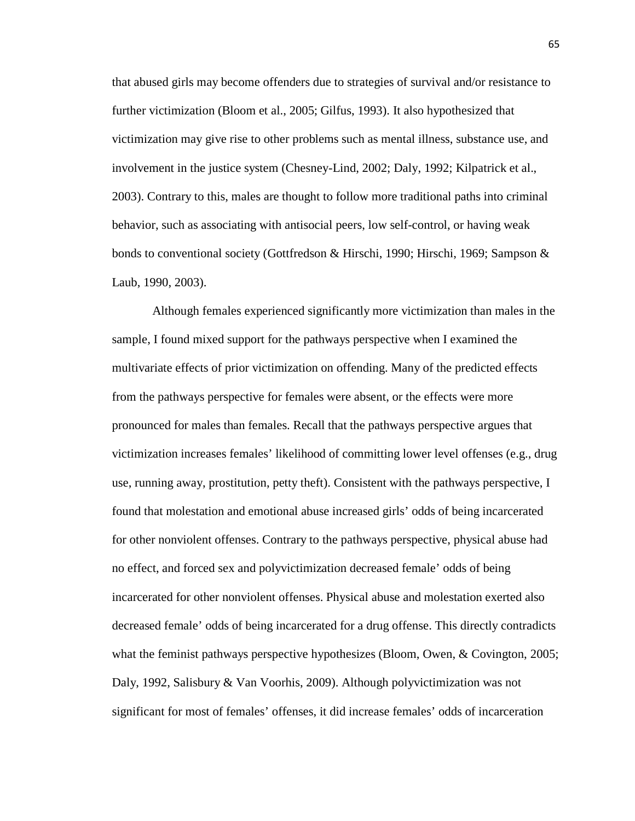that abused girls may become offenders due to strategies of survival and/or resistance to further victimization (Bloom et al., 2005; Gilfus, 1993). It also hypothesized that victimization may give rise to other problems such as mental illness, substance use, and involvement in the justice system (Chesney-Lind, 2002; Daly, 1992; Kilpatrick et al., 2003). Contrary to this, males are thought to follow more traditional paths into criminal behavior, such as associating with antisocial peers, low self-control, or having weak bonds to conventional society (Gottfredson & Hirschi, 1990; Hirschi, 1969; Sampson & Laub, 1990, 2003).

Although females experienced significantly more victimization than males in the sample, I found mixed support for the pathways perspective when I examined the multivariate effects of prior victimization on offending. Many of the predicted effects from the pathways perspective for females were absent, or the effects were more pronounced for males than females. Recall that the pathways perspective argues that victimization increases females' likelihood of committing lower level offenses (e.g., drug use, running away, prostitution, petty theft). Consistent with the pathways perspective, I found that molestation and emotional abuse increased girls' odds of being incarcerated for other nonviolent offenses. Contrary to the pathways perspective, physical abuse had no effect, and forced sex and polyvictimization decreased female' odds of being incarcerated for other nonviolent offenses. Physical abuse and molestation exerted also decreased female' odds of being incarcerated for a drug offense. This directly contradicts what the feminist pathways perspective hypothesizes (Bloom, Owen, & Covington, 2005; Daly, 1992, Salisbury & Van Voorhis, 2009). Although polyvictimization was not significant for most of females' offenses, it did increase females' odds of incarceration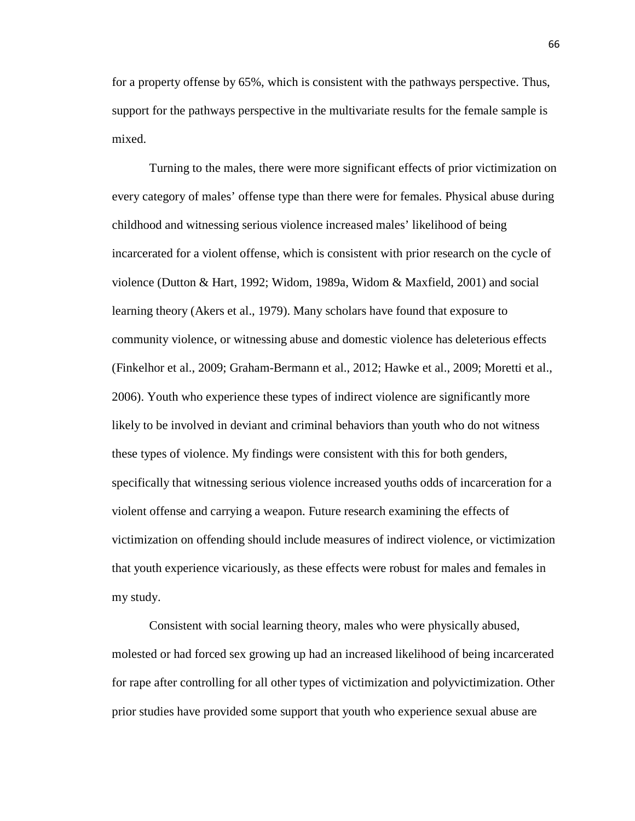for a property offense by 65%, which is consistent with the pathways perspective. Thus, support for the pathways perspective in the multivariate results for the female sample is mixed.

Turning to the males, there were more significant effects of prior victimization on every category of males' offense type than there were for females. Physical abuse during childhood and witnessing serious violence increased males' likelihood of being incarcerated for a violent offense, which is consistent with prior research on the cycle of violence (Dutton & Hart, 1992; Widom, 1989a, Widom & Maxfield, 2001) and social learning theory (Akers et al., 1979). Many scholars have found that exposure to community violence, or witnessing abuse and domestic violence has deleterious effects (Finkelhor et al., 2009; Graham-Bermann et al., 2012; Hawke et al., 2009; Moretti et al., 2006). Youth who experience these types of indirect violence are significantly more likely to be involved in deviant and criminal behaviors than youth who do not witness these types of violence. My findings were consistent with this for both genders, specifically that witnessing serious violence increased youths odds of incarceration for a violent offense and carrying a weapon. Future research examining the effects of victimization on offending should include measures of indirect violence, or victimization that youth experience vicariously, as these effects were robust for males and females in my study.

Consistent with social learning theory, males who were physically abused, molested or had forced sex growing up had an increased likelihood of being incarcerated for rape after controlling for all other types of victimization and polyvictimization. Other prior studies have provided some support that youth who experience sexual abuse are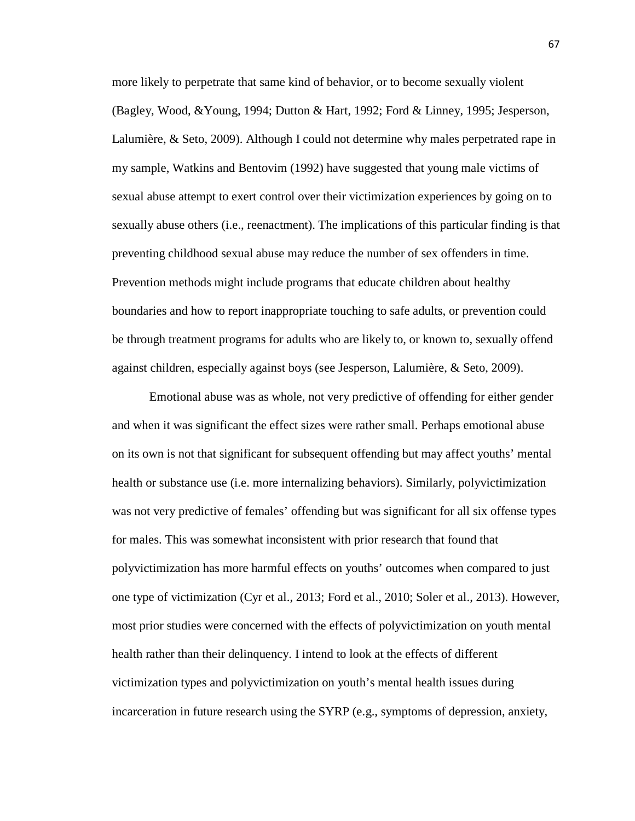more likely to perpetrate that same kind of behavior, or to become sexually violent (Bagley, Wood, &Young, 1994; Dutton & Hart, 1992; Ford & Linney, 1995; Jesperson, Lalumière, & Seto, 2009). Although I could not determine why males perpetrated rape in my sample, Watkins and Bentovim (1992) have suggested that young male victims of sexual abuse attempt to exert control over their victimization experiences by going on to sexually abuse others (i.e., reenactment). The implications of this particular finding is that preventing childhood sexual abuse may reduce the number of sex offenders in time. Prevention methods might include programs that educate children about healthy boundaries and how to report inappropriate touching to safe adults, or prevention could be through treatment programs for adults who are likely to, or known to, sexually offend against children, especially against boys (see Jesperson, Lalumière, & Seto, 2009).

Emotional abuse was as whole, not very predictive of offending for either gender and when it was significant the effect sizes were rather small. Perhaps emotional abuse on its own is not that significant for subsequent offending but may affect youths' mental health or substance use (i.e. more internalizing behaviors). Similarly, polyvictimization was not very predictive of females' offending but was significant for all six offense types for males. This was somewhat inconsistent with prior research that found that polyvictimization has more harmful effects on youths' outcomes when compared to just one type of victimization (Cyr et al., 2013; Ford et al., 2010; Soler et al., 2013). However, most prior studies were concerned with the effects of polyvictimization on youth mental health rather than their delinquency. I intend to look at the effects of different victimization types and polyvictimization on youth's mental health issues during incarceration in future research using the SYRP (e.g., symptoms of depression, anxiety,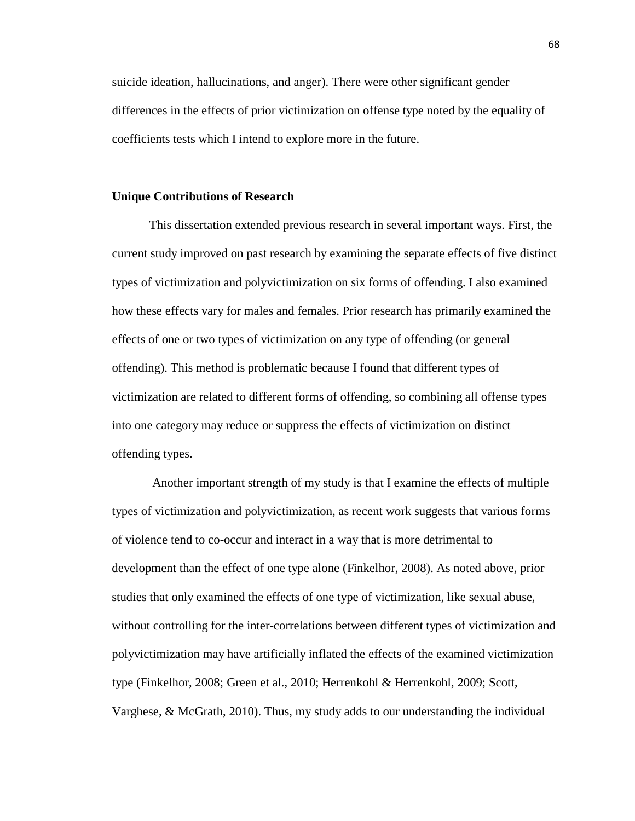suicide ideation, hallucinations, and anger). There were other significant gender differences in the effects of prior victimization on offense type noted by the equality of coefficients tests which I intend to explore more in the future.

#### **Unique Contributions of Research**

This dissertation extended previous research in several important ways. First, the current study improved on past research by examining the separate effects of five distinct types of victimization and polyvictimization on six forms of offending. I also examined how these effects vary for males and females. Prior research has primarily examined the effects of one or two types of victimization on any type of offending (or general offending). This method is problematic because I found that different types of victimization are related to different forms of offending, so combining all offense types into one category may reduce or suppress the effects of victimization on distinct offending types.

Another important strength of my study is that I examine the effects of multiple types of victimization and polyvictimization, as recent work suggests that various forms of violence tend to co-occur and interact in a way that is more detrimental to development than the effect of one type alone (Finkelhor, 2008). As noted above, prior studies that only examined the effects of one type of victimization, like sexual abuse, without controlling for the inter-correlations between different types of victimization and polyvictimization may have artificially inflated the effects of the examined victimization type (Finkelhor, 2008; Green et al., 2010; Herrenkohl & Herrenkohl, 2009; Scott, Varghese, & McGrath, 2010). Thus, my study adds to our understanding the individual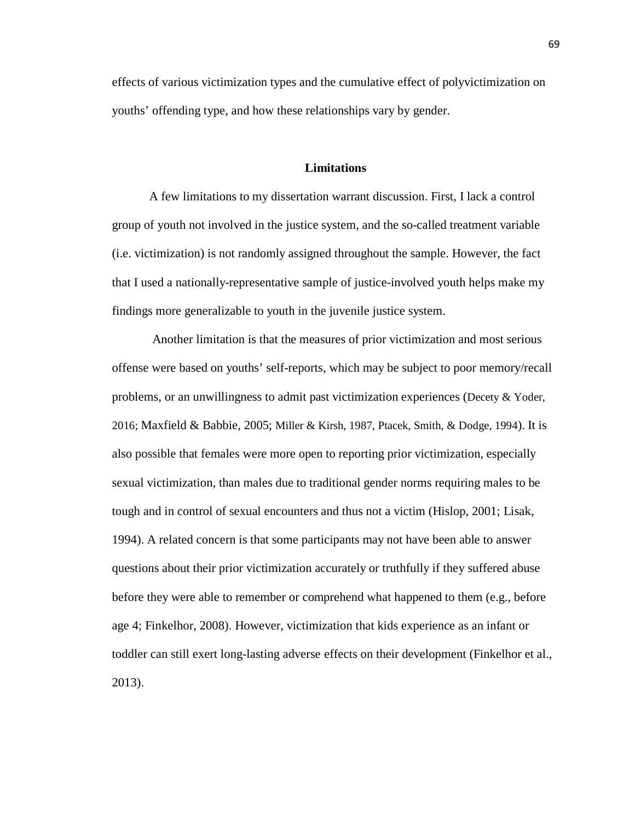effects of various victimization types and the cumulative effect of polyvictimization on youths' offending type, and how these relationships vary by gender.

### **Limitations**

A few limitations to my dissertation warrant discussion. First, I lack a control group of youth not involved in the justice system, and the so-called treatment variable (i.e. victimization) is not randomly assigned throughout the sample. However, the fact that I used a nationally-representative sample of justice-involved youth helps make my findings more generalizable to youth in the juvenile justice system.

Another limitation is that the measures of prior victimization and most serious offense were based on youths' self-reports, which may be subject to poor memory/recall problems, or an unwillingness to admit past victimization experiences (Decety & Yoder, 2016; Maxfield & Babbie, 2005; Miller & Kirsh, 1987, Ptacek, Smith, & Dodge, 1994). It is also possible that females were more open to reporting prior victimization, especially sexual victimization, than males due to traditional gender norms requiring males to be tough and in control of sexual encounters and thus not a victim (Hislop, 2001; Lisak, 1994). A related concern is that some participants may not have been able to answer questions about their prior victimization accurately or truthfully if they suffered abuse before they were able to remember or comprehend what happened to them (e.g., before age 4; Finkelhor, 2008). However, victimization that kids experience as an infant or toddler can still exert long-lasting adverse effects on their development (Finkelhor et al., 2013).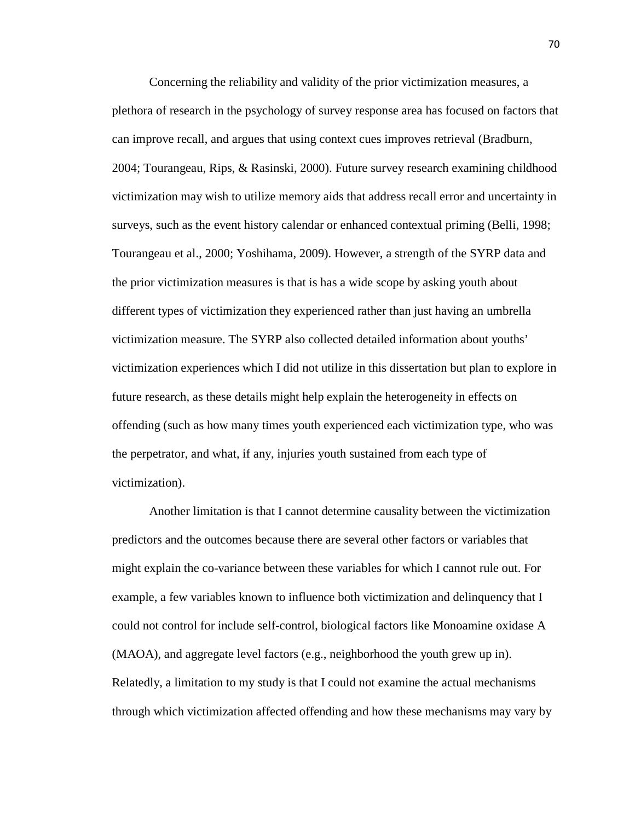Concerning the reliability and validity of the prior victimization measures, a plethora of research in the psychology of survey response area has focused on factors that can improve recall, and argues that using context cues improves retrieval (Bradburn, 2004; Tourangeau, Rips, & Rasinski, 2000). Future survey research examining childhood victimization may wish to utilize memory aids that address recall error and uncertainty in surveys, such as the event history calendar or enhanced contextual priming (Belli, 1998; Tourangeau et al., 2000; Yoshihama, 2009). However, a strength of the SYRP data and the prior victimization measures is that is has a wide scope by asking youth about different types of victimization they experienced rather than just having an umbrella victimization measure. The SYRP also collected detailed information about youths' victimization experiences which I did not utilize in this dissertation but plan to explore in future research, as these details might help explain the heterogeneity in effects on offending (such as how many times youth experienced each victimization type, who was the perpetrator, and what, if any, injuries youth sustained from each type of victimization).

Another limitation is that I cannot determine causality between the victimization predictors and the outcomes because there are several other factors or variables that might explain the co-variance between these variables for which I cannot rule out. For example, a few variables known to influence both victimization and delinquency that I could not control for include self-control, biological factors like Monoamine oxidase A (MAOA), and aggregate level factors (e.g., neighborhood the youth grew up in). Relatedly, a limitation to my study is that I could not examine the actual mechanisms through which victimization affected offending and how these mechanisms may vary by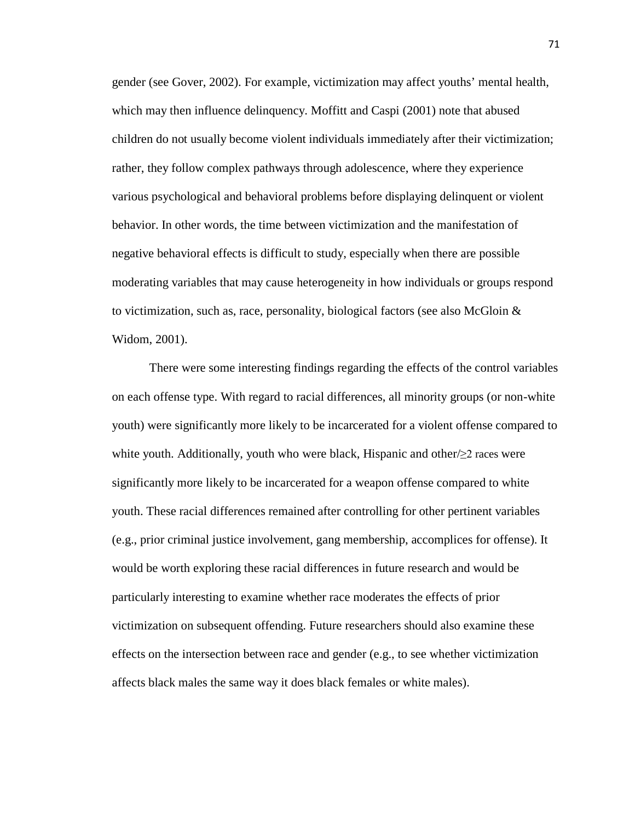gender (see Gover, 2002). For example, victimization may affect youths' mental health, which may then influence delinquency. Moffitt and Caspi (2001) note that abused children do not usually become violent individuals immediately after their victimization; rather, they follow complex pathways through adolescence, where they experience various psychological and behavioral problems before displaying delinquent or violent behavior. In other words, the time between victimization and the manifestation of negative behavioral effects is difficult to study, especially when there are possible moderating variables that may cause heterogeneity in how individuals or groups respond to victimization, such as, race, personality, biological factors (see also McGloin  $\&$ Widom, 2001).

There were some interesting findings regarding the effects of the control variables on each offense type. With regard to racial differences, all minority groups (or non-white youth) were significantly more likely to be incarcerated for a violent offense compared to white youth. Additionally, youth who were black, Hispanic and other/≥2 races were significantly more likely to be incarcerated for a weapon offense compared to white youth. These racial differences remained after controlling for other pertinent variables (e.g., prior criminal justice involvement, gang membership, accomplices for offense). It would be worth exploring these racial differences in future research and would be particularly interesting to examine whether race moderates the effects of prior victimization on subsequent offending. Future researchers should also examine these effects on the intersection between race and gender (e.g., to see whether victimization affects black males the same way it does black females or white males).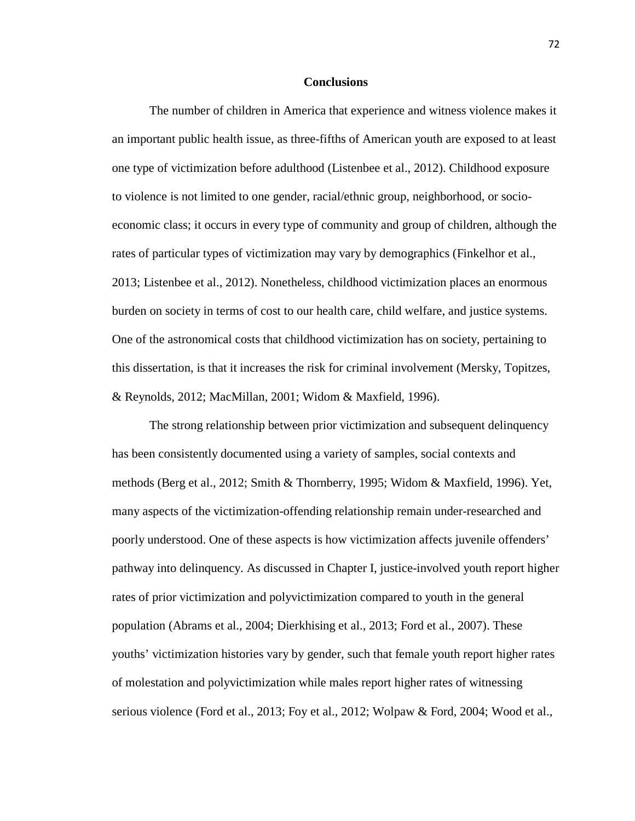#### **Conclusions**

The number of children in America that experience and witness violence makes it an important public health issue, as three-fifths of American youth are exposed to at least one type of victimization before adulthood (Listenbee et al., 2012). Childhood exposure to violence is not limited to one gender, racial/ethnic group, neighborhood, or socioeconomic class; it occurs in every type of community and group of children, although the rates of particular types of victimization may vary by demographics (Finkelhor et al., 2013; Listenbee et al., 2012). Nonetheless, childhood victimization places an enormous burden on society in terms of cost to our health care, child welfare, and justice systems. One of the astronomical costs that childhood victimization has on society, pertaining to this dissertation, is that it increases the risk for criminal involvement (Mersky, Topitzes, & Reynolds, 2012; MacMillan, 2001; Widom & Maxfield, 1996).

The strong relationship between prior victimization and subsequent delinquency has been consistently documented using a variety of samples, social contexts and methods (Berg et al., 2012; Smith & Thornberry, 1995; Widom & Maxfield, 1996). Yet, many aspects of the victimization-offending relationship remain under-researched and poorly understood. One of these aspects is how victimization affects juvenile offenders' pathway into delinquency. As discussed in Chapter I, justice-involved youth report higher rates of prior victimization and polyvictimization compared to youth in the general population (Abrams et al., 2004; Dierkhising et al., 2013; Ford et al., 2007). These youths' victimization histories vary by gender, such that female youth report higher rates of molestation and polyvictimization while males report higher rates of witnessing serious violence (Ford et al., 2013; Foy et al., 2012; Wolpaw & Ford, 2004; Wood et al.,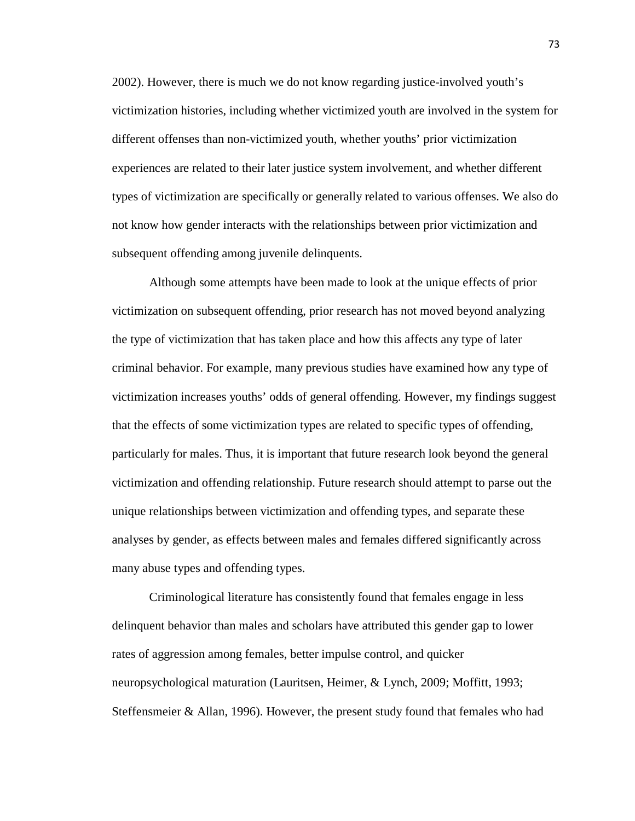2002). However, there is much we do not know regarding justice-involved youth's victimization histories, including whether victimized youth are involved in the system for different offenses than non-victimized youth, whether youths' prior victimization experiences are related to their later justice system involvement, and whether different types of victimization are specifically or generally related to various offenses. We also do not know how gender interacts with the relationships between prior victimization and subsequent offending among juvenile delinquents.

Although some attempts have been made to look at the unique effects of prior victimization on subsequent offending, prior research has not moved beyond analyzing the type of victimization that has taken place and how this affects any type of later criminal behavior. For example, many previous studies have examined how any type of victimization increases youths' odds of general offending. However, my findings suggest that the effects of some victimization types are related to specific types of offending, particularly for males. Thus, it is important that future research look beyond the general victimization and offending relationship. Future research should attempt to parse out the unique relationships between victimization and offending types, and separate these analyses by gender, as effects between males and females differed significantly across many abuse types and offending types.

Criminological literature has consistently found that females engage in less delinquent behavior than males and scholars have attributed this gender gap to lower rates of aggression among females, better impulse control, and quicker neuropsychological maturation (Lauritsen, Heimer, & Lynch, 2009; Moffitt, 1993; Steffensmeier & Allan, 1996). However, the present study found that females who had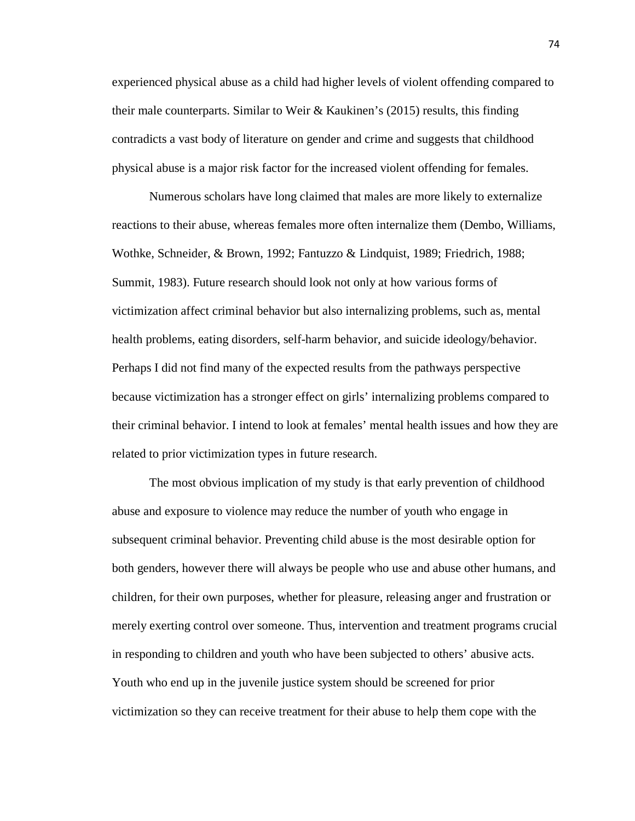experienced physical abuse as a child had higher levels of violent offending compared to their male counterparts. Similar to Weir & Kaukinen's (2015) results, this finding contradicts a vast body of literature on gender and crime and suggests that childhood physical abuse is a major risk factor for the increased violent offending for females.

Numerous scholars have long claimed that males are more likely to externalize reactions to their abuse, whereas females more often internalize them (Dembo, Williams, Wothke, Schneider, & Brown, 1992; Fantuzzo & Lindquist, 1989; Friedrich, 1988; Summit, 1983). Future research should look not only at how various forms of victimization affect criminal behavior but also internalizing problems, such as, mental health problems, eating disorders, self-harm behavior, and suicide ideology/behavior. Perhaps I did not find many of the expected results from the pathways perspective because victimization has a stronger effect on girls' internalizing problems compared to their criminal behavior. I intend to look at females' mental health issues and how they are related to prior victimization types in future research.

The most obvious implication of my study is that early prevention of childhood abuse and exposure to violence may reduce the number of youth who engage in subsequent criminal behavior. Preventing child abuse is the most desirable option for both genders, however there will always be people who use and abuse other humans, and children, for their own purposes, whether for pleasure, releasing anger and frustration or merely exerting control over someone. Thus, intervention and treatment programs crucial in responding to children and youth who have been subjected to others' abusive acts. Youth who end up in the juvenile justice system should be screened for prior victimization so they can receive treatment for their abuse to help them cope with the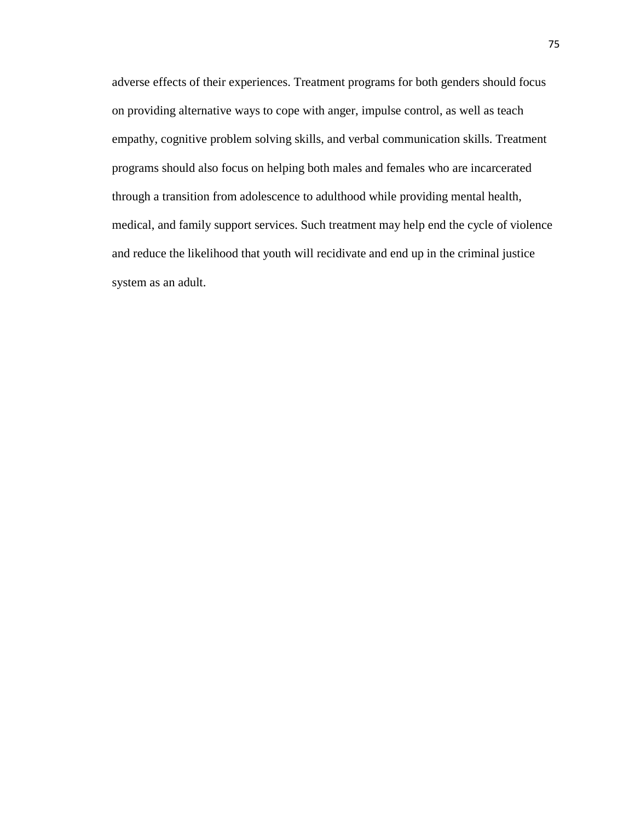adverse effects of their experiences. Treatment programs for both genders should focus on providing alternative ways to cope with anger, impulse control, as well as teach empathy, cognitive problem solving skills, and verbal communication skills. Treatment programs should also focus on helping both males and females who are incarcerated through a transition from adolescence to adulthood while providing mental health, medical, and family support services. Such treatment may help end the cycle of violence and reduce the likelihood that youth will recidivate and end up in the criminal justice system as an adult.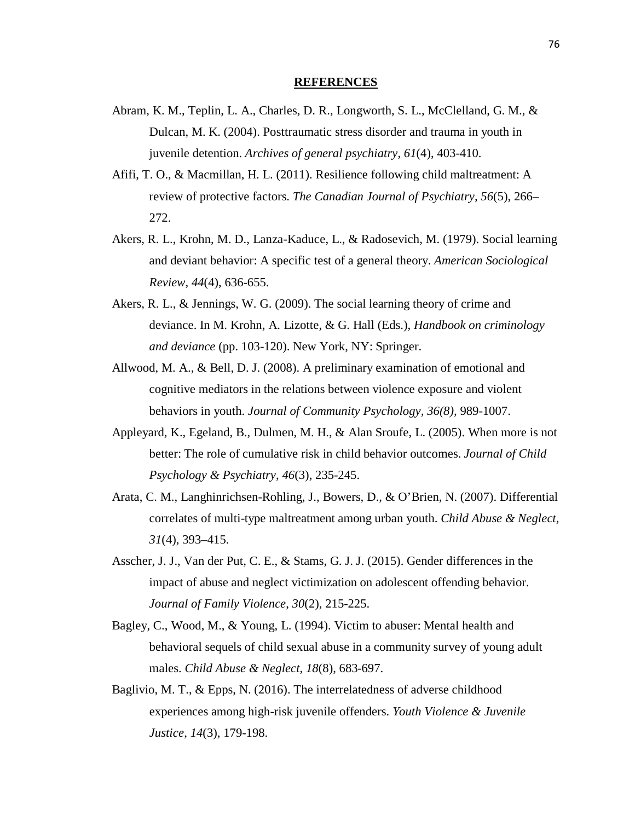#### **REFERENCES**

- Abram, K. M., Teplin, L. A., Charles, D. R., Longworth, S. L., McClelland, G. M., & Dulcan, M. K. (2004). Posttraumatic stress disorder and trauma in youth in juvenile detention. *Archives of general psychiatry*, *61*(4), 403-410.
- Afifi, T. O., & Macmillan, H. L. (2011). Resilience following child maltreatment: A review of protective factors. *The Canadian Journal of Psychiatry, 56*(5), 266– 272.
- Akers, R. L., Krohn, M. D., Lanza-Kaduce, L., & Radosevich, M. (1979). Social learning and deviant behavior: A specific test of a general theory. *American Sociological Review*, *44*(4), 636-655.
- Akers, R. L., & Jennings, W. G. (2009). The social learning theory of crime and deviance. In M. Krohn, A. Lizotte, & G. Hall (Eds.), *Handbook on criminology and deviance* (pp. 103-120). New York, NY: Springer.
- Allwood, M. A., & Bell, D. J. (2008). A preliminary examination of emotional and cognitive mediators in the relations between violence exposure and violent behaviors in youth. *Journal of Community Psychology, 36(8),* 989-1007.
- Appleyard, K., Egeland, B., Dulmen, M. H., & Alan Sroufe, L. (2005). When more is not better: The role of cumulative risk in child behavior outcomes. *Journal of Child Psychology & Psychiatry*, *46*(3), 235-245.
- Arata, C. M., Langhinrichsen-Rohling, J., Bowers, D., & O'Brien, N. (2007). Differential correlates of multi-type maltreatment among urban youth. *Child Abuse & Neglect, 31*(4), 393–415.
- Asscher, J. J., Van der Put, C. E., & Stams, G. J. J. (2015). Gender differences in the impact of abuse and neglect victimization on adolescent offending behavior. *Journal of Family Violence*, *30*(2), 215-225.
- Bagley, C., Wood, M., & Young, L. (1994). Victim to abuser: Mental health and behavioral sequels of child sexual abuse in a community survey of young adult males. *Child Abuse & Neglect*, *18*(8), 683-697.
- Baglivio, M. T., & Epps, N. (2016). The interrelatedness of adverse childhood experiences among high-risk juvenile offenders. *Youth Violence & Juvenile Justice*, *14*(3), 179-198.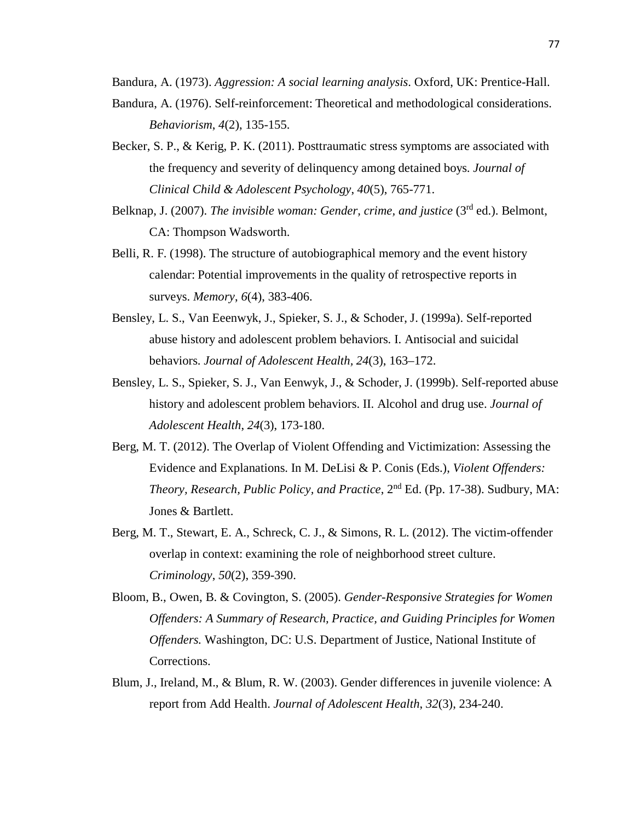Bandura, A. (1973). *Aggression: A social learning analysis*. Oxford, UK: Prentice-Hall.

- Bandura, A. (1976). Self-reinforcement: Theoretical and methodological considerations. *Behaviorism*, *4*(2), 135-155.
- Becker, S. P., & Kerig, P. K. (2011). Posttraumatic stress symptoms are associated with the frequency and severity of delinquency among detained boys. *Journal of Clinical Child & Adolescent Psychology*, *40*(5), 765-771.
- Belknap, J. (2007). *The invisible woman: Gender, crime, and justice* (3<sup>rd</sup> ed.). Belmont. CA: Thompson Wadsworth.
- Belli, R. F. (1998). The structure of autobiographical memory and the event history calendar: Potential improvements in the quality of retrospective reports in surveys. *Memory*, *6*(4), 383-406.
- Bensley, L. S., Van Eeenwyk, J., Spieker, S. J., & Schoder, J. (1999a). Self-reported abuse history and adolescent problem behaviors. I. Antisocial and suicidal behaviors. *Journal of Adolescent Health, 24*(3), 163–172.
- Bensley, L. S., Spieker, S. J., Van Eenwyk, J., & Schoder, J. (1999b). Self-reported abuse history and adolescent problem behaviors. II. Alcohol and drug use. *Journal of Adolescent Health*, *24*(3), 173-180.
- Berg, M. T. (2012). The Overlap of Violent Offending and Victimization: Assessing the Evidence and Explanations. In M. DeLisi & P. Conis (Eds.), *Violent Offenders: Theory, Research, Public Policy, and Practice*, 2nd Ed. (Pp. 17-38). Sudbury, MA: Jones & Bartlett.
- Berg, M. T., Stewart, E. A., Schreck, C. J., & Simons, R. L. (2012). The victim-offender overlap in context: examining the role of neighborhood street culture. *Criminology*, *50*(2), 359-390.
- Bloom, B., Owen, B. & Covington, S. (2005). *Gender-Responsive Strategies for Women Offenders: A Summary of Research, Practice, and Guiding Principles for Women Offenders.* Washington, DC: U.S. Department of Justice, National Institute of Corrections.
- Blum, J., Ireland, M., & Blum, R. W. (2003). Gender differences in juvenile violence: A report from Add Health. *Journal of Adolescent Health*, *32*(3), 234-240.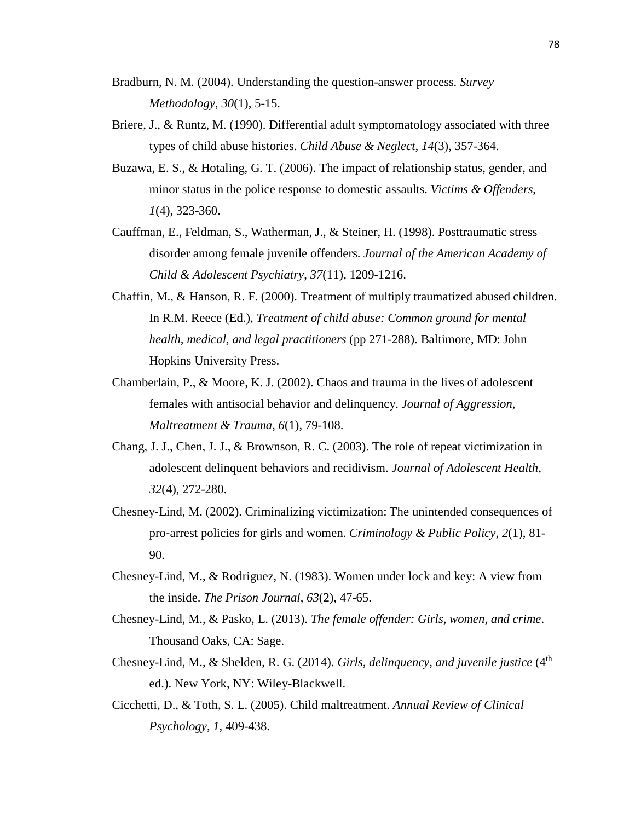- Bradburn, N. M. (2004). Understanding the question-answer process. *Survey Methodology*, *30*(1), 5-15.
- Briere, J., & Runtz, M. (1990). Differential adult symptomatology associated with three types of child abuse histories. *Child Abuse & Neglect*, *14*(3), 357-364.
- Buzawa, E. S., & Hotaling, G. T. (2006). The impact of relationship status, gender, and minor status in the police response to domestic assaults. *Victims & Offenders*, *1*(4), 323-360.
- Cauffman, E., Feldman, S., Watherman, J., & Steiner, H. (1998). Posttraumatic stress disorder among female juvenile offenders. *Journal of the American Academy of Child & Adolescent Psychiatry*, *37*(11), 1209-1216.
- Chaffin, M., & Hanson, R. F. (2000). Treatment of multiply traumatized abused children. In R.M. Reece (Ed.), *Treatment of child abuse: Common ground for mental health, medical, and legal practitioners* (pp 271-288). Baltimore, MD: John Hopkins University Press.
- Chamberlain, P., & Moore, K. J. (2002). Chaos and trauma in the lives of adolescent females with antisocial behavior and delinquency. *Journal of Aggression, Maltreatment & Trauma*, *6*(1), 79-108.
- Chang, J. J., Chen, J. J., & Brownson, R. C. (2003). The role of repeat victimization in adolescent delinquent behaviors and recidivism. *Journal of Adolescent Health*, *32*(4), 272-280.
- Chesney‐Lind, M. (2002). Criminalizing victimization: The unintended consequences of pro‐arrest policies for girls and women. *Criminology & Public Policy*, *2*(1), 81- 90.
- Chesney-Lind, M., & Rodriguez, N. (1983). Women under lock and key: A view from the inside. *The Prison Journal*, *63*(2), 47-65.
- Chesney-Lind, M., & Pasko, L. (2013). *The female offender: Girls, women, and crime*. Thousand Oaks, CA: Sage.
- Chesney-Lind, M., & Shelden, R. G. (2014). *Girls, delinquency, and juvenile justice* (4<sup>th</sup>) ed.). New York, NY: Wiley-Blackwell.
- Cicchetti, D., & Toth, S. L. (2005). Child maltreatment. *Annual Review of Clinical Psychology, 1,* 409-438.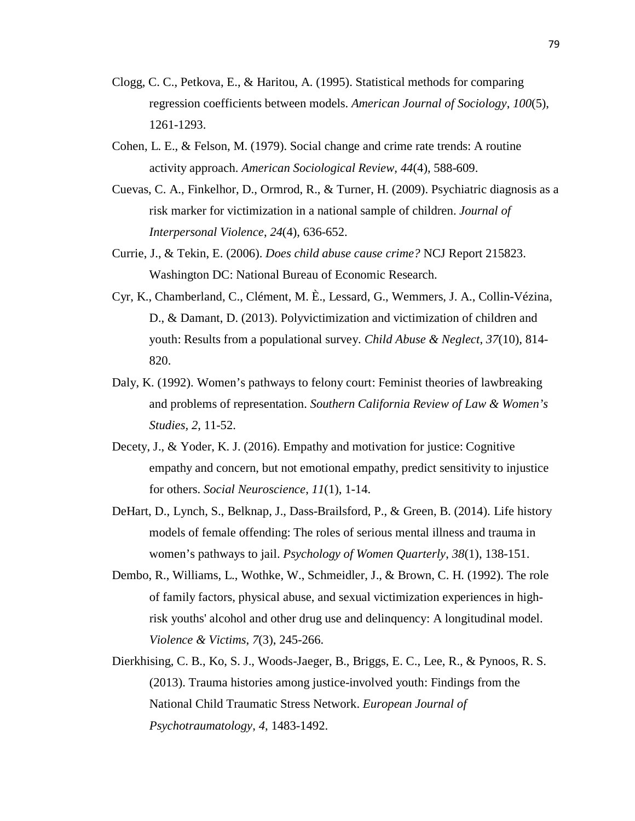- Clogg, C. C., Petkova, E., & Haritou, A. (1995). Statistical methods for comparing regression coefficients between models. *American Journal of Sociology*, *100*(5), 1261-1293.
- Cohen, L. E., & Felson, M. (1979). Social change and crime rate trends: A routine activity approach. *American Sociological Review, 44*(4), 588-609.
- Cuevas, C. A., Finkelhor, D., Ormrod, R., & Turner, H. (2009). Psychiatric diagnosis as a risk marker for victimization in a national sample of children. *Journal of Interpersonal Violence*, *24*(4), 636-652.
- Currie, J., & Tekin, E. (2006). *Does child abuse cause crime?* NCJ Report 215823. Washington DC: National Bureau of Economic Research.
- Cyr, K., Chamberland, C., Clément, M. È., Lessard, G., Wemmers, J. A., Collin-Vézina, D., & Damant, D. (2013). Polyvictimization and victimization of children and youth: Results from a populational survey. *Child Abuse & Neglect*, *37*(10), 814- 820.
- Daly, K. (1992). Women's pathways to felony court: Feminist theories of lawbreaking and problems of representation. *Southern California Review of Law & Women's Studies, 2*, 11-52.
- Decety, J., & Yoder, K. J. (2016). Empathy and motivation for justice: Cognitive empathy and concern, but not emotional empathy, predict sensitivity to injustice for others. *Social Neuroscience*, *11*(1), 1-14.
- DeHart, D., Lynch, S., Belknap, J., Dass-Brailsford, P., & Green, B. (2014). Life history models of female offending: The roles of serious mental illness and trauma in women's pathways to jail. *Psychology of Women Quarterly*, *38*(1), 138-151.
- Dembo, R., Williams, L., Wothke, W., Schmeidler, J., & Brown, C. H. (1992). The role of family factors, physical abuse, and sexual victimization experiences in highrisk youths' alcohol and other drug use and delinquency: A longitudinal model. *Violence & Victims*, *7*(3), 245-266.
- Dierkhising, C. B., Ko, S. J., Woods-Jaeger, B., Briggs, E. C., Lee, R., & Pynoos, R. S. (2013). Trauma histories among justice-involved youth: Findings from the National Child Traumatic Stress Network. *European Journal of Psychotraumatology*, *4*, 1483-1492.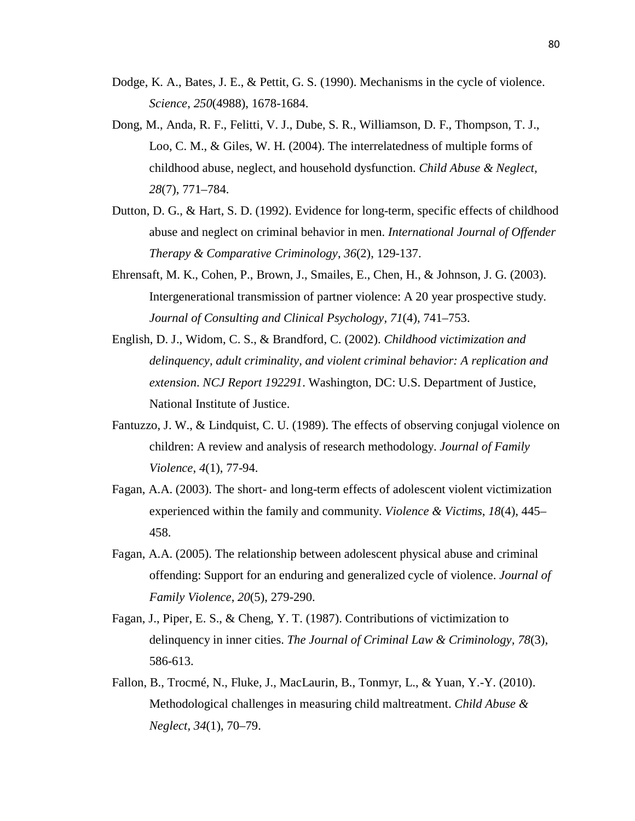- Dodge, K. A., Bates, J. E., & Pettit, G. S. (1990). Mechanisms in the cycle of violence. *Science*, *250*(4988), 1678-1684.
- Dong, M., Anda, R. F., Felitti, V. J., Dube, S. R., Williamson, D. F., Thompson, T. J., Loo, C. M., & Giles, W. H. (2004). The interrelatedness of multiple forms of childhood abuse, neglect, and household dysfunction. *Child Abuse & Neglect, 28*(7), 771–784.
- Dutton, D. G., & Hart, S. D. (1992). Evidence for long-term, specific effects of childhood abuse and neglect on criminal behavior in men. *International Journal of Offender Therapy & Comparative Criminology*, *36*(2), 129-137.
- Ehrensaft, M. K., Cohen, P., Brown, J., Smailes, E., Chen, H., & Johnson, J. G. (2003). Intergenerational transmission of partner violence: A 20 year prospective study. *Journal of Consulting and Clinical Psychology, 71*(4), 741–753.
- English, D. J., Widom, C. S., & Brandford, C. (2002). *Childhood victimization and delinquency, adult criminality, and violent criminal behavior: A replication and extension*. *NCJ Report 192291*. Washington, DC: U.S. Department of Justice, National Institute of Justice.
- Fantuzzo, J. W., & Lindquist, C. U. (1989). The effects of observing conjugal violence on children: A review and analysis of research methodology. *Journal of Family Violence*, *4*(1), 77-94.
- Fagan, A.A. (2003). The short- and long-term effects of adolescent violent victimization experienced within the family and community. *Violence & Victims*, *18*(4), 445– 458.
- Fagan, A.A. (2005). The relationship between adolescent physical abuse and criminal offending: Support for an enduring and generalized cycle of violence. *Journal of Family Violence*, *20*(5), 279-290.
- Fagan, J., Piper, E. S., & Cheng, Y. T. (1987). Contributions of victimization to delinquency in inner cities. *The Journal of Criminal Law & Criminology, 78*(3), 586-613.
- Fallon, B., Trocmé, N., Fluke, J., MacLaurin, B., Tonmyr, L., & Yuan, Y.-Y. (2010). Methodological challenges in measuring child maltreatment. *Child Abuse & Neglect, 34*(1), 70–79.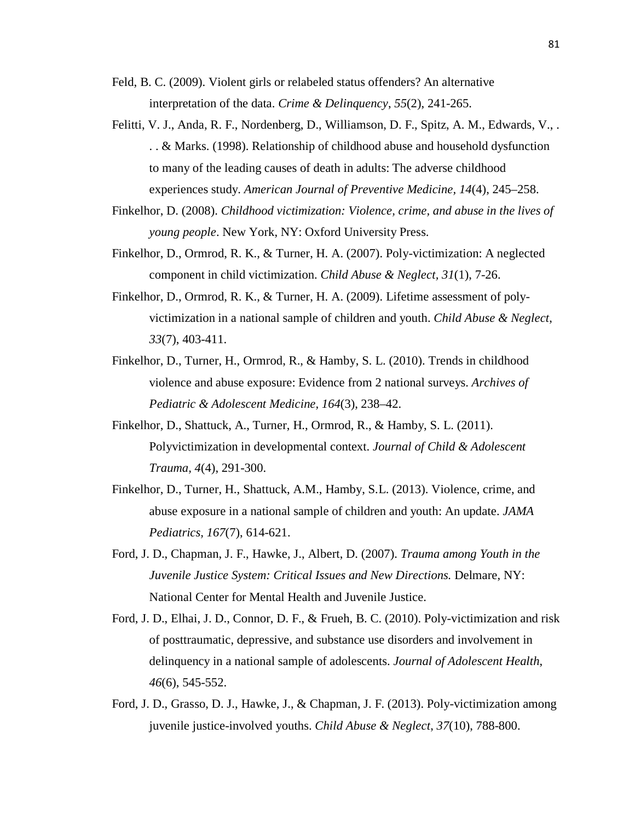- Feld, B. C. (2009). Violent girls or relabeled status offenders? An alternative interpretation of the data. *Crime & Delinquency*, *55*(2), 241-265.
- Felitti, V. J., Anda, R. F., Nordenberg, D., Williamson, D. F., Spitz, A. M., Edwards, V., . . . & Marks. (1998). Relationship of childhood abuse and household dysfunction to many of the leading causes of death in adults: The adverse childhood experiences study. *American Journal of Preventive Medicine, 14*(4), 245–258.
- Finkelhor, D. (2008). *Childhood victimization: Violence, crime, and abuse in the lives of young people*. New York, NY: Oxford University Press.
- Finkelhor, D., Ormrod, R. K., & Turner, H. A. (2007). Poly-victimization: A neglected component in child victimization. *Child Abuse & Neglect, 31*(1), 7-26.
- Finkelhor, D., Ormrod, R. K., & Turner, H. A. (2009). Lifetime assessment of polyvictimization in a national sample of children and youth. *Child Abuse & Neglect*, *33*(7), 403-411.
- Finkelhor, D., Turner, H., Ormrod, R., & Hamby, S. L. (2010). Trends in childhood violence and abuse exposure: Evidence from 2 national surveys. *Archives of Pediatric & Adolescent Medicine, 164*(3), 238–42.
- Finkelhor, D., Shattuck, A., Turner, H., Ormrod, R., & Hamby, S. L. (2011). Polyvictimization in developmental context. *Journal of Child & Adolescent Trauma, 4*(4), 291-300.
- Finkelhor, D., Turner, H., Shattuck, A.M., Hamby, S.L. (2013). Violence, crime, and abuse exposure in a national sample of children and youth: An update. *JAMA Pediatrics, 167*(7), 614-621.
- Ford, J. D., Chapman, J. F., Hawke, J., Albert, D. (2007). *Trauma among Youth in the Juvenile Justice System: Critical Issues and New Directions.* Delmare, NY: National Center for Mental Health and Juvenile Justice.
- Ford, J. D., Elhai, J. D., Connor, D. F., & Frueh, B. C. (2010). Poly-victimization and risk of posttraumatic, depressive, and substance use disorders and involvement in delinquency in a national sample of adolescents. *Journal of Adolescent Health*, *46*(6), 545-552.
- Ford, J. D., Grasso, D. J., Hawke, J., & Chapman, J. F. (2013). Poly-victimization among juvenile justice-involved youths. *Child Abuse & Neglect*, *37*(10), 788-800.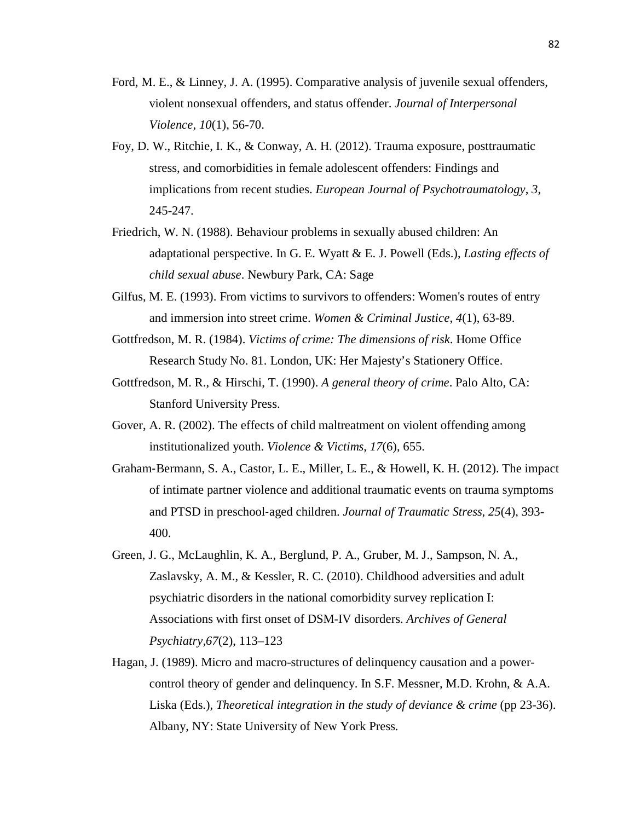- Ford, M. E., & Linney, J. A. (1995). Comparative analysis of juvenile sexual offenders, violent nonsexual offenders, and status offender. *Journal of Interpersonal Violence, 10*(1), 56-70.
- Foy, D. W., Ritchie, I. K., & Conway, A. H. (2012). Trauma exposure, posttraumatic stress, and comorbidities in female adolescent offenders: Findings and implications from recent studies. *European Journal of Psychotraumatology*, *3*, 245-247.
- Friedrich, W. N. (1988). Behaviour problems in sexually abused children: An adaptational perspective. In G. E. Wyatt & E. J. Powell (Eds.), *Lasting effects of child sexual abuse*. Newbury Park, CA: Sage
- Gilfus, M. E. (1993). From victims to survivors to offenders: Women's routes of entry and immersion into street crime. *Women & Criminal Justice*, *4*(1), 63-89.
- Gottfredson, M. R. (1984). *Victims of crime: The dimensions of risk*. Home Office Research Study No. 81. London, UK: Her Majesty's Stationery Office.
- Gottfredson, M. R., & Hirschi, T. (1990). *A general theory of crime*. Palo Alto, CA: Stanford University Press.
- Gover, A. R. (2002). The effects of child maltreatment on violent offending among institutionalized youth. *Violence & Victims*, *17*(6), 655.
- Graham‐Bermann, S. A., Castor, L. E., Miller, L. E., & Howell, K. H. (2012). The impact of intimate partner violence and additional traumatic events on trauma symptoms and PTSD in preschool‐aged children. *Journal of Traumatic Stress*, *25*(4), 393- 400.
- Green, J. G., McLaughlin, K. A., Berglund, P. A., Gruber, M. J., Sampson, N. A., Zaslavsky, A. M., & Kessler, R. C. (2010). Childhood adversities and adult psychiatric disorders in the national comorbidity survey replication I: Associations with first onset of DSM-IV disorders. *Archives of General Psychiatry,67*(2), 113–123
- Hagan, J. (1989). Micro and macro-structures of delinquency causation and a powercontrol theory of gender and delinquency. In S.F. Messner, M.D. Krohn, & A.A. Liska (Eds.), *Theoretical integration in the study of deviance & crime* (pp 23-36). Albany, NY: State University of New York Press.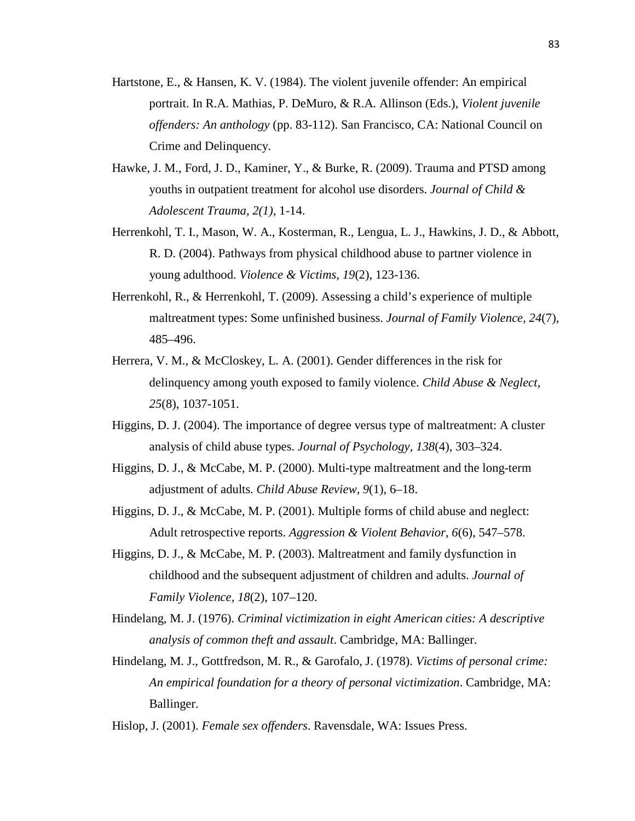- Hartstone, E., & Hansen, K. V. (1984). The violent juvenile offender: An empirical portrait. In R.A. Mathias, P. DeMuro, & R.A. Allinson (Eds.), *Violent juvenile offenders: An anthology* (pp. 83-112). San Francisco, CA: National Council on Crime and Delinquency.
- Hawke, J. M., Ford, J. D., Kaminer, Y., & Burke, R. (2009). Trauma and PTSD among youths in outpatient treatment for alcohol use disorders. *Journal of Child & Adolescent Trauma, 2(1),* 1-14.
- Herrenkohl, T. I., Mason, W. A., Kosterman, R., Lengua, L. J., Hawkins, J. D., & Abbott, R. D. (2004). Pathways from physical childhood abuse to partner violence in young adulthood. *Violence & Victims*, *19*(2), 123-136.
- Herrenkohl, R., & Herrenkohl, T. (2009). Assessing a child's experience of multiple maltreatment types: Some unfinished business. *Journal of Family Violence, 24*(7), 485–496.
- Herrera, V. M., & McCloskey, L. A. (2001). Gender differences in the risk for delinquency among youth exposed to family violence. *Child Abuse & Neglect, 25*(8), 1037-1051.
- Higgins, D. J. (2004). The importance of degree versus type of maltreatment: A cluster analysis of child abuse types. *Journal of Psychology, 138*(4), 303–324.
- Higgins, D. J., & McCabe, M. P. (2000). Multi-type maltreatment and the long-term adjustment of adults. *Child Abuse Review*, *9*(1), 6–18.
- Higgins, D. J., & McCabe, M. P. (2001). Multiple forms of child abuse and neglect: Adult retrospective reports. *Aggression & Violent Behavior, 6*(6), 547–578.
- Higgins, D. J., & McCabe, M. P. (2003). Maltreatment and family dysfunction in childhood and the subsequent adjustment of children and adults. *Journal of Family Violence, 18*(2), 107–120.
- Hindelang, M. J. (1976). *Criminal victimization in eight American cities: A descriptive analysis of common theft and assault*. Cambridge, MA: Ballinger.
- Hindelang, M. J., Gottfredson, M. R., & Garofalo, J. (1978). *Victims of personal crime: An empirical foundation for a theory of personal victimization*. Cambridge, MA: Ballinger.

Hislop, J. (2001). *Female sex offenders*. Ravensdale, WA: Issues Press.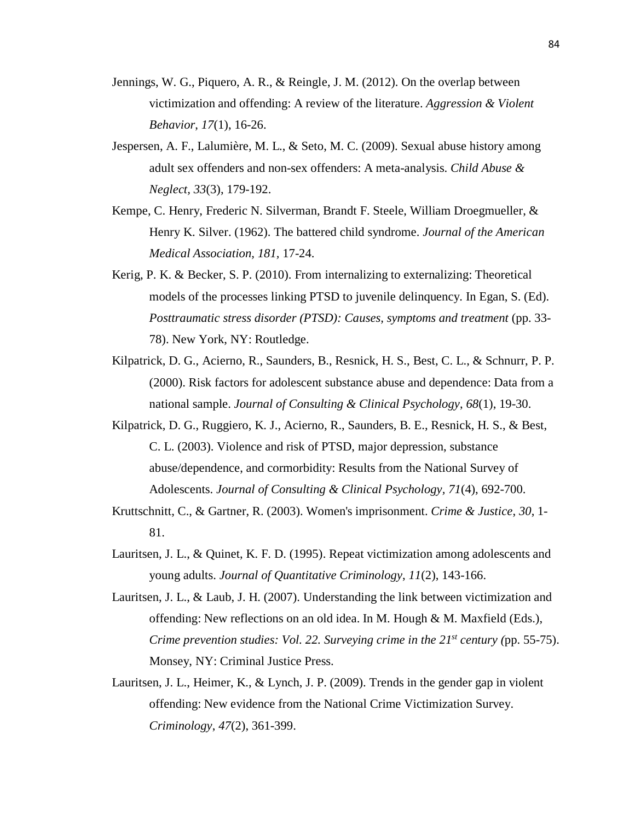- Jennings, W. G., Piquero, A. R., & Reingle, J. M. (2012). On the overlap between victimization and offending: A review of the literature. *Aggression & Violent Behavior*, *17*(1), 16-26.
- Jespersen, A. F., Lalumière, M. L., & Seto, M. C. (2009). Sexual abuse history among adult sex offenders and non-sex offenders: A meta-analysis. *Child Abuse & Neglect, 33*(3), 179-192.
- Kempe, C. Henry, Frederic N. Silverman, Brandt F. Steele, William Droegmueller, & Henry K. Silver. (1962). The battered child syndrome. *Journal of the American Medical Association, 181,* 17-24.
- Kerig, P. K. & Becker, S. P. (2010). From internalizing to externalizing: Theoretical models of the processes linking PTSD to juvenile delinquency. In Egan, S. (Ed). *Posttraumatic stress disorder (PTSD): Causes, symptoms and treatment (pp. 33-*78). New York, NY: Routledge.
- Kilpatrick, D. G., Acierno, R., Saunders, B., Resnick, H. S., Best, C. L., & Schnurr, P. P. (2000). Risk factors for adolescent substance abuse and dependence: Data from a national sample. *Journal of Consulting & Clinical Psychology*, *68*(1), 19-30.
- Kilpatrick, D. G., Ruggiero, K. J., Acierno, R., Saunders, B. E., Resnick, H. S., & Best, C. L. (2003). Violence and risk of PTSD, major depression, substance abuse/dependence, and cormorbidity: Results from the National Survey of Adolescents. *Journal of Consulting & Clinical Psychology, 71*(4), 692-700.
- Kruttschnitt, C., & Gartner, R. (2003). Women's imprisonment. *Crime & Justice*, *30*, 1- 81.
- Lauritsen, J. L., & Quinet, K. F. D. (1995). Repeat victimization among adolescents and young adults. *Journal of Quantitative Criminology*, *11*(2), 143-166.
- Lauritsen, J. L., & Laub, J. H. (2007). Understanding the link between victimization and offending: New reflections on an old idea. In M. Hough  $\& M$ . Maxfield (Eds.), *Crime prevention studies: Vol. 22. Surveying crime in the*  $21^{st}$  *century (pp. 55-75).* Monsey, NY: Criminal Justice Press.
- Lauritsen, J. L., Heimer, K., & Lynch, J. P. (2009). Trends in the gender gap in violent offending: New evidence from the National Crime Victimization Survey. *Criminology*, *47*(2), 361-399.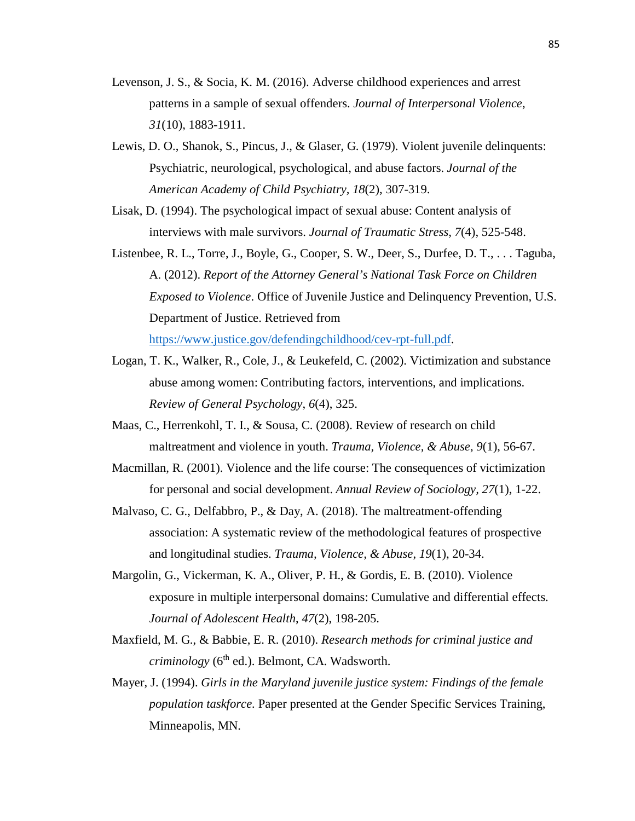- Levenson, J. S., & Socia, K. M. (2016). Adverse childhood experiences and arrest patterns in a sample of sexual offenders. *Journal of Interpersonal Violence*, *31*(10), 1883-1911.
- Lewis, D. O., Shanok, S., Pincus, J., & Glaser, G. (1979). Violent juvenile delinquents: Psychiatric, neurological, psychological, and abuse factors. *Journal of the American Academy of Child Psychiatry, 18*(2), 307-319.
- Lisak, D. (1994). The psychological impact of sexual abuse: Content analysis of interviews with male survivors. *Journal of Traumatic Stress*, *7*(4), 525-548.
- Listenbee, R. L., Torre, J., Boyle, G., Cooper, S. W., Deer, S., Durfee, D. T., . . . Taguba, A. (2012). *Report of the Attorney General's National Task Force on Children Exposed to Violence*. Office of Juvenile Justice and Delinquency Prevention, U.S. Department of Justice. Retrieved from

[https://www.justice.gov/defendingchildhood/cev-rpt-full.pdf.](https://www.justice.gov/defendingchildhood/cev-rpt-full.pdf)

- Logan, T. K., Walker, R., Cole, J., & Leukefeld, C. (2002). Victimization and substance abuse among women: Contributing factors, interventions, and implications. *Review of General Psychology*, *6*(4), 325.
- Maas, C., Herrenkohl, T. I., & Sousa, C. (2008). Review of research on child maltreatment and violence in youth. *Trauma, Violence, & Abuse*, *9*(1), 56-67.
- Macmillan, R. (2001). Violence and the life course: The consequences of victimization for personal and social development. *Annual Review of Sociology, 27*(1), 1-22.
- Malvaso, C. G., Delfabbro, P., & Day, A. (2018). The maltreatment-offending association: A systematic review of the methodological features of prospective and longitudinal studies. *Trauma, Violence, & Abuse*, *19*(1), 20-34.
- Margolin, G., Vickerman, K. A., Oliver, P. H., & Gordis, E. B. (2010). Violence exposure in multiple interpersonal domains: Cumulative and differential effects. *Journal of Adolescent Health*, *47*(2), 198-205.
- Maxfield, M. G., & Babbie, E. R. (2010). *Research methods for criminal justice and criminology* (6<sup>th</sup> ed.). Belmont, CA. Wadsworth.
- Mayer, J. (1994). *Girls in the Maryland juvenile justice system: Findings of the female population taskforce.* Paper presented at the Gender Specific Services Training, Minneapolis, MN.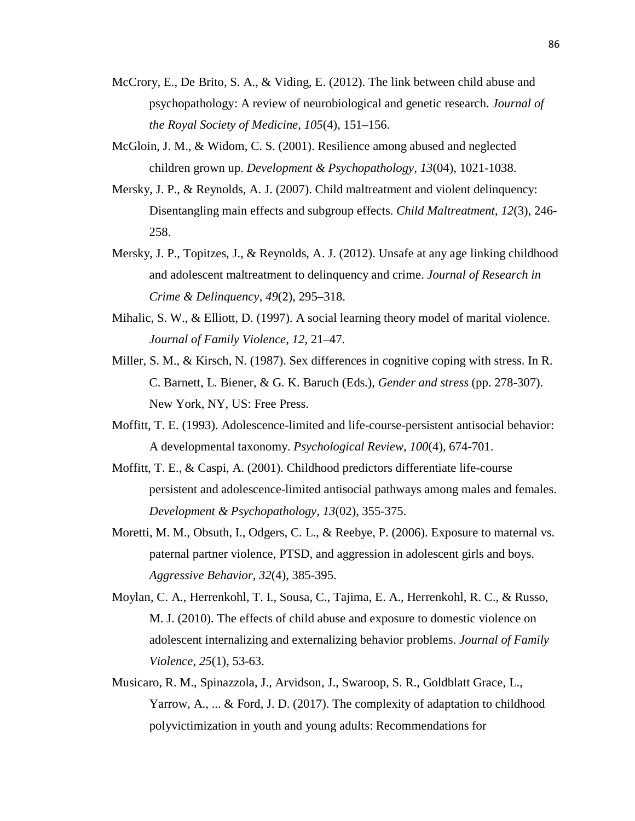- McCrory, E., De Brito, S. A., & Viding, E. (2012). The link between child abuse and psychopathology: A review of neurobiological and genetic research. *Journal of the Royal Society of Medicine, 105*(4), 151–156.
- McGloin, J. M., & Widom, C. S. (2001). Resilience among abused and neglected children grown up. *Development & Psychopathology*, *13*(04), 1021-1038.
- Mersky, J. P., & Reynolds, A. J. (2007). Child maltreatment and violent delinquency: Disentangling main effects and subgroup effects. *Child Maltreatment*, *12*(3), 246- 258.
- Mersky, J. P., Topitzes, J., & Reynolds, A. J. (2012). Unsafe at any age linking childhood and adolescent maltreatment to delinquency and crime. *Journal of Research in Crime & Delinquency, 49*(2), 295–318.
- Mihalic, S. W., & Elliott, D. (1997). A social learning theory model of marital violence. *Journal of Family Violence, 12*, 21–47.
- Miller, S. M., & Kirsch, N. (1987). Sex differences in cognitive coping with stress. In R. C. Barnett, L. Biener, & G. K. Baruch (Eds.), *Gender and stress* (pp. 278-307). New York, NY, US: Free Press.
- Moffitt, T. E. (1993). Adolescence-limited and life-course-persistent antisocial behavior: A developmental taxonomy. *Psychological Review*, *100*(4), 674-701.
- Moffitt, T. E., & Caspi, A. (2001). Childhood predictors differentiate life-course persistent and adolescence-limited antisocial pathways among males and females. *Development & Psychopathology*, *13*(02), 355-375.
- Moretti, M. M., Obsuth, I., Odgers, C. L., & Reebye, P. (2006). Exposure to maternal vs. paternal partner violence, PTSD, and aggression in adolescent girls and boys. *Aggressive Behavior, 32*(4), 385-395.
- Moylan, C. A., Herrenkohl, T. I., Sousa, C., Tajima, E. A., Herrenkohl, R. C., & Russo, M. J. (2010). The effects of child abuse and exposure to domestic violence on adolescent internalizing and externalizing behavior problems. *Journal of Family Violence*, *25*(1), 53-63.
- Musicaro, R. M., Spinazzola, J., Arvidson, J., Swaroop, S. R., Goldblatt Grace, L., Yarrow, A., ... & Ford, J. D. (2017). The complexity of adaptation to childhood polyvictimization in youth and young adults: Recommendations for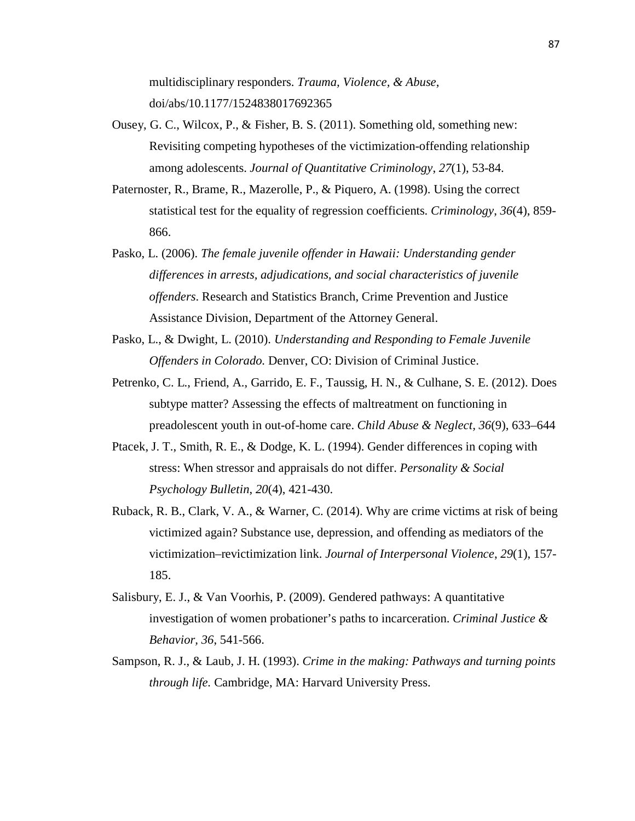multidisciplinary responders. *Trauma, Violence, & Abuse*, doi/abs/10.1177/1524838017692365

- Ousey, G. C., Wilcox, P., & Fisher, B. S. (2011). Something old, something new: Revisiting competing hypotheses of the victimization-offending relationship among adolescents. *Journal of Quantitative Criminology*, *27*(1), 53-84.
- Paternoster, R., Brame, R., Mazerolle, P., & Piquero, A. (1998). Using the correct statistical test for the equality of regression coefficients. *Criminology*, *36*(4), 859- 866.
- Pasko, L. (2006). *The female juvenile offender in Hawaii: Understanding gender differences in arrests, adjudications, and social characteristics of juvenile offenders*. Research and Statistics Branch, Crime Prevention and Justice Assistance Division, Department of the Attorney General.
- Pasko, L., & Dwight, L. (2010). *Understanding and Responding to Female Juvenile Offenders in Colorado.* Denver, CO: Division of Criminal Justice.
- Petrenko, C. L., Friend, A., Garrido, E. F., Taussig, H. N., & Culhane, S. E. (2012). Does subtype matter? Assessing the effects of maltreatment on functioning in preadolescent youth in out-of-home care. *Child Abuse & Neglect, 36*(9), 633–644
- Ptacek, J. T., Smith, R. E., & Dodge, K. L. (1994). Gender differences in coping with stress: When stressor and appraisals do not differ. *Personality & Social Psychology Bulletin*, *20*(4), 421-430.
- Ruback, R. B., Clark, V. A., & Warner, C. (2014). Why are crime victims at risk of being victimized again? Substance use, depression, and offending as mediators of the victimization–revictimization link. *Journal of Interpersonal Violence*, *29*(1), 157- 185.
- Salisbury, E. J., & Van Voorhis, P. (2009). Gendered pathways: A quantitative investigation of women probationer's paths to incarceration. *Criminal Justice & Behavior, 36*, 541-566.
- Sampson, R. J., & Laub, J. H. (1993). *Crime in the making: Pathways and turning points through life.* Cambridge, MA: Harvard University Press.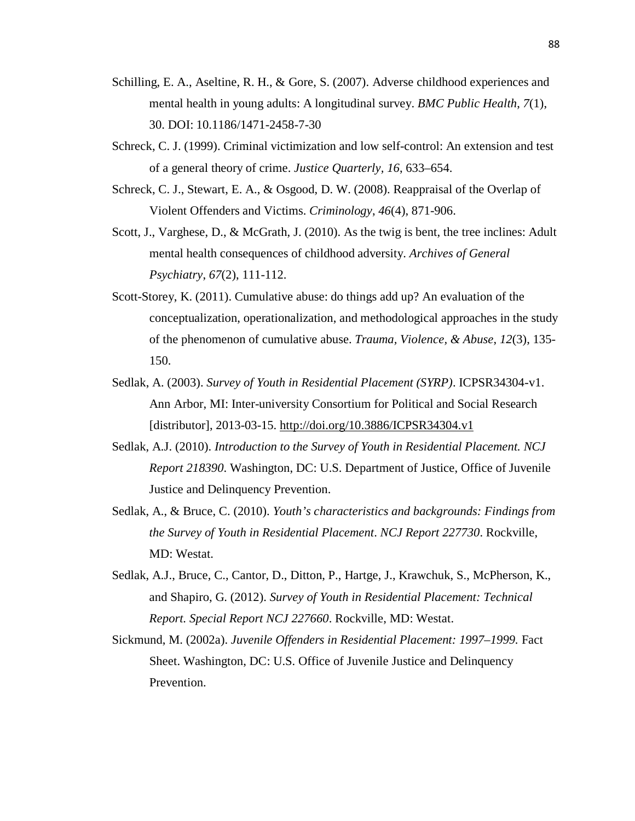- Schilling, E. A., Aseltine, R. H., & Gore, S. (2007). Adverse childhood experiences and mental health in young adults: A longitudinal survey. *BMC Public Health*, *7*(1), 30. DOI: 10.1186/1471-2458-7-30
- Schreck, C. J. (1999). Criminal victimization and low self-control: An extension and test of a general theory of crime. *Justice Quarterly, 16*, 633–654.
- Schreck, C. J., Stewart, E. A., & Osgood, D. W. (2008). Reappraisal of the Overlap of Violent Offenders and Victims. *Criminology*, *46*(4), 871-906.
- Scott, J., Varghese, D., & McGrath, J. (2010). As the twig is bent, the tree inclines: Adult mental health consequences of childhood adversity. *Archives of General Psychiatry*, *67*(2), 111-112.
- Scott-Storey, K. (2011). Cumulative abuse: do things add up? An evaluation of the conceptualization, operationalization, and methodological approaches in the study of the phenomenon of cumulative abuse. *Trauma, Violence, & Abuse*, *12*(3), 135- 150.
- Sedlak, A. (2003). *Survey of Youth in Residential Placement (SYRP)*. ICPSR34304-v1. Ann Arbor, MI: Inter-university Consortium for Political and Social Research [distributor], 2013-03-15.<http://doi.org/10.3886/ICPSR34304.v1>
- Sedlak, A.J. (2010). *Introduction to the Survey of Youth in Residential Placement. NCJ Report 218390*. Washington, DC: U.S. Department of Justice, Office of Juvenile Justice and Delinquency Prevention.
- Sedlak, A., & Bruce, C. (2010). *Youth's characteristics and backgrounds: Findings from the Survey of Youth in Residential Placement*. *NCJ Report 227730*. Rockville, MD: Westat.
- Sedlak, A.J., Bruce, C., Cantor, D., Ditton, P., Hartge, J., Krawchuk, S., McPherson, K., and Shapiro, G. (2012). *Survey of Youth in Residential Placement: Technical Report. Special Report NCJ 227660*. Rockville, MD: Westat.
- Sickmund, M. (2002a). *Juvenile Offenders in Residential Placement: 1997–1999.* Fact Sheet. Washington, DC: U.S. Office of Juvenile Justice and Delinquency Prevention.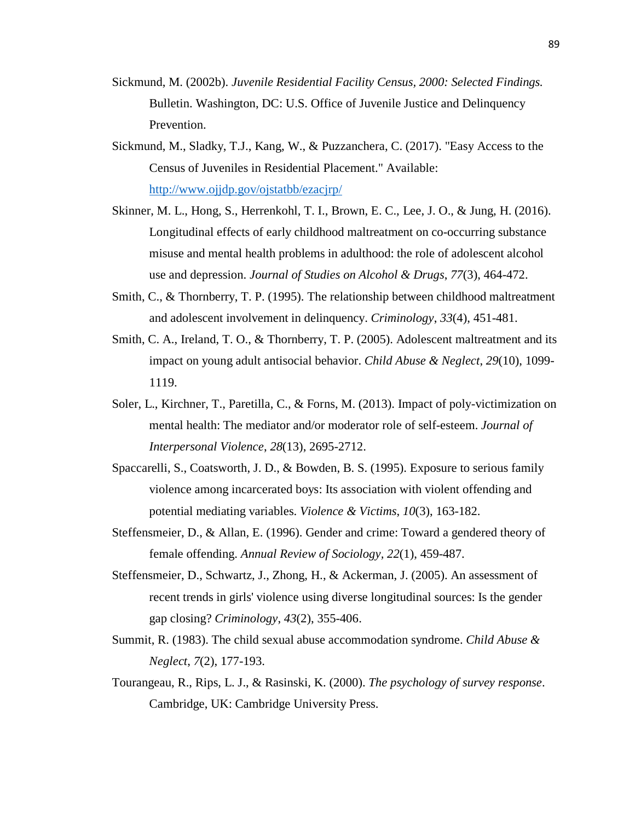- Sickmund, M. (2002b). *Juvenile Residential Facility Census, 2000: Selected Findings.*  Bulletin. Washington, DC: U.S. Office of Juvenile Justice and Delinquency Prevention.
- Sickmund, M., Sladky, T.J., Kang, W., & Puzzanchera, C. (2017). "Easy Access to the Census of Juveniles in Residential Placement." Available: <http://www.ojjdp.gov/ojstatbb/ezacjrp/>
- Skinner, M. L., Hong, S., Herrenkohl, T. I., Brown, E. C., Lee, J. O., & Jung, H. (2016). Longitudinal effects of early childhood maltreatment on co-occurring substance misuse and mental health problems in adulthood: the role of adolescent alcohol use and depression. *Journal of Studies on Alcohol & Drugs*, *77*(3), 464-472.
- Smith, C., & Thornberry, T. P. (1995). The relationship between childhood maltreatment and adolescent involvement in delinquency. *Criminology*, *33*(4), 451-481.
- Smith, C. A., Ireland, T. O., & Thornberry, T. P. (2005). Adolescent maltreatment and its impact on young adult antisocial behavior. *Child Abuse & Neglect*, *29*(10), 1099- 1119.
- Soler, L., Kirchner, T., Paretilla, C., & Forns, M. (2013). Impact of poly-victimization on mental health: The mediator and/or moderator role of self-esteem. *Journal of Interpersonal Violence*, *28*(13), 2695-2712.
- Spaccarelli, S., Coatsworth, J. D., & Bowden, B. S. (1995). Exposure to serious family violence among incarcerated boys: Its association with violent offending and potential mediating variables. *Violence & Victims*, *10*(3), 163-182.
- Steffensmeier, D., & Allan, E. (1996). Gender and crime: Toward a gendered theory of female offending. *Annual Review of Sociology, 22*(1), 459-487.
- Steffensmeier, D., Schwartz, J., Zhong, H., & Ackerman, J. (2005). An assessment of recent trends in girls' violence using diverse longitudinal sources: Is the gender gap closing? *Criminology*, *43*(2), 355-406.
- Summit, R. (1983). The child sexual abuse accommodation syndrome. *Child Abuse & Neglect*, *7*(2), 177-193.
- Tourangeau, R., Rips, L. J., & Rasinski, K. (2000). *The psychology of survey response*. Cambridge, UK: Cambridge University Press.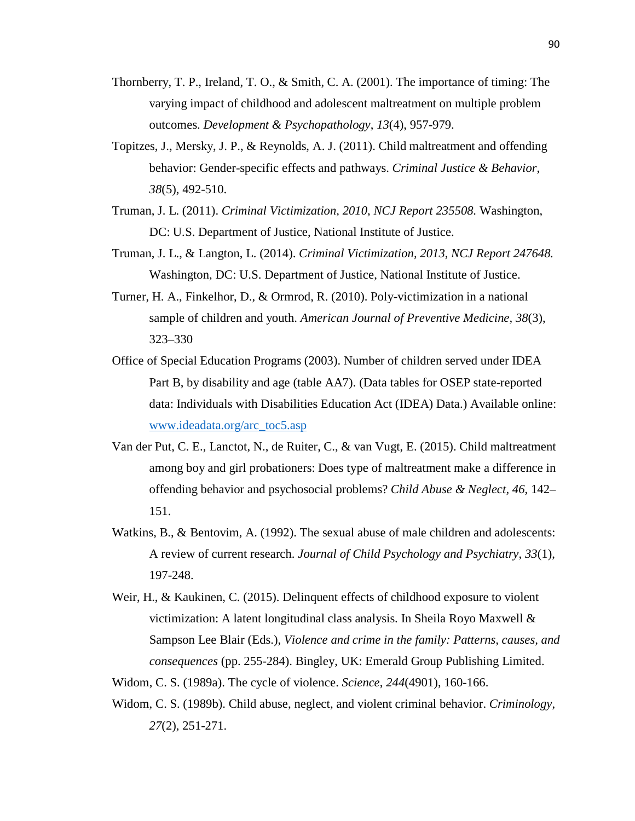- Thornberry, T. P., Ireland, T. O., & Smith, C. A. (2001). The importance of timing: The varying impact of childhood and adolescent maltreatment on multiple problem outcomes. *Development & Psychopathology*, *13*(4), 957-979.
- Topitzes, J., Mersky, J. P., & Reynolds, A. J. (2011). Child maltreatment and offending behavior: Gender-specific effects and pathways. *Criminal Justice & Behavior*, *38*(5), 492-510.
- Truman, J. L. (2011). *Criminal Victimization, 2010*, *NCJ Report 235508.* Washington, DC: U.S. Department of Justice, National Institute of Justice.
- Truman, J. L., & Langton, L. (2014). *Criminal Victimization, 2013*, *NCJ Report 247648.*  Washington, DC: U.S. Department of Justice, National Institute of Justice.
- Turner, H. A., Finkelhor, D., & Ormrod, R. (2010). Poly-victimization in a national sample of children and youth. *American Journal of Preventive Medicine, 38*(3), 323–330
- Office of Special Education Programs (2003). Number of children served under IDEA Part B, by disability and age (table AA7). (Data tables for OSEP state-reported data: Individuals with Disabilities Education Act (IDEA) Data.) Available online: [www.ideadata.org/arc\\_toc5.asp](http://www.ideadata.org/arc_toc5.asp)
- Van der Put, C. E., Lanctot, N., de Ruiter, C., & van Vugt, E. (2015). Child maltreatment among boy and girl probationers: Does type of maltreatment make a difference in offending behavior and psychosocial problems? *Child Abuse & Neglect, 46*, 142– 151.
- Watkins, B., & Bentovim, A. (1992). The sexual abuse of male children and adolescents: A review of current research. *Journal of Child Psychology and Psychiatry*, *33*(1), 197-248.
- Weir, H., & Kaukinen, C. (2015). Delinquent effects of childhood exposure to violent victimization: A latent longitudinal class analysis. In Sheila Royo Maxwell & Sampson Lee Blair (Eds.), *Violence and crime in the family: Patterns, causes, and consequences* (pp. 255-284). Bingley, UK: Emerald Group Publishing Limited.
- Widom, C. S. (1989a). The cycle of violence. *Science*, *244*(4901), 160-166.
- Widom, C. S. (1989b). Child abuse, neglect, and violent criminal behavior. *Criminology*, *27*(2), 251-271.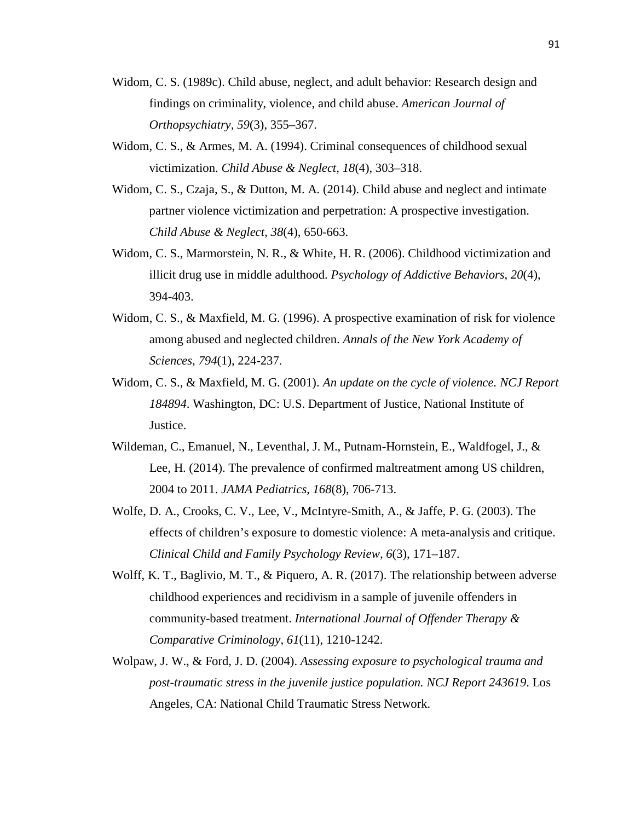- Widom, C. S. (1989c). Child abuse, neglect, and adult behavior: Research design and findings on criminality, violence, and child abuse. *American Journal of Orthopsychiatry, 59*(3), 355–367.
- Widom, C. S., & Armes, M. A. (1994). Criminal consequences of childhood sexual victimization. *Child Abuse & Neglect, 18*(4), 303–318.
- Widom, C. S., Czaja, S., & Dutton, M. A. (2014). Child abuse and neglect and intimate partner violence victimization and perpetration: A prospective investigation. *Child Abuse & Neglect*, *38*(4), 650-663.
- Widom, C. S., Marmorstein, N. R., & White, H. R. (2006). Childhood victimization and illicit drug use in middle adulthood. *Psychology of Addictive Behaviors*, *20*(4), 394-403.
- Widom, C. S., & Maxfield, M. G. (1996). A prospective examination of risk for violence among abused and neglected children. *Annals of the New York Academy of Sciences*, *794*(1), 224-237.
- Widom, C. S., & Maxfield, M. G. (2001). *An update on the cycle of violence. NCJ Report 184894*. Washington, DC: U.S. Department of Justice, National Institute of Justice.
- Wildeman, C., Emanuel, N., Leventhal, J. M., Putnam-Hornstein, E., Waldfogel, J., & Lee, H. (2014). The prevalence of confirmed maltreatment among US children, 2004 to 2011. *JAMA Pediatrics*, *168*(8), 706-713.
- Wolfe, D. A., Crooks, C. V., Lee, V., McIntyre-Smith, A., & Jaffe, P. G. (2003). The effects of children's exposure to domestic violence: A meta-analysis and critique. *Clinical Child and Family Psychology Review, 6*(3), 171–187.
- Wolff, K. T., Baglivio, M. T., & Piquero, A. R. (2017). The relationship between adverse childhood experiences and recidivism in a sample of juvenile offenders in community-based treatment. *International Journal of Offender Therapy & Comparative Criminology*, *61*(11), 1210-1242.
- Wolpaw, J. W., & Ford, J. D. (2004). *Assessing exposure to psychological trauma and post-traumatic stress in the juvenile justice population. NCJ Report 243619*. Los Angeles, CA: National Child Traumatic Stress Network.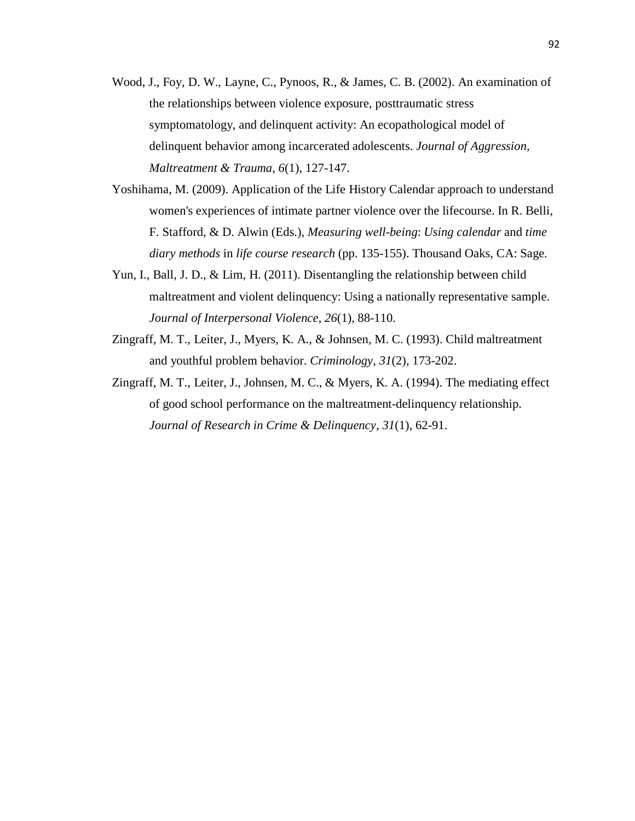- Wood, J., Foy, D. W., Layne, C., Pynoos, R., & James, C. B. (2002). An examination of the relationships between violence exposure, posttraumatic stress symptomatology, and delinquent activity: An ecopathological model of delinquent behavior among incarcerated adolescents. *Journal of Aggression, Maltreatment & Trauma*, *6*(1), 127-147.
- Yoshihama, M. (2009). Application of the Life History Calendar approach to understand women's experiences of intimate partner violence over the lifecourse. In R. Belli, F. Stafford, & D. Alwin (Eds.), *Measuring well*-*being*: *Using calendar* and *time diary methods* in *life course research* (pp. 135-155). Thousand Oaks, CA: Sage*.*
- Yun, I., Ball, J. D., & Lim, H. (2011). Disentangling the relationship between child maltreatment and violent delinquency: Using a nationally representative sample. *Journal of Interpersonal Violence*, *26*(1), 88-110.
- Zingraff, M. T., Leiter, J., Myers, K. A., & Johnsen, M. C. (1993). Child maltreatment and youthful problem behavior. *Criminology*, *31*(2), 173-202.
- Zingraff, M. T., Leiter, J., Johnsen, M. C., & Myers, K. A. (1994). The mediating effect of good school performance on the maltreatment-delinquency relationship. *Journal of Research in Crime & Delinquency*, *31*(1), 62-91.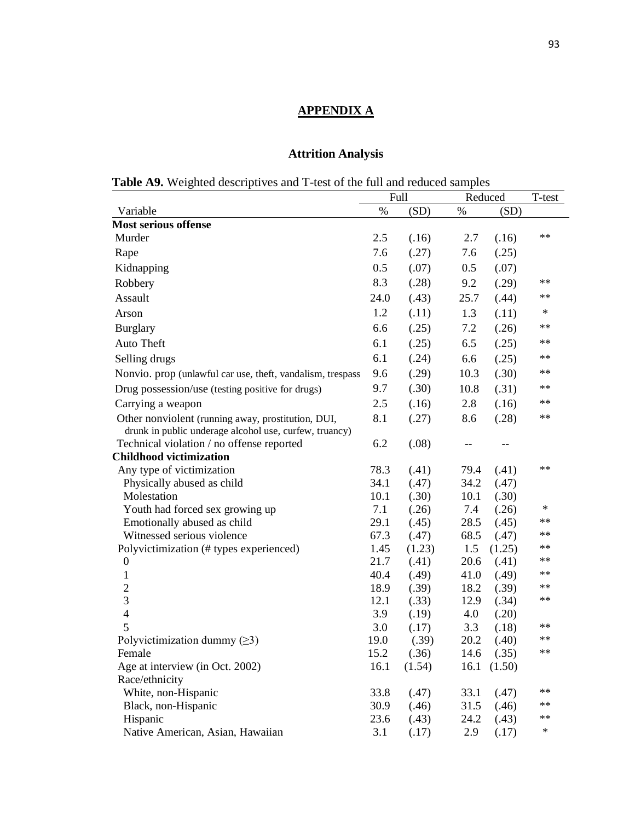## **APPENDIX A**

# **Attrition Analysis**

|  |  | <b>Table A9.</b> Weighted descriptives and T-test of the full and reduced samples |  |
|--|--|-----------------------------------------------------------------------------------|--|
|  |  |                                                                                   |  |

|                                                            | <b>Full</b> |        | Reduced |            | T-test     |
|------------------------------------------------------------|-------------|--------|---------|------------|------------|
| Variable                                                   | $\%$        | (SD)   | %       | (SD)       |            |
| <b>Most serious offense</b>                                |             |        |         |            |            |
| Murder                                                     | 2.5         | (.16)  | 2.7     | (.16)      | **         |
| Rape                                                       | 7.6         | (.27)  | 7.6     | (.25)      |            |
| Kidnapping                                                 | 0.5         | (.07)  | 0.5     | (.07)      |            |
| Robbery                                                    | 8.3         | (.28)  | 9.2     | (.29)      | $***$      |
| Assault                                                    | 24.0        | (.43)  | 25.7    | (.44)      | $**$       |
| Arson                                                      | 1.2         | (.11)  | 1.3     | (.11)      | ∗          |
| <b>Burglary</b>                                            | 6.6         | (.25)  | 7.2     | (.26)      | **         |
| Auto Theft                                                 | 6.1         | (.25)  | 6.5     | (.25)      | $***$      |
| Selling drugs                                              | 6.1         | (.24)  | 6.6     | (.25)      | $\ast\ast$ |
| Nonvio. prop (unlawful car use, theft, vandalism, trespass | 9.6         | (.29)  | 10.3    | (.30)      | $***$      |
| Drug possession/use (testing positive for drugs)           | 9.7         | (.30)  | 10.8    | (.31)      | $***$      |
| Carrying a weapon                                          | 2.5         | (.16)  | 2.8     | (.16)      | $***$      |
| Other nonviolent (running away, prostitution, DUI,         | 8.1         | (.27)  | 8.6     | (.28)      | **         |
| drunk in public underage alcohol use, curfew, truancy)     |             |        |         |            |            |
| Technical violation / no offense reported                  | 6.2         | (.08)  |         |            |            |
| <b>Childhood victimization</b>                             |             |        |         |            |            |
| Any type of victimization                                  | 78.3        | (.41)  | 79.4    | (.41)      | **         |
| Physically abused as child                                 | 34.1        | (.47)  | 34.2    | (.47)      |            |
| Molestation                                                | 10.1        | (.30)  | 10.1    | (.30)      |            |
| Youth had forced sex growing up                            | 7.1         | (.26)  | 7.4     | (.26)      | ∗          |
| Emotionally abused as child                                | 29.1        | (.45)  | 28.5    | (.45)      | $***$      |
| Witnessed serious violence                                 | 67.3        | (.47)  | 68.5    | (.47)      | $***$      |
| Polyvictimization (# types experienced)                    | 1.45        | (1.23) | 1.5     | (1.25)     | $***$      |
| $\boldsymbol{0}$                                           | 21.7        | (.41)  | 20.6    | (.41)      | $***$      |
| $\mathbf{1}$                                               | 40.4        | (.49)  | 41.0    | (.49)      | $***$      |
| $\overline{c}$                                             | 18.9        | (.39)  | 18.2    | (.39)      | **         |
| 3                                                          | 12.1        | (.33)  | 12.9    | (.34)      | **         |
| $\overline{4}$                                             | 3.9         | (.19)  | 4.0     | (.20)      |            |
| 5                                                          | 3.0         | (.17)  | 3.3     | (.18)      | **         |
| Polyvictimization dummy $(\geq 3)$                         | 19.0        | (.39)  | 20.2    | (.40)      | **         |
| Female                                                     | 15.2        | (.36)  | 14.6    | (.35)      | **         |
| Age at interview (in Oct. 2002)                            | 16.1        | (1.54) |         | 16.1(1.50) |            |
| Race/ethnicity                                             |             |        |         |            |            |
|                                                            |             |        |         |            | **         |
| White, non-Hispanic                                        | 33.8        | (.47)  | 33.1    | (.47)      | $***$      |
| Black, non-Hispanic                                        | 30.9        | (.46)  | 31.5    | (.46)      | $***$      |
| Hispanic                                                   | 23.6        | (.43)  | 24.2    | (.43)      |            |
| Native American, Asian, Hawaiian                           | 3.1         | (.17)  | 2.9     | (.17)      | ∗          |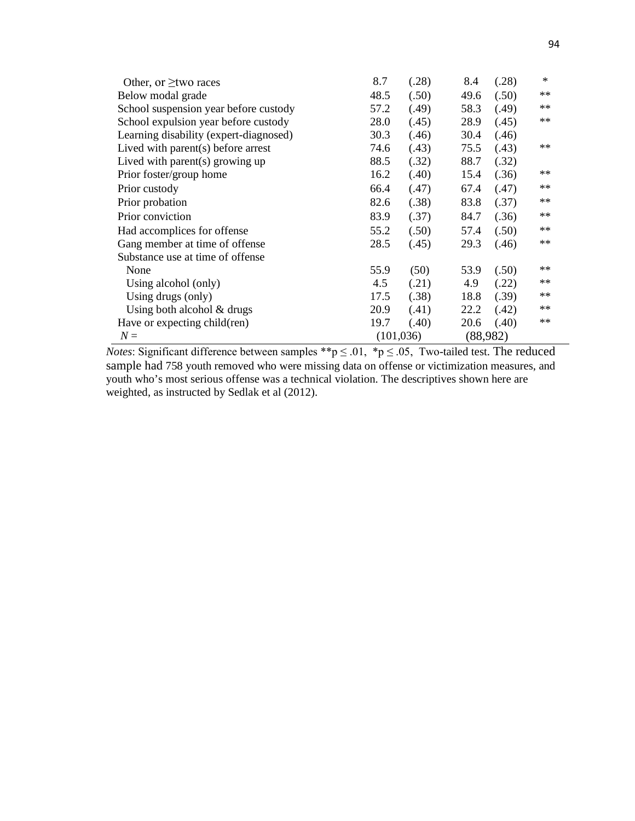| Other, or $\geq$ two races             | 8.7        | (.28) | 8.4      | (.28) | $*$   |
|----------------------------------------|------------|-------|----------|-------|-------|
| Below modal grade                      | 48.5       | (.50) | 49.6     | (.50) | $**$  |
| School suspension year before custody  | 57.2       | (.49) | 58.3     | (.49) | $***$ |
| School expulsion year before custody   | 28.0       | (.45) | 28.9     | (.45) | $**$  |
| Learning disability (expert-diagnosed) | 30.3       | (.46) | 30.4     | (.46) |       |
| Lived with parent $(s)$ before arrest  | 74.6       | (.43) | 75.5     | (.43) | **    |
| Lived with parent $(s)$ growing up     | 88.5       | (.32) | 88.7     | (.32) |       |
| Prior foster/group home                | 16.2       | (.40) | 15.4     | (.36) | $***$ |
| Prior custody                          | 66.4       | (.47) | 67.4     | (.47) | $***$ |
| Prior probation                        | 82.6       | (.38) | 83.8     | (.37) | $***$ |
| Prior conviction                       | 83.9       | (.37) | 84.7     | (.36) | $**$  |
| Had accomplices for offense            | 55.2       | (.50) | 57.4     | (.50) | $**$  |
| Gang member at time of offense         | 28.5       | (.45) | 29.3     | (.46) | $**$  |
| Substance use at time of offense       |            |       |          |       |       |
| None                                   | 55.9       | (50)  | 53.9     | (.50) | $**$  |
| Using alcohol (only)                   | 4.5        | (.21) | 4.9      | (.22) | $**$  |
| Using drugs (only)                     | 17.5       | (.38) | 18.8     | (.39) | **    |
| Using both alcohol $&$ drugs           | 20.9       | (.41) | 22.2     | (.42) | **    |
| Have or expecting child(ren)           | 19.7       | (.40) | 20.6     | (.40) | $**$  |
| $N =$                                  | (101, 036) |       | (88,982) |       |       |

*Notes*: Significant difference between samples \*\*p  $\leq$  .01, \*p  $\leq$  .05, Two-tailed test. The reduced sample had 758 youth removed who were missing data on offense or victimization measures, and youth who's most serious offense was a technical violation. The descriptives shown here are weighted, as instructed by Sedlak et al (2012).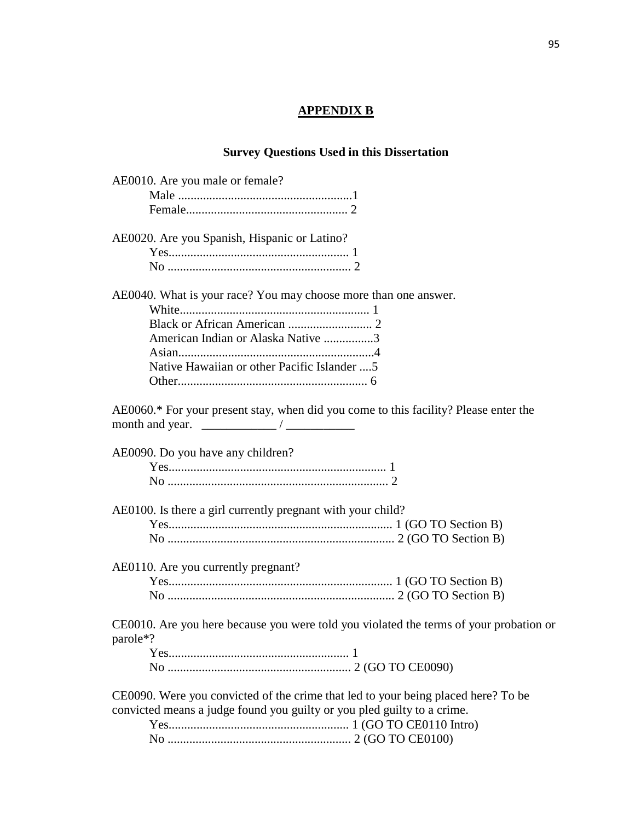## **APPENDIX B**

## **Survey Questions Used in this Dissertation**

| AE0010. Are you male or female?                                                        |
|----------------------------------------------------------------------------------------|
|                                                                                        |
|                                                                                        |
| AE0020. Are you Spanish, Hispanic or Latino?                                           |
|                                                                                        |
|                                                                                        |
| AE0040. What is your race? You may choose more than one answer.                        |
|                                                                                        |
|                                                                                        |
| American Indian or Alaska Native 3                                                     |
|                                                                                        |
| Native Hawaiian or other Pacific Islander  5                                           |
|                                                                                        |
| AE0060.* For your present stay, when did you come to this facility? Please enter the   |
|                                                                                        |
| AE0090. Do you have any children?                                                      |
|                                                                                        |
|                                                                                        |
| AE0100. Is there a girl currently pregnant with your child?                            |
|                                                                                        |
|                                                                                        |
| AE0110. Are you currently pregnant?                                                    |
|                                                                                        |
|                                                                                        |
| CE0010. Are you here because you were told you violated the terms of your probation or |
| parole*?                                                                               |
|                                                                                        |
|                                                                                        |
| CE0090. Were you convicted of the crime that led to your being placed here? To be      |
| convicted means a judge found you guilty or you pled guilty to a crime.                |
|                                                                                        |
|                                                                                        |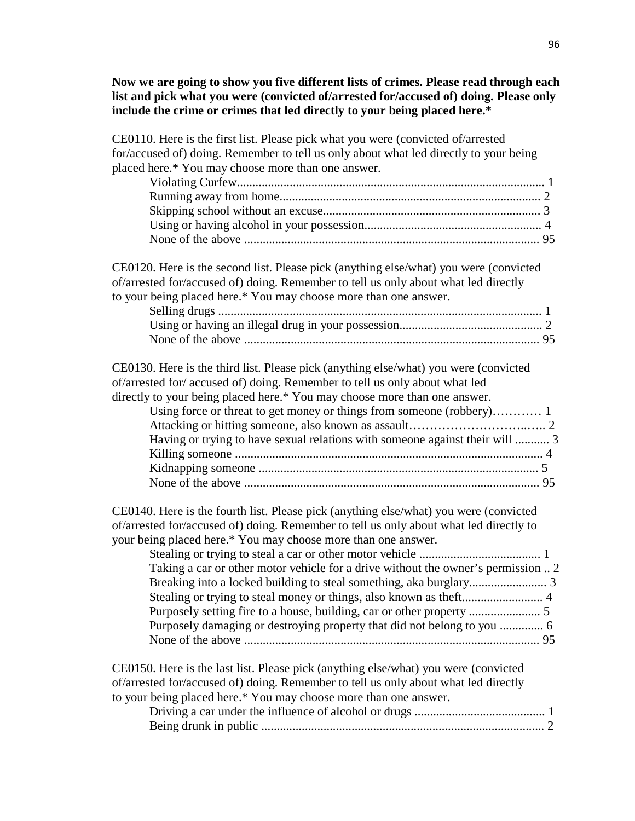**Now we are going to show you five different lists of crimes. Please read through each list and pick what you were (convicted of/arrested for/accused of) doing. Please only include the crime or crimes that led directly to your being placed here.\***

| CE0110. Here is the first list. Please pick what you were (convicted of/arrested<br>for/accused of) doing. Remember to tell us only about what led directly to your being<br>placed here.* You may choose more than one answer.                                                                                                                                                                                  |
|------------------------------------------------------------------------------------------------------------------------------------------------------------------------------------------------------------------------------------------------------------------------------------------------------------------------------------------------------------------------------------------------------------------|
|                                                                                                                                                                                                                                                                                                                                                                                                                  |
| CE0120. Here is the second list. Please pick (anything else/what) you were (convicted<br>of/arrested for/accused of) doing. Remember to tell us only about what led directly<br>to your being placed here.* You may choose more than one answer.                                                                                                                                                                 |
| CE0130. Here is the third list. Please pick (anything else/what) you were (convicted<br>of/arrested for/ accused of) doing. Remember to tell us only about what led                                                                                                                                                                                                                                              |
| directly to your being placed here.* You may choose more than one answer.<br>Using force or threat to get money or things from someone (robbery) 1<br>Having or trying to have sexual relations with someone against their will  3                                                                                                                                                                               |
| CE0140. Here is the fourth list. Please pick (anything else/what) you were (convicted<br>of/arrested for/accused of) doing. Remember to tell us only about what led directly to<br>your being placed here.* You may choose more than one answer.<br>Taking a car or other motor vehicle for a drive without the owner's permission  2<br>Purposely damaging or destroying property that did not belong to you  6 |
| CE0150. Here is the last list. Please pick (anything else/what) you were (convicted<br>of/arrested for/accused of) doing. Remember to tell us only about what led directly<br>to your being placed here.* You may choose more than one answer.                                                                                                                                                                   |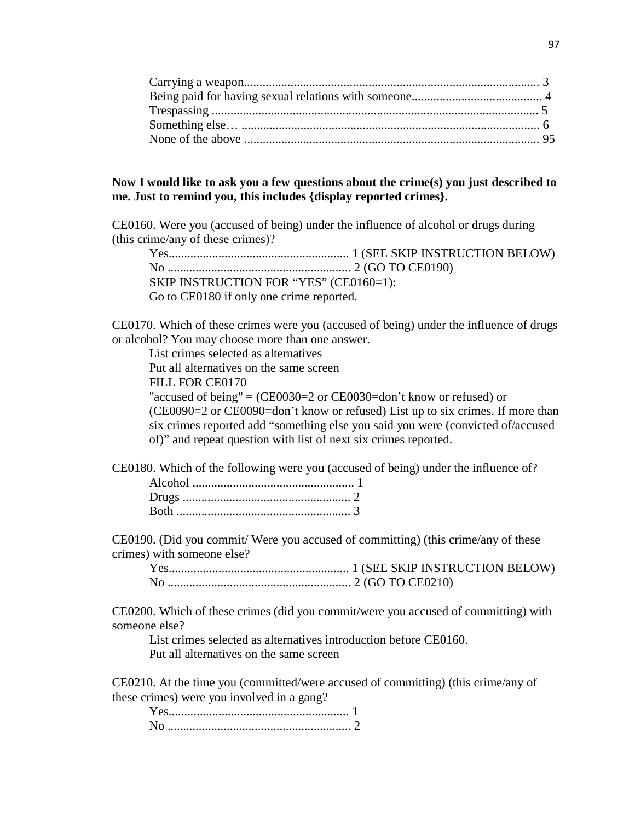### **Now I would like to ask you a few questions about the crime(s) you just described to me. Just to remind you, this includes {display reported crimes}.**

CE0160. Were you (accused of being) under the influence of alcohol or drugs during (this crime/any of these crimes)?

Yes.......................................................... 1 (SEE SKIP INSTRUCTION BELOW) No ........................................................... 2 (GO TO CE0190) SKIP INSTRUCTION FOR "YES" (CE0160=1): Go to CE0180 if only one crime reported.

CE0170. Which of these crimes were you (accused of being) under the influence of drugs or alcohol? You may choose more than one answer.

List crimes selected as alternatives

Put all alternatives on the same screen

FILL FOR CE0170

"accused of being" =  $(CE0030=2 \text{ or } CE0030=$ don't know or refused) or (CE0090=2 or CE0090=don't know or refused) List up to six crimes. If more than six crimes reported add "something else you said you were (convicted of/accused of)" and repeat question with list of next six crimes reported.

CE0180. Which of the following were you (accused of being) under the influence of?

CE0190. (Did you commit/ Were you accused of committing) (this crime/any of these crimes) with someone else?

| $V_{\alpha}$ |  |
|--------------|--|
|              |  |

CE0200. Which of these crimes (did you commit/were you accused of committing) with someone else?

List crimes selected as alternatives introduction before CE0160. Put all alternatives on the same screen

CE0210. At the time you (committed/were accused of committing) (this crime/any of these crimes) were you involved in a gang?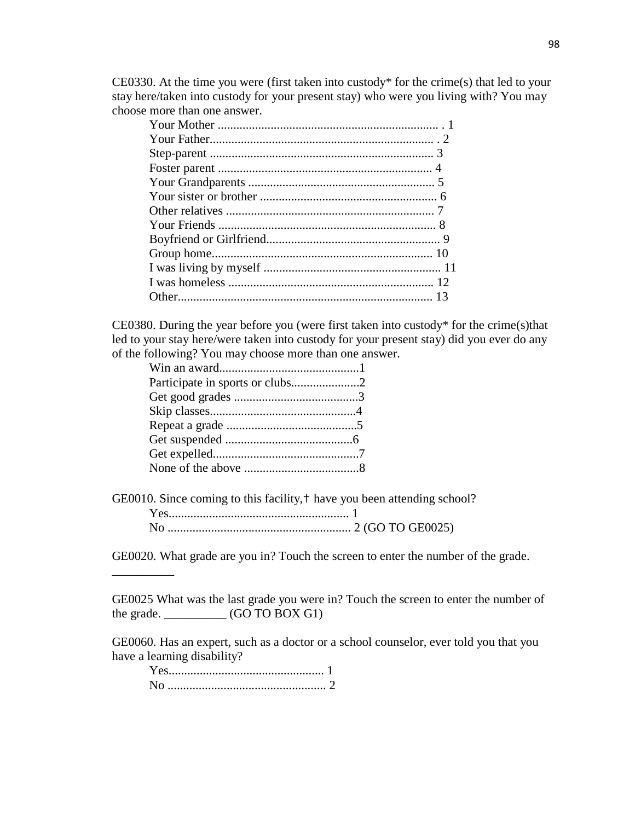CE0330. At the time you were (first taken into custody\* for the crime(s) that led to your stay here/taken into custody for your present stay) who were you living with? You may choose more than one answer.

CE0380. During the year before you (were first taken into custody\* for the crime(s)that led to your stay here/were taken into custody for your present stay) did you ever do any of the following? You may choose more than one answer.

GE0010. Since coming to this facility, † have you been attending school?

GE0020. What grade are you in? Touch the screen to enter the number of the grade.

GE0025 What was the last grade you were in? Touch the screen to enter the number of the grade.  $\qquad \qquad$  (GO TO BOX G1)

GE0060. Has an expert, such as a doctor or a school counselor, ever told you that you have a learning disability?

| $Yes$ 1 |  |
|---------|--|
|         |  |

\_\_\_\_\_\_\_\_\_\_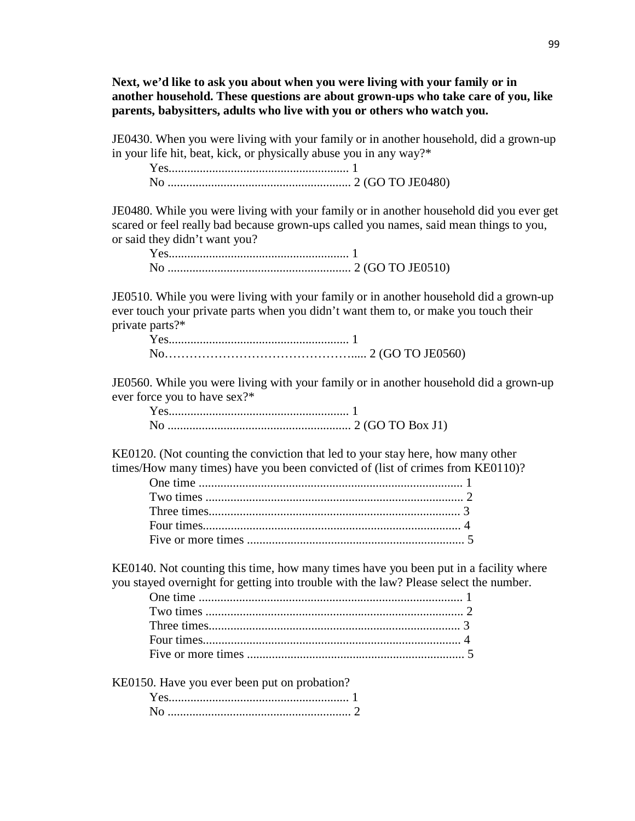**Next, we'd like to ask you about when you were living with your family or in another household. These questions are about grown-ups who take care of you, like parents, babysitters, adults who live with you or others who watch you.**

JE0430. When you were living with your family or in another household, did a grown-up in your life hit, beat, kick, or physically abuse you in any way?\*

Yes.......................................................... 1 No ........................................................... 2 (GO TO JE0480)

JE0480. While you were living with your family or in another household did you ever get scared or feel really bad because grown-ups called you names, said mean things to you, or said they didn't want you?

JE0510. While you were living with your family or in another household did a grown-up ever touch your private parts when you didn't want them to, or make you touch their private parts?\*

JE0560. While you were living with your family or in another household did a grown-up ever force you to have sex?\*

KE0120. (Not counting the conviction that led to your stay here, how many other times/How many times) have you been convicted of (list of crimes from KE0110)?

KE0140. Not counting this time, how many times have you been put in a facility where you stayed overnight for getting into trouble with the law? Please select the number.

KE0150. Have you ever been put on probation?